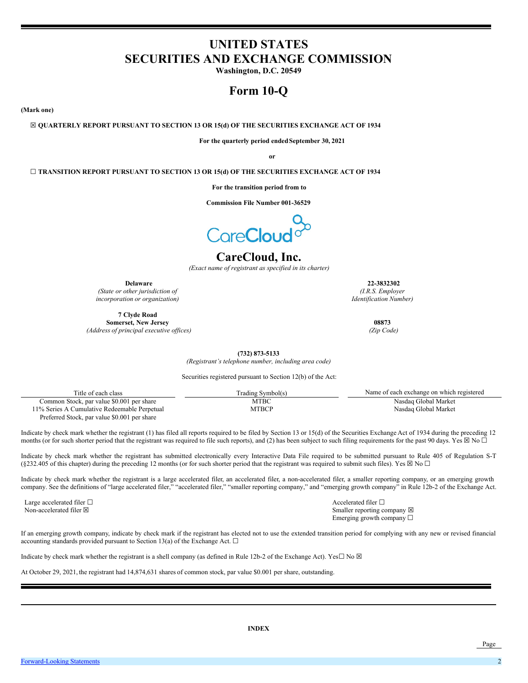# **UNITED STATES SECURITIES AND EXCHANGE COMMISSION**

**Washington, D.C. 20549**

# **Form 10-Q**

<span id="page-0-0"></span>**(Mark one)**

**☒ QUARTERLY REPORT PURSUANT TO SECTION 13 OR 15(d) OF THE SECURITIES EXCHANGE ACT OF 1934**

**For the quarterly period endedSeptember 30, 2021**

**or**

**☐ TRANSITION REPORT PURSUANT TO SECTION 13 OR 15(d) OF THE SECURITIES EXCHANGE ACT OF 1934**

**For the transition period from to**

**Commission File Number 001-36529**

CoreCloud

# **CareCloud, Inc.**

*(Exact name of registrant as specified in its charter)*

*(State or other jurisdiction of incorporation or organization)*

**7 Clyde Road Somerset, New Jersey 08873** *(Address of principal executive of ices) (Zip Code)*

**Delaware 22-3832302** *(I.R.S. Employer Identification Number)*

**(732) 873-5133**

*(Registrant's telephone number, including area code)*

Securities registered pursuant to Section 12(b) of the Act:

| Title of each class                          | Trading Symbol(s) | Name of each exchange on which registered |
|----------------------------------------------|-------------------|-------------------------------------------|
| Common Stock, par value \$0.001 per share    | <b>MTBC</b>       | Nasdag Global Market                      |
| 11% Series A Cumulative Redeemable Perpetual | <b>MTBCP</b>      | Nasdaq Global Market                      |
| Preferred Stock, par value \$0.001 per share |                   |                                           |

Indicate by check mark whether the registrant (1) has filed all reports required to be filed by Section 13 or 15(d) of the Securities Exchange Act of 1934 during the preceding 12 months (or for such shorter period that the registrant was required to file such reports), and (2) has been subject to such filing requirements for the past 90 days. Yes ⊠ No □

Indicate by check mark whether the registrant has submitted electronically every Interactive Data File required to be submitted pursuant to Rule 405 of Regulation S-T (§232.405 of this chapter) during the preceding 12 months (or for such shorter period that the registrant was required to submit such files). Yes **☒** No **☐**

Indicate by check mark whether the registrant is a large accelerated filer, an accelerated filer, a non-accelerated filer, a smaller reporting company, or an emerging growth company. See the definitions of "large accelerated filer," "accelerated filer," "smaller reporting company," and "emerging growth company" in Rule 12b-2 of the Exchange Act.

Large accelerated filer □<br>
Non-accelerated filer **⊡**<br>
Smaller reporting co

Smaller reporting company  $\boxtimes$ Emerging growth company **☐**

If an emerging growth company, indicate by check mark if the registrant has elected not to use the extended transition period for complying with any new or revised financial accounting standards provided pursuant to Section 13(a) of the Exchange Act. **☐**

Indicate by check mark whether the registrant is a shell company (as defined in Rule 12b-2 of the Exchange Act). Yes**☐** No **☒**

At October 29, 2021, the registrant had 14,874,631 shares of common stock, par value \$0.001 per share, outstanding.

**INDEX**

Page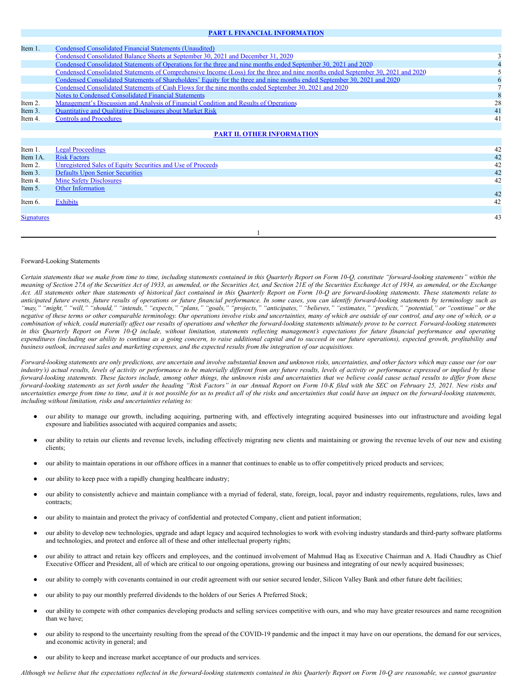### **PART I. FINANCIAL [INFORMATION](#page-0-0)**

| Item 1.           | Condensed Consolidated Financial Statements (Unaudited)                                                                          |    |
|-------------------|----------------------------------------------------------------------------------------------------------------------------------|----|
|                   | Condensed Consolidated Balance Sheets at September 30, 2021 and December 31, 2020                                                |    |
|                   | Condensed Consolidated Statements of Operations for the three and nine months ended September 30, 2021 and 2020                  |    |
|                   | Condensed Consolidated Statements of Comprehensive Income (Loss) for the three and nine months ended September 30, 2021 and 2020 |    |
|                   | Condensed Consolidated Statements of Shareholders' Equity for the three and nine months ended September 30, 2021 and 2020        | 6  |
|                   | Condensed Consolidated Statements of Cash Flows for the nine months ended September 30, 2021 and 2020                            |    |
|                   | Notes to Condensed Consolidated Financial Statements                                                                             | 8  |
| Item 2.           | Management's Discussion and Analysis of Financial Condition and Results of Operations                                            | 28 |
| Item 3.           | Quantitative and Qualitative Disclosures about Market Risk                                                                       | 41 |
| Item 4.           | <b>Controls and Procedures</b>                                                                                                   | 41 |
|                   |                                                                                                                                  |    |
|                   | <b>PART II. OTHER INFORMATION</b>                                                                                                |    |
|                   |                                                                                                                                  |    |
| Item 1.           | <b>Legal Proceedings</b>                                                                                                         | 42 |
| Item 1A.          | <b>Risk Factors</b>                                                                                                              | 42 |
| Item 2.           | Unregistered Sales of Equity Securities and Use of Proceeds                                                                      | 42 |
| Item 3.           | <b>Defaults Upon Senior Securities</b>                                                                                           | 42 |
| Item 4.           | <b>Mine Safety Disclosures</b>                                                                                                   | 42 |
| Item 5.           | <b>Other Information</b>                                                                                                         |    |
|                   |                                                                                                                                  | 42 |
| Item 6.           | <b>Exhibits</b>                                                                                                                  | 42 |
|                   |                                                                                                                                  |    |
| <b>Signatures</b> |                                                                                                                                  | 43 |
|                   |                                                                                                                                  |    |
|                   |                                                                                                                                  |    |

#### Forward-Looking Statements

Certain statements that we make from time to time, including statements contained in this Quarterly Report on Form 10-Q, constitute "forward-looking statements" within the meaning of Section 27A of the Securities Act of 1933, as amended, or the Securities Act, and Section 21E of the Securities Exchange Act of 1934, as amended, or the Exchange Act. All statements other than statements of historical fact contained in this Quarterly Report on Form 10-Q are forward-looking statements. These statements relate to anticipated future events, future results of operations or future financial performance. In some cases, you can identify forward-looking statements by terminology such as "may," "might," "will," "should," "intends," "expects," "plans," "goals," "projects," "anticipates," "believes," "estimates," "predicts," "potential," or "continue" or the negative of these terms or other comparable terminology. Our operations involve risks and uncertainties, many of which are outside of our control, and any one of which, or a combination of which, could materially affect our results of operations and whether the forward-looking statements ultimately prove to be correct. Forward-looking statements in this Quarterly Report on Form 10-Q include, without limitation, statements reflecting management's expectations for future financial performance and operating expenditures (including our ability to continue as a going concern, to raise additional capital and to succeed in our future operations), expected growth, profitability and business outlook, increased sales and marketing expenses, and the expected results from the integration of our acquisitions.

Forward-looking statements are only predictions, are uncertain and involve substantial known and unknown risks, uncertainties, and other factors which may cause our (or our industry's) actual results, levels of activity or performance to be materially different from any future results, levels of activity or performance expressed or implied by these forward-looking statements. These factors include, among other things, the unknown risks and uncertainties that we believe could cause actual results to differ from these forward-looking statements as set forth under the heading "Risk Factors" in our Annual Report on Form 10-K filed with the SEC on February 25, 2021. New risks and uncertainties emerge from time to time, and it is not possible for us to predict all of the risks and uncertainties that could have an impact on the forward-looking statements, *including without limitation, risks and uncertainties relating to:*

- our ability to manage our growth, including acquiring, partnering with, and effectively integrating acquired businesses into our infrastructure and avoiding legal exposure and liabilities associated with acquired companies and assets;
- our ability to retain our clients and revenue levels, including effectively migrating new clients and maintaining or growing the revenue levels of our new and existing clients;
- our ability to maintain operations in our offshore offices in a manner that continues to enable us to offer competitively priced products and services;
- our ability to keep pace with a rapidly changing healthcare industry;
- our ability to consistently achieve and maintain compliance with a myriad of federal, state, foreign, local, payor and industry requirements, regulations, rules, laws and contracts;
- our ability to maintain and protect the privacy of confidential and protected Company, client and patient information;
- our ability to develop new technologies, upgrade and adapt legacy and acquired technologies to work with evolving industry standards and third-party software platforms and technologies, and protect and enforce all of these and other intellectual property rights;
- our ability to attract and retain key officers and employees, and the continued involvement of Mahmud Haq as Executive Chairman and A. Hadi Chaudhry as Chief Executive Officer and President, all of which are critical to our ongoing operations, growing our business and integrating of our newly acquired businesses;
- our ability to comply with covenants contained in our credit agreement with our senior secured lender, Silicon Valley Bank and other future debt facilities;
- our ability to pay our monthly preferred dividends to the holders of our Series A Preferred Stock;
- our ability to compete with other companies developing products and selling services competitive with ours, and who may have greater resources and name recognition than we have;
- our ability to respond to the uncertainty resulting from the spread of the COVID-19 pandemic and the impact it may have on our operations, the demand for our services, and economic activity in general; and
- our ability to keep and increase market acceptance of our products and services.

Although we believe that the expectations reflected in the forward-looking statements contained in this Quarterly Report on Form 10-Q are reasonable, we cannot guarantee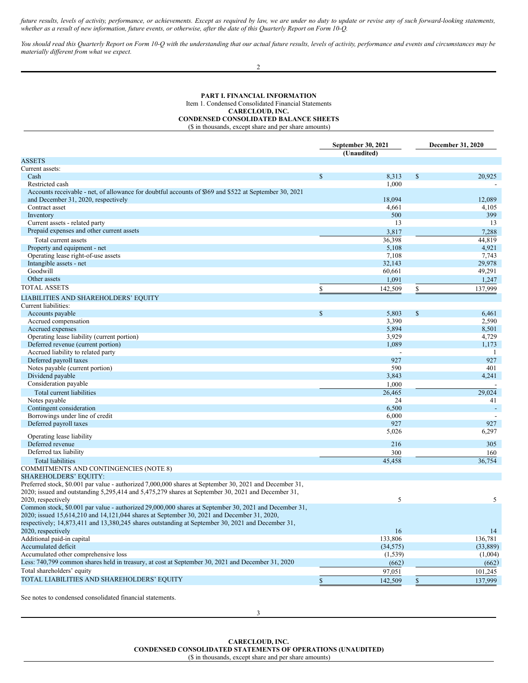future results, levels of activity, performance, or achievements. Except as required by law, we are under no duty to update or revise any of such forward-looking statements, whether as a result of new information, future events, or otherwise, after the date of this Quarterly Report on Form 10-Q.

You should read this Quarterly Report on Form 10-Q with the understanding that our actual future results, levels of activity, performance and events and circumstances may be *materially dif erent from what we expect.*

### **PART I. FINANCIAL INFORMATION** Item 1. Condensed Consolidated Financial Statements **CARECLOUD, INC. CONDENSED CONSOLIDATED BALANCE SHEETS** (\$ in thousands, except share and per share amounts)

| (Unaudited)<br><b>ASSETS</b><br>Current assets:<br><sup>\$</sup><br>$\mathcal{S}$<br>Cash<br>8.313<br>20.925<br>Restricted cash<br>1.000<br>Accounts receivable - net, of allowance for doubtful accounts of \$369 and \$522 at September 30, 2021<br>and December 31, 2020, respectively<br>18,094<br>12,089<br>4,661<br>Contract asset<br>4,105<br>399<br>500<br>Inventory<br>Current assets - related party<br>13<br>13<br>Prepaid expenses and other current assets<br>7,288<br>3,817<br>36,398<br>44.819<br>Total current assets<br>4,921<br>Property and equipment - net<br>5,108<br>7,743<br>Operating lease right-of-use assets<br>7,108<br>Intangible assets - net<br>32,143<br>29,978<br>Goodwill<br>60,661<br>49,291<br>Other assets<br>1.091<br>1,247<br>TOTAL ASSETS<br>\$<br>142,509<br>$\mathbb{S}$<br>137,999<br><b>LIABILITIES AND SHAREHOLDERS' EQUITY</b><br>Current liabilities:<br>$\mathbb{S}$<br>5,803<br>$\mathcal{S}$<br>Accounts payable<br>6,461<br>Accrued compensation<br>3,390<br>2,590<br>Accrued expenses<br>5,894<br>8,501<br>Operating lease liability (current portion)<br>3,929<br>4,729<br>Deferred revenue (current portion)<br>1,089<br>1,173<br>Accrued liability to related party<br>-1<br>927<br>927<br>Deferred payroll taxes<br>590<br>401<br>Notes payable (current portion)<br>Dividend payable<br>4,241<br>3,843<br>Consideration payable<br>1,000<br>26,465<br>29,024<br>Total current liabilities<br>Notes payable<br>24<br>41<br>Contingent consideration<br>6,500<br>$\overline{\phantom{a}}$<br>6,000<br>Borrowings under line of credit<br>Deferred payroll taxes<br>927<br>927<br>6,297<br>5,026<br>Operating lease liability<br>305<br>Deferred revenue<br>216<br>Deferred tax liability<br>300<br>160<br>45,458<br>36,754<br><b>Total liabilities</b><br>COMMITMENTS AND CONTINGENCIES (NOTE 8)<br><b>SHAREHOLDERS' EQUITY:</b><br>Preferred stock, \$0.001 par value - authorized 7,000,000 shares at September 30, 2021 and December 31,<br>2020; issued and outstanding 5,295,414 and 5,475,279 shares at September 30, 2021 and December 31,<br>5<br>5<br>2020, respectively<br>Common stock, \$0.001 par value - authorized 29,000,000 shares at September 30, 2021 and December 31,<br>2020; issued 15,614,210 and 14,121,044 shares at September 30, 2021 and December 31, 2020,<br>respectively; 14,873,411 and 13,380,245 shares outstanding at September 30, 2021 and December 31,<br>2020, respectively<br>16<br>14<br>Additional paid-in capital<br>133,806<br>136,781<br>Accumulated deficit<br>(34, 575)<br>(33,889)<br>Accumulated other comprehensive loss<br>(1,004)<br>(1, 539)<br>Less: 740,799 common shares held in treasury, at cost at September 30, 2021 and December 31, 2020<br>(662)<br>(662)<br>Total shareholders' equity<br>97,051<br>101.245 |  | September 30, 2021 | December 31, 2020 |  |  |  |
|-------------------------------------------------------------------------------------------------------------------------------------------------------------------------------------------------------------------------------------------------------------------------------------------------------------------------------------------------------------------------------------------------------------------------------------------------------------------------------------------------------------------------------------------------------------------------------------------------------------------------------------------------------------------------------------------------------------------------------------------------------------------------------------------------------------------------------------------------------------------------------------------------------------------------------------------------------------------------------------------------------------------------------------------------------------------------------------------------------------------------------------------------------------------------------------------------------------------------------------------------------------------------------------------------------------------------------------------------------------------------------------------------------------------------------------------------------------------------------------------------------------------------------------------------------------------------------------------------------------------------------------------------------------------------------------------------------------------------------------------------------------------------------------------------------------------------------------------------------------------------------------------------------------------------------------------------------------------------------------------------------------------------------------------------------------------------------------------------------------------------------------------------------------------------------------------------------------------------------------------------------------------------------------------------------------------------------------------------------------------------------------------------------------------------------------------------------------------------------------------------------------------------------------------------------------------------------------------------------------------------------------------------------------------------------------------------------------------------------------------------------------------------------------------------------------------------------------|--|--------------------|-------------------|--|--|--|
|                                                                                                                                                                                                                                                                                                                                                                                                                                                                                                                                                                                                                                                                                                                                                                                                                                                                                                                                                                                                                                                                                                                                                                                                                                                                                                                                                                                                                                                                                                                                                                                                                                                                                                                                                                                                                                                                                                                                                                                                                                                                                                                                                                                                                                                                                                                                                                                                                                                                                                                                                                                                                                                                                                                                                                                                                                     |  |                    |                   |  |  |  |
|                                                                                                                                                                                                                                                                                                                                                                                                                                                                                                                                                                                                                                                                                                                                                                                                                                                                                                                                                                                                                                                                                                                                                                                                                                                                                                                                                                                                                                                                                                                                                                                                                                                                                                                                                                                                                                                                                                                                                                                                                                                                                                                                                                                                                                                                                                                                                                                                                                                                                                                                                                                                                                                                                                                                                                                                                                     |  |                    |                   |  |  |  |
|                                                                                                                                                                                                                                                                                                                                                                                                                                                                                                                                                                                                                                                                                                                                                                                                                                                                                                                                                                                                                                                                                                                                                                                                                                                                                                                                                                                                                                                                                                                                                                                                                                                                                                                                                                                                                                                                                                                                                                                                                                                                                                                                                                                                                                                                                                                                                                                                                                                                                                                                                                                                                                                                                                                                                                                                                                     |  |                    |                   |  |  |  |
|                                                                                                                                                                                                                                                                                                                                                                                                                                                                                                                                                                                                                                                                                                                                                                                                                                                                                                                                                                                                                                                                                                                                                                                                                                                                                                                                                                                                                                                                                                                                                                                                                                                                                                                                                                                                                                                                                                                                                                                                                                                                                                                                                                                                                                                                                                                                                                                                                                                                                                                                                                                                                                                                                                                                                                                                                                     |  |                    |                   |  |  |  |
|                                                                                                                                                                                                                                                                                                                                                                                                                                                                                                                                                                                                                                                                                                                                                                                                                                                                                                                                                                                                                                                                                                                                                                                                                                                                                                                                                                                                                                                                                                                                                                                                                                                                                                                                                                                                                                                                                                                                                                                                                                                                                                                                                                                                                                                                                                                                                                                                                                                                                                                                                                                                                                                                                                                                                                                                                                     |  |                    |                   |  |  |  |
|                                                                                                                                                                                                                                                                                                                                                                                                                                                                                                                                                                                                                                                                                                                                                                                                                                                                                                                                                                                                                                                                                                                                                                                                                                                                                                                                                                                                                                                                                                                                                                                                                                                                                                                                                                                                                                                                                                                                                                                                                                                                                                                                                                                                                                                                                                                                                                                                                                                                                                                                                                                                                                                                                                                                                                                                                                     |  |                    |                   |  |  |  |
|                                                                                                                                                                                                                                                                                                                                                                                                                                                                                                                                                                                                                                                                                                                                                                                                                                                                                                                                                                                                                                                                                                                                                                                                                                                                                                                                                                                                                                                                                                                                                                                                                                                                                                                                                                                                                                                                                                                                                                                                                                                                                                                                                                                                                                                                                                                                                                                                                                                                                                                                                                                                                                                                                                                                                                                                                                     |  |                    |                   |  |  |  |
|                                                                                                                                                                                                                                                                                                                                                                                                                                                                                                                                                                                                                                                                                                                                                                                                                                                                                                                                                                                                                                                                                                                                                                                                                                                                                                                                                                                                                                                                                                                                                                                                                                                                                                                                                                                                                                                                                                                                                                                                                                                                                                                                                                                                                                                                                                                                                                                                                                                                                                                                                                                                                                                                                                                                                                                                                                     |  |                    |                   |  |  |  |
|                                                                                                                                                                                                                                                                                                                                                                                                                                                                                                                                                                                                                                                                                                                                                                                                                                                                                                                                                                                                                                                                                                                                                                                                                                                                                                                                                                                                                                                                                                                                                                                                                                                                                                                                                                                                                                                                                                                                                                                                                                                                                                                                                                                                                                                                                                                                                                                                                                                                                                                                                                                                                                                                                                                                                                                                                                     |  |                    |                   |  |  |  |
|                                                                                                                                                                                                                                                                                                                                                                                                                                                                                                                                                                                                                                                                                                                                                                                                                                                                                                                                                                                                                                                                                                                                                                                                                                                                                                                                                                                                                                                                                                                                                                                                                                                                                                                                                                                                                                                                                                                                                                                                                                                                                                                                                                                                                                                                                                                                                                                                                                                                                                                                                                                                                                                                                                                                                                                                                                     |  |                    |                   |  |  |  |
|                                                                                                                                                                                                                                                                                                                                                                                                                                                                                                                                                                                                                                                                                                                                                                                                                                                                                                                                                                                                                                                                                                                                                                                                                                                                                                                                                                                                                                                                                                                                                                                                                                                                                                                                                                                                                                                                                                                                                                                                                                                                                                                                                                                                                                                                                                                                                                                                                                                                                                                                                                                                                                                                                                                                                                                                                                     |  |                    |                   |  |  |  |
|                                                                                                                                                                                                                                                                                                                                                                                                                                                                                                                                                                                                                                                                                                                                                                                                                                                                                                                                                                                                                                                                                                                                                                                                                                                                                                                                                                                                                                                                                                                                                                                                                                                                                                                                                                                                                                                                                                                                                                                                                                                                                                                                                                                                                                                                                                                                                                                                                                                                                                                                                                                                                                                                                                                                                                                                                                     |  |                    |                   |  |  |  |
|                                                                                                                                                                                                                                                                                                                                                                                                                                                                                                                                                                                                                                                                                                                                                                                                                                                                                                                                                                                                                                                                                                                                                                                                                                                                                                                                                                                                                                                                                                                                                                                                                                                                                                                                                                                                                                                                                                                                                                                                                                                                                                                                                                                                                                                                                                                                                                                                                                                                                                                                                                                                                                                                                                                                                                                                                                     |  |                    |                   |  |  |  |
|                                                                                                                                                                                                                                                                                                                                                                                                                                                                                                                                                                                                                                                                                                                                                                                                                                                                                                                                                                                                                                                                                                                                                                                                                                                                                                                                                                                                                                                                                                                                                                                                                                                                                                                                                                                                                                                                                                                                                                                                                                                                                                                                                                                                                                                                                                                                                                                                                                                                                                                                                                                                                                                                                                                                                                                                                                     |  |                    |                   |  |  |  |
|                                                                                                                                                                                                                                                                                                                                                                                                                                                                                                                                                                                                                                                                                                                                                                                                                                                                                                                                                                                                                                                                                                                                                                                                                                                                                                                                                                                                                                                                                                                                                                                                                                                                                                                                                                                                                                                                                                                                                                                                                                                                                                                                                                                                                                                                                                                                                                                                                                                                                                                                                                                                                                                                                                                                                                                                                                     |  |                    |                   |  |  |  |
|                                                                                                                                                                                                                                                                                                                                                                                                                                                                                                                                                                                                                                                                                                                                                                                                                                                                                                                                                                                                                                                                                                                                                                                                                                                                                                                                                                                                                                                                                                                                                                                                                                                                                                                                                                                                                                                                                                                                                                                                                                                                                                                                                                                                                                                                                                                                                                                                                                                                                                                                                                                                                                                                                                                                                                                                                                     |  |                    |                   |  |  |  |
|                                                                                                                                                                                                                                                                                                                                                                                                                                                                                                                                                                                                                                                                                                                                                                                                                                                                                                                                                                                                                                                                                                                                                                                                                                                                                                                                                                                                                                                                                                                                                                                                                                                                                                                                                                                                                                                                                                                                                                                                                                                                                                                                                                                                                                                                                                                                                                                                                                                                                                                                                                                                                                                                                                                                                                                                                                     |  |                    |                   |  |  |  |
|                                                                                                                                                                                                                                                                                                                                                                                                                                                                                                                                                                                                                                                                                                                                                                                                                                                                                                                                                                                                                                                                                                                                                                                                                                                                                                                                                                                                                                                                                                                                                                                                                                                                                                                                                                                                                                                                                                                                                                                                                                                                                                                                                                                                                                                                                                                                                                                                                                                                                                                                                                                                                                                                                                                                                                                                                                     |  |                    |                   |  |  |  |
|                                                                                                                                                                                                                                                                                                                                                                                                                                                                                                                                                                                                                                                                                                                                                                                                                                                                                                                                                                                                                                                                                                                                                                                                                                                                                                                                                                                                                                                                                                                                                                                                                                                                                                                                                                                                                                                                                                                                                                                                                                                                                                                                                                                                                                                                                                                                                                                                                                                                                                                                                                                                                                                                                                                                                                                                                                     |  |                    |                   |  |  |  |
|                                                                                                                                                                                                                                                                                                                                                                                                                                                                                                                                                                                                                                                                                                                                                                                                                                                                                                                                                                                                                                                                                                                                                                                                                                                                                                                                                                                                                                                                                                                                                                                                                                                                                                                                                                                                                                                                                                                                                                                                                                                                                                                                                                                                                                                                                                                                                                                                                                                                                                                                                                                                                                                                                                                                                                                                                                     |  |                    |                   |  |  |  |
|                                                                                                                                                                                                                                                                                                                                                                                                                                                                                                                                                                                                                                                                                                                                                                                                                                                                                                                                                                                                                                                                                                                                                                                                                                                                                                                                                                                                                                                                                                                                                                                                                                                                                                                                                                                                                                                                                                                                                                                                                                                                                                                                                                                                                                                                                                                                                                                                                                                                                                                                                                                                                                                                                                                                                                                                                                     |  |                    |                   |  |  |  |
|                                                                                                                                                                                                                                                                                                                                                                                                                                                                                                                                                                                                                                                                                                                                                                                                                                                                                                                                                                                                                                                                                                                                                                                                                                                                                                                                                                                                                                                                                                                                                                                                                                                                                                                                                                                                                                                                                                                                                                                                                                                                                                                                                                                                                                                                                                                                                                                                                                                                                                                                                                                                                                                                                                                                                                                                                                     |  |                    |                   |  |  |  |
|                                                                                                                                                                                                                                                                                                                                                                                                                                                                                                                                                                                                                                                                                                                                                                                                                                                                                                                                                                                                                                                                                                                                                                                                                                                                                                                                                                                                                                                                                                                                                                                                                                                                                                                                                                                                                                                                                                                                                                                                                                                                                                                                                                                                                                                                                                                                                                                                                                                                                                                                                                                                                                                                                                                                                                                                                                     |  |                    |                   |  |  |  |
|                                                                                                                                                                                                                                                                                                                                                                                                                                                                                                                                                                                                                                                                                                                                                                                                                                                                                                                                                                                                                                                                                                                                                                                                                                                                                                                                                                                                                                                                                                                                                                                                                                                                                                                                                                                                                                                                                                                                                                                                                                                                                                                                                                                                                                                                                                                                                                                                                                                                                                                                                                                                                                                                                                                                                                                                                                     |  |                    |                   |  |  |  |
|                                                                                                                                                                                                                                                                                                                                                                                                                                                                                                                                                                                                                                                                                                                                                                                                                                                                                                                                                                                                                                                                                                                                                                                                                                                                                                                                                                                                                                                                                                                                                                                                                                                                                                                                                                                                                                                                                                                                                                                                                                                                                                                                                                                                                                                                                                                                                                                                                                                                                                                                                                                                                                                                                                                                                                                                                                     |  |                    |                   |  |  |  |
|                                                                                                                                                                                                                                                                                                                                                                                                                                                                                                                                                                                                                                                                                                                                                                                                                                                                                                                                                                                                                                                                                                                                                                                                                                                                                                                                                                                                                                                                                                                                                                                                                                                                                                                                                                                                                                                                                                                                                                                                                                                                                                                                                                                                                                                                                                                                                                                                                                                                                                                                                                                                                                                                                                                                                                                                                                     |  |                    |                   |  |  |  |
|                                                                                                                                                                                                                                                                                                                                                                                                                                                                                                                                                                                                                                                                                                                                                                                                                                                                                                                                                                                                                                                                                                                                                                                                                                                                                                                                                                                                                                                                                                                                                                                                                                                                                                                                                                                                                                                                                                                                                                                                                                                                                                                                                                                                                                                                                                                                                                                                                                                                                                                                                                                                                                                                                                                                                                                                                                     |  |                    |                   |  |  |  |
|                                                                                                                                                                                                                                                                                                                                                                                                                                                                                                                                                                                                                                                                                                                                                                                                                                                                                                                                                                                                                                                                                                                                                                                                                                                                                                                                                                                                                                                                                                                                                                                                                                                                                                                                                                                                                                                                                                                                                                                                                                                                                                                                                                                                                                                                                                                                                                                                                                                                                                                                                                                                                                                                                                                                                                                                                                     |  |                    |                   |  |  |  |
|                                                                                                                                                                                                                                                                                                                                                                                                                                                                                                                                                                                                                                                                                                                                                                                                                                                                                                                                                                                                                                                                                                                                                                                                                                                                                                                                                                                                                                                                                                                                                                                                                                                                                                                                                                                                                                                                                                                                                                                                                                                                                                                                                                                                                                                                                                                                                                                                                                                                                                                                                                                                                                                                                                                                                                                                                                     |  |                    |                   |  |  |  |
|                                                                                                                                                                                                                                                                                                                                                                                                                                                                                                                                                                                                                                                                                                                                                                                                                                                                                                                                                                                                                                                                                                                                                                                                                                                                                                                                                                                                                                                                                                                                                                                                                                                                                                                                                                                                                                                                                                                                                                                                                                                                                                                                                                                                                                                                                                                                                                                                                                                                                                                                                                                                                                                                                                                                                                                                                                     |  |                    |                   |  |  |  |
|                                                                                                                                                                                                                                                                                                                                                                                                                                                                                                                                                                                                                                                                                                                                                                                                                                                                                                                                                                                                                                                                                                                                                                                                                                                                                                                                                                                                                                                                                                                                                                                                                                                                                                                                                                                                                                                                                                                                                                                                                                                                                                                                                                                                                                                                                                                                                                                                                                                                                                                                                                                                                                                                                                                                                                                                                                     |  |                    |                   |  |  |  |
|                                                                                                                                                                                                                                                                                                                                                                                                                                                                                                                                                                                                                                                                                                                                                                                                                                                                                                                                                                                                                                                                                                                                                                                                                                                                                                                                                                                                                                                                                                                                                                                                                                                                                                                                                                                                                                                                                                                                                                                                                                                                                                                                                                                                                                                                                                                                                                                                                                                                                                                                                                                                                                                                                                                                                                                                                                     |  |                    |                   |  |  |  |
|                                                                                                                                                                                                                                                                                                                                                                                                                                                                                                                                                                                                                                                                                                                                                                                                                                                                                                                                                                                                                                                                                                                                                                                                                                                                                                                                                                                                                                                                                                                                                                                                                                                                                                                                                                                                                                                                                                                                                                                                                                                                                                                                                                                                                                                                                                                                                                                                                                                                                                                                                                                                                                                                                                                                                                                                                                     |  |                    |                   |  |  |  |
|                                                                                                                                                                                                                                                                                                                                                                                                                                                                                                                                                                                                                                                                                                                                                                                                                                                                                                                                                                                                                                                                                                                                                                                                                                                                                                                                                                                                                                                                                                                                                                                                                                                                                                                                                                                                                                                                                                                                                                                                                                                                                                                                                                                                                                                                                                                                                                                                                                                                                                                                                                                                                                                                                                                                                                                                                                     |  |                    |                   |  |  |  |
|                                                                                                                                                                                                                                                                                                                                                                                                                                                                                                                                                                                                                                                                                                                                                                                                                                                                                                                                                                                                                                                                                                                                                                                                                                                                                                                                                                                                                                                                                                                                                                                                                                                                                                                                                                                                                                                                                                                                                                                                                                                                                                                                                                                                                                                                                                                                                                                                                                                                                                                                                                                                                                                                                                                                                                                                                                     |  |                    |                   |  |  |  |
|                                                                                                                                                                                                                                                                                                                                                                                                                                                                                                                                                                                                                                                                                                                                                                                                                                                                                                                                                                                                                                                                                                                                                                                                                                                                                                                                                                                                                                                                                                                                                                                                                                                                                                                                                                                                                                                                                                                                                                                                                                                                                                                                                                                                                                                                                                                                                                                                                                                                                                                                                                                                                                                                                                                                                                                                                                     |  |                    |                   |  |  |  |
|                                                                                                                                                                                                                                                                                                                                                                                                                                                                                                                                                                                                                                                                                                                                                                                                                                                                                                                                                                                                                                                                                                                                                                                                                                                                                                                                                                                                                                                                                                                                                                                                                                                                                                                                                                                                                                                                                                                                                                                                                                                                                                                                                                                                                                                                                                                                                                                                                                                                                                                                                                                                                                                                                                                                                                                                                                     |  |                    |                   |  |  |  |
|                                                                                                                                                                                                                                                                                                                                                                                                                                                                                                                                                                                                                                                                                                                                                                                                                                                                                                                                                                                                                                                                                                                                                                                                                                                                                                                                                                                                                                                                                                                                                                                                                                                                                                                                                                                                                                                                                                                                                                                                                                                                                                                                                                                                                                                                                                                                                                                                                                                                                                                                                                                                                                                                                                                                                                                                                                     |  |                    |                   |  |  |  |
|                                                                                                                                                                                                                                                                                                                                                                                                                                                                                                                                                                                                                                                                                                                                                                                                                                                                                                                                                                                                                                                                                                                                                                                                                                                                                                                                                                                                                                                                                                                                                                                                                                                                                                                                                                                                                                                                                                                                                                                                                                                                                                                                                                                                                                                                                                                                                                                                                                                                                                                                                                                                                                                                                                                                                                                                                                     |  |                    |                   |  |  |  |
|                                                                                                                                                                                                                                                                                                                                                                                                                                                                                                                                                                                                                                                                                                                                                                                                                                                                                                                                                                                                                                                                                                                                                                                                                                                                                                                                                                                                                                                                                                                                                                                                                                                                                                                                                                                                                                                                                                                                                                                                                                                                                                                                                                                                                                                                                                                                                                                                                                                                                                                                                                                                                                                                                                                                                                                                                                     |  |                    |                   |  |  |  |
|                                                                                                                                                                                                                                                                                                                                                                                                                                                                                                                                                                                                                                                                                                                                                                                                                                                                                                                                                                                                                                                                                                                                                                                                                                                                                                                                                                                                                                                                                                                                                                                                                                                                                                                                                                                                                                                                                                                                                                                                                                                                                                                                                                                                                                                                                                                                                                                                                                                                                                                                                                                                                                                                                                                                                                                                                                     |  |                    |                   |  |  |  |
|                                                                                                                                                                                                                                                                                                                                                                                                                                                                                                                                                                                                                                                                                                                                                                                                                                                                                                                                                                                                                                                                                                                                                                                                                                                                                                                                                                                                                                                                                                                                                                                                                                                                                                                                                                                                                                                                                                                                                                                                                                                                                                                                                                                                                                                                                                                                                                                                                                                                                                                                                                                                                                                                                                                                                                                                                                     |  |                    |                   |  |  |  |
|                                                                                                                                                                                                                                                                                                                                                                                                                                                                                                                                                                                                                                                                                                                                                                                                                                                                                                                                                                                                                                                                                                                                                                                                                                                                                                                                                                                                                                                                                                                                                                                                                                                                                                                                                                                                                                                                                                                                                                                                                                                                                                                                                                                                                                                                                                                                                                                                                                                                                                                                                                                                                                                                                                                                                                                                                                     |  |                    |                   |  |  |  |
|                                                                                                                                                                                                                                                                                                                                                                                                                                                                                                                                                                                                                                                                                                                                                                                                                                                                                                                                                                                                                                                                                                                                                                                                                                                                                                                                                                                                                                                                                                                                                                                                                                                                                                                                                                                                                                                                                                                                                                                                                                                                                                                                                                                                                                                                                                                                                                                                                                                                                                                                                                                                                                                                                                                                                                                                                                     |  |                    |                   |  |  |  |
|                                                                                                                                                                                                                                                                                                                                                                                                                                                                                                                                                                                                                                                                                                                                                                                                                                                                                                                                                                                                                                                                                                                                                                                                                                                                                                                                                                                                                                                                                                                                                                                                                                                                                                                                                                                                                                                                                                                                                                                                                                                                                                                                                                                                                                                                                                                                                                                                                                                                                                                                                                                                                                                                                                                                                                                                                                     |  |                    |                   |  |  |  |
|                                                                                                                                                                                                                                                                                                                                                                                                                                                                                                                                                                                                                                                                                                                                                                                                                                                                                                                                                                                                                                                                                                                                                                                                                                                                                                                                                                                                                                                                                                                                                                                                                                                                                                                                                                                                                                                                                                                                                                                                                                                                                                                                                                                                                                                                                                                                                                                                                                                                                                                                                                                                                                                                                                                                                                                                                                     |  |                    |                   |  |  |  |
|                                                                                                                                                                                                                                                                                                                                                                                                                                                                                                                                                                                                                                                                                                                                                                                                                                                                                                                                                                                                                                                                                                                                                                                                                                                                                                                                                                                                                                                                                                                                                                                                                                                                                                                                                                                                                                                                                                                                                                                                                                                                                                                                                                                                                                                                                                                                                                                                                                                                                                                                                                                                                                                                                                                                                                                                                                     |  |                    |                   |  |  |  |
|                                                                                                                                                                                                                                                                                                                                                                                                                                                                                                                                                                                                                                                                                                                                                                                                                                                                                                                                                                                                                                                                                                                                                                                                                                                                                                                                                                                                                                                                                                                                                                                                                                                                                                                                                                                                                                                                                                                                                                                                                                                                                                                                                                                                                                                                                                                                                                                                                                                                                                                                                                                                                                                                                                                                                                                                                                     |  |                    |                   |  |  |  |
|                                                                                                                                                                                                                                                                                                                                                                                                                                                                                                                                                                                                                                                                                                                                                                                                                                                                                                                                                                                                                                                                                                                                                                                                                                                                                                                                                                                                                                                                                                                                                                                                                                                                                                                                                                                                                                                                                                                                                                                                                                                                                                                                                                                                                                                                                                                                                                                                                                                                                                                                                                                                                                                                                                                                                                                                                                     |  |                    |                   |  |  |  |
|                                                                                                                                                                                                                                                                                                                                                                                                                                                                                                                                                                                                                                                                                                                                                                                                                                                                                                                                                                                                                                                                                                                                                                                                                                                                                                                                                                                                                                                                                                                                                                                                                                                                                                                                                                                                                                                                                                                                                                                                                                                                                                                                                                                                                                                                                                                                                                                                                                                                                                                                                                                                                                                                                                                                                                                                                                     |  |                    |                   |  |  |  |
|                                                                                                                                                                                                                                                                                                                                                                                                                                                                                                                                                                                                                                                                                                                                                                                                                                                                                                                                                                                                                                                                                                                                                                                                                                                                                                                                                                                                                                                                                                                                                                                                                                                                                                                                                                                                                                                                                                                                                                                                                                                                                                                                                                                                                                                                                                                                                                                                                                                                                                                                                                                                                                                                                                                                                                                                                                     |  |                    |                   |  |  |  |
|                                                                                                                                                                                                                                                                                                                                                                                                                                                                                                                                                                                                                                                                                                                                                                                                                                                                                                                                                                                                                                                                                                                                                                                                                                                                                                                                                                                                                                                                                                                                                                                                                                                                                                                                                                                                                                                                                                                                                                                                                                                                                                                                                                                                                                                                                                                                                                                                                                                                                                                                                                                                                                                                                                                                                                                                                                     |  |                    |                   |  |  |  |
|                                                                                                                                                                                                                                                                                                                                                                                                                                                                                                                                                                                                                                                                                                                                                                                                                                                                                                                                                                                                                                                                                                                                                                                                                                                                                                                                                                                                                                                                                                                                                                                                                                                                                                                                                                                                                                                                                                                                                                                                                                                                                                                                                                                                                                                                                                                                                                                                                                                                                                                                                                                                                                                                                                                                                                                                                                     |  |                    |                   |  |  |  |
|                                                                                                                                                                                                                                                                                                                                                                                                                                                                                                                                                                                                                                                                                                                                                                                                                                                                                                                                                                                                                                                                                                                                                                                                                                                                                                                                                                                                                                                                                                                                                                                                                                                                                                                                                                                                                                                                                                                                                                                                                                                                                                                                                                                                                                                                                                                                                                                                                                                                                                                                                                                                                                                                                                                                                                                                                                     |  |                    |                   |  |  |  |
| TOTAL LIABILITIES AND SHAREHOLDERS' EQUITY                                                                                                                                                                                                                                                                                                                                                                                                                                                                                                                                                                                                                                                                                                                                                                                                                                                                                                                                                                                                                                                                                                                                                                                                                                                                                                                                                                                                                                                                                                                                                                                                                                                                                                                                                                                                                                                                                                                                                                                                                                                                                                                                                                                                                                                                                                                                                                                                                                                                                                                                                                                                                                                                                                                                                                                          |  |                    |                   |  |  |  |
| $\$$<br>142,509<br>137,999<br>$\mathbb{S}$                                                                                                                                                                                                                                                                                                                                                                                                                                                                                                                                                                                                                                                                                                                                                                                                                                                                                                                                                                                                                                                                                                                                                                                                                                                                                                                                                                                                                                                                                                                                                                                                                                                                                                                                                                                                                                                                                                                                                                                                                                                                                                                                                                                                                                                                                                                                                                                                                                                                                                                                                                                                                                                                                                                                                                                          |  |                    |                   |  |  |  |

See notes to condensed consolidated financial statements.

3

**CARECLOUD, INC. CONDENSED CONSOLIDATED STATEMENTS OF OPERATIONS (UNAUDITED)** (\$ in thousands, except share and per share amounts)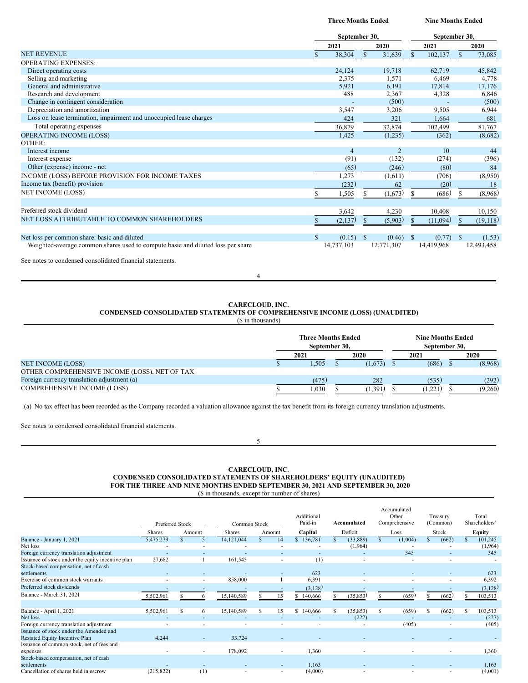|                                                                                 | <b>Three Months Ended</b> |                |              |                | <b>Nine Months Ended</b> |               |              |            |
|---------------------------------------------------------------------------------|---------------------------|----------------|--------------|----------------|--------------------------|---------------|--------------|------------|
|                                                                                 |                           | September 30,  |              |                |                          | September 30, |              |            |
|                                                                                 |                           | 2021           |              | 2020           |                          | 2021          |              | 2020       |
| <b>NET REVENUE</b>                                                              |                           | 38,304         | $\mathbf{s}$ | 31,639         | S                        | 102,137       | \$           | 73,085     |
| <b>OPERATING EXPENSES:</b>                                                      |                           |                |              |                |                          |               |              |            |
| Direct operating costs                                                          |                           | 24.124         |              | 19,718         |                          | 62,719        |              | 45,842     |
| Selling and marketing                                                           |                           | 2,375          |              | 1.571          |                          | 6,469         |              | 4,778      |
| General and administrative                                                      |                           | 5,921          |              | 6,191          |                          | 17,814        |              | 17,176     |
| Research and development                                                        |                           | 488            |              | 2,367          |                          | 4,328         |              | 6,846      |
| Change in contingent consideration                                              |                           |                |              | (500)          |                          |               |              | (500)      |
| Depreciation and amortization                                                   |                           | 3,547          |              | 3,206          |                          | 9,505         |              | 6,944      |
| Loss on lease termination, impairment and unoccupied lease charges              |                           | 424            |              | 321            |                          | 1,664         |              | 681        |
| Total operating expenses                                                        |                           | 36,879         |              | 32.874         |                          | 102,499       |              | 81,767     |
| <b>OPERATING INCOME (LOSS)</b>                                                  |                           | 1,425          |              | (1,235)        |                          | (362)         |              | (8,682)    |
| OTHER:                                                                          |                           |                |              |                |                          |               |              |            |
| Interest income                                                                 |                           | $\overline{4}$ |              | $\overline{2}$ |                          | 10            |              | 44         |
| Interest expense                                                                |                           | (91)           |              | (132)          |                          | (274)         |              | (396)      |
| Other (expense) income - net                                                    |                           | (65)           |              | (246)          |                          | (80)          |              | 84         |
| INCOME (LOSS) BEFORE PROVISION FOR INCOME TAXES                                 |                           | 1,273          |              | (1,611)        |                          | (706)         |              | (8,950)    |
| Income tax (benefit) provision                                                  |                           | (232)          |              | 62             |                          | (20)          |              | 18         |
| NET INCOME (LOSS)                                                               |                           | 1,505          |              | (1,673)        | S                        | (686)         |              | (8,968)    |
|                                                                                 |                           |                |              |                |                          |               |              |            |
| Preferred stock dividend                                                        |                           | 3,642          |              | 4,230          |                          | 10,408        |              | 10,150     |
| NET LOSS ATTRIBUTABLE TO COMMON SHAREHOLDERS                                    | S                         | (2,137)        | \$           | (5,903)        | S.                       | (11,094)      | $\mathbb{S}$ | (19, 118)  |
|                                                                                 |                           |                |              |                |                          |               |              |            |
| Net loss per common share: basic and diluted                                    | $\mathbb{S}$              | $(0.15)$ \$    |              | $(0.46)$ \$    |                          | (0.77)        | -\$          | (1.53)     |
| Weighted-average common shares used to compute basic and diluted loss per share |                           | 14,737,103     |              | 12,771,307     |                          | 14.419.968    |              | 12,493,458 |

See notes to condensed consolidated financial statements.

4

## **CARECLOUD, INC.**

## **CONDENSED CONSOLIDATED STATEMENTS OF COMPREHENSIVE INCOME (LOSS) (UNAUDITED)**

(\$ in thousands)

|                                               | <b>Three Months Ended</b><br>September 30, |         | <b>Nine Months Ended</b><br>September 30, |  |         |  |
|-----------------------------------------------|--------------------------------------------|---------|-------------------------------------------|--|---------|--|
|                                               | 2021                                       | 2020    | 2021                                      |  | 2020    |  |
| <b>NET INCOME (LOSS)</b>                      | 1,505                                      | (1,673) | (686)                                     |  | (8,968) |  |
| OTHER COMPREHENSIVE INCOME (LOSS), NET OF TAX |                                            |         |                                           |  |         |  |
| Foreign currency translation adjustment (a)   | (475)                                      | 282     | (535)                                     |  | (292)   |  |
| <b>COMPREHENSIVE INCOME (LOSS)</b>            | 1,030                                      | (1.391) | (1,221)                                   |  | (9.260) |  |

(a) No tax effect has been recorded as the Company recorded a valuation allowance against the tax benefit from its foreign currency translation adjustments.

See notes to condensed consolidated financial statements.

#### 5

### **CARECLOUD, INC. CONDENSED CONSOLIDATED STATEMENTS OF SHAREHOLDERS' EQUITY (UNAUDITED) FOR THE THREE AND NINE MONTHS ENDED SEPTEMBER 30, 2021 AND SEPTEMBER 30, 2020** (\$ in thousands, except for number of shares)

|                                                      | Preferred Stock |        |                          | Common Stock             |                          | Additional<br>Paid-in | Accumulated |              | Accumulated<br>Other<br>Comprehensive | Treasury<br>(Common)     |     | Total<br>Shareholders' |
|------------------------------------------------------|-----------------|--------|--------------------------|--------------------------|--------------------------|-----------------------|-------------|--------------|---------------------------------------|--------------------------|-----|------------------------|
|                                                      | <b>Shares</b>   | Amount |                          | <b>Shares</b>            | Amount                   | Capital               | Deficit     |              | Loss                                  | Stock                    |     | Equity                 |
| Balance - January 1, 2021                            | 5,475,279       |        |                          | 14, 121, 044             | 14                       | \$136,781             | (33, 889)   | $\mathbf{s}$ | (1,004)                               | (662)                    |     | 101,245                |
| Net loss                                             |                 |        |                          |                          |                          |                       | (1,964)     |              |                                       |                          |     | (1,964)                |
| Foreign currency translation adjustment              |                 |        |                          |                          |                          |                       |             |              | 345                                   |                          |     | 345                    |
| Issuance of stock under the equity incentive plan    | 27,682          |        |                          | 161,545                  |                          | (1)                   |             |              |                                       |                          |     |                        |
| Stock-based compensation, net of cash                |                 |        |                          |                          |                          |                       |             |              |                                       |                          |     |                        |
| settlements                                          |                 |        |                          |                          |                          | 623                   |             |              |                                       |                          |     | 623                    |
| Exercise of common stock warrants                    |                 |        | $\overline{\phantom{a}}$ | 858,000                  |                          | 6,391                 |             |              |                                       | $\overline{\phantom{a}}$ |     | 6,392                  |
| Preferred stock dividends                            |                 |        |                          |                          |                          | (3,128)               |             |              |                                       |                          |     | (3, 128)               |
| Balance - March 31, 2021                             | 5,502,961       |        | 6                        | 15,140,589               | 15                       | \$140,666             | (35, 853)   |              | (659)                                 | (662)                    |     | 103,513                |
| Balance - April 1, 2021                              | 5,502,961       | S      | 6                        | 15,140,589               | 15                       | \$140,666             | (35, 853)   | S            | (659)                                 | (662)                    | \$. | 103,513                |
| Net loss                                             |                 |        | $\overline{\phantom{a}}$ |                          |                          |                       | (227)       |              |                                       |                          |     | (227)                  |
| Foreign currency translation adjustment              |                 |        |                          | $\overline{\phantom{a}}$ |                          |                       |             |              | (405)                                 |                          |     | (405)                  |
| Issuance of stock under the Amended and              |                 |        |                          |                          |                          |                       |             |              |                                       |                          |     |                        |
| Restated Equity Incentive Plan                       | 4,244           |        |                          | 33,724                   |                          |                       |             |              |                                       |                          |     |                        |
| Issuance of common stock, net of fees and            |                 |        |                          |                          |                          |                       |             |              |                                       |                          |     |                        |
| expenses                                             |                 |        |                          | 178,092                  |                          | 1,360                 |             |              |                                       |                          |     | 1,360                  |
| Stock-based compensation, net of cash<br>settlements |                 |        |                          |                          |                          | 1,163                 |             |              |                                       |                          |     | 1,163                  |
| Cancellation of shares held in escrow                | (215, 822)      |        | (1)                      |                          | $\overline{\phantom{a}}$ | (4,000)               |             |              |                                       | $\overline{\phantom{a}}$ |     | (4,001)                |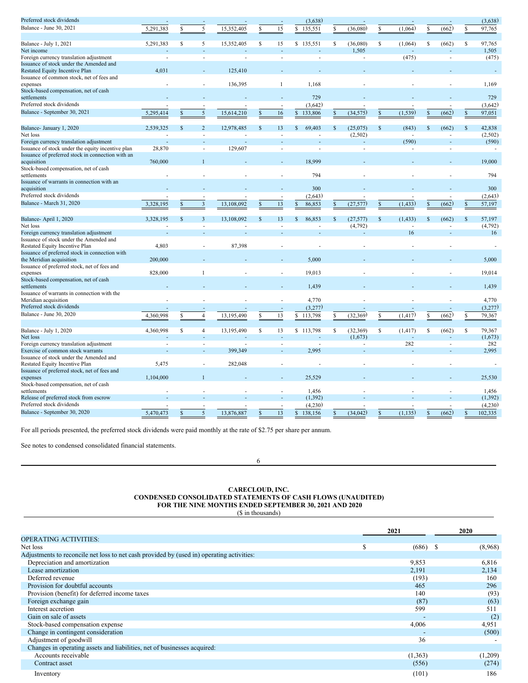| Preferred stock dividends                         |           |                    |                          |            |                    |                          | (3,638)                  |               |           |              |          |     |                          |               | (3,638)  |
|---------------------------------------------------|-----------|--------------------|--------------------------|------------|--------------------|--------------------------|--------------------------|---------------|-----------|--------------|----------|-----|--------------------------|---------------|----------|
| <b>Balance - June 30, 2021</b>                    | 5,291,383 | ς                  | 5                        | 15,352,405 | S                  | 15                       | S<br>135,551             | S             | (36,080)  | \$           | (1,064)  | S   | (662)                    | S             | 97,765   |
|                                                   |           |                    |                          |            |                    |                          |                          |               |           |              |          |     |                          |               |          |
| Balance - July 1, 2021                            | 5,291,383 | \$                 | 5                        | 15,352,405 | S                  | 15                       | \$135,551                | \$            | (36,080)  | $\mathbb{S}$ | (1,064)  | S   | (662)                    | $\mathbb{S}$  | 97,765   |
| Net income                                        |           |                    | ä,                       |            |                    |                          |                          |               | 1.505     |              |          |     |                          |               | 1.505    |
| Foreign currency translation adjustment           | ÷         |                    | ä,                       |            |                    | ÷.                       | $\overline{\phantom{a}}$ |               | ÷.        |              | (475)    |     | $\overline{\phantom{a}}$ |               | (475)    |
| Issuance of stock under the Amended and           |           |                    |                          |            |                    |                          |                          |               |           |              |          |     |                          |               |          |
| Restated Equity Incentive Plan                    | 4,031     |                    |                          | 125,410    |                    |                          |                          |               |           |              |          |     |                          |               |          |
| Issuance of common stock, net of fees and         |           |                    |                          |            |                    |                          |                          |               |           |              |          |     |                          |               |          |
| expenses                                          |           |                    | ä,                       | 136,395    |                    | $\mathbf{1}$             | 1,168                    |               |           |              |          |     |                          |               | 1,169    |
| Stock-based compensation, net of cash             |           |                    |                          |            |                    |                          |                          |               |           |              |          |     |                          |               |          |
| settlements                                       |           |                    |                          |            |                    |                          | 729                      |               |           |              |          |     |                          |               | 729      |
| Preferred stock dividends                         |           |                    | J.                       |            |                    | $\overline{a}$           | (3,642)                  |               |           |              |          |     |                          |               | (3,642)  |
| Balance - September 30, 2021                      | 5,295,414 |                    | $\overline{5}$           | 15,614,210 |                    | 16                       | 133,806<br>$\mathbf{s}$  | \$            | (34, 575) | \$           | (1, 539) |     | (662)                    | \$            | 97,051   |
|                                                   |           |                    |                          |            |                    |                          |                          |               |           |              |          |     |                          |               |          |
| Balance- January 1, 2020                          | 2.539.325 | $\mathbf{\hat{S}}$ | $\overline{2}$           | 12,978,485 | S                  | 13                       | 69,403<br>$\mathbb{S}$   | $\mathcal{S}$ | (25,075)  | \$           | (843)    |     | (662)                    | $\mathbf{s}$  | 42,838   |
| Net loss                                          |           |                    | ä,                       |            |                    | ä,                       | $\sim$                   |               | (2,502)   |              | ×        |     | $\overline{\phantom{a}}$ |               | (2,502)  |
| Foreign currency translation adjustment           |           |                    |                          |            |                    |                          |                          |               |           |              | (590)    |     |                          |               | (590)    |
| Issuance of stock under the equity incentive plan | 28,870    |                    | $\overline{\phantom{a}}$ | 129,607    |                    | J.                       | $\overline{\phantom{a}}$ |               | ÷,        |              |          |     |                          |               |          |
| Issuance of preferred stock in connection with an |           |                    |                          |            |                    |                          |                          |               |           |              |          |     |                          |               |          |
| acquisition                                       | 760,000   |                    |                          |            |                    |                          | 18,999                   |               |           |              |          |     |                          |               | 19,000   |
| Stock-based compensation, net of cash             |           |                    |                          |            |                    |                          |                          |               |           |              |          |     |                          |               |          |
| settlements                                       |           |                    |                          |            |                    |                          | 794                      |               |           |              |          |     |                          |               | 794      |
| Issuance of warrants in connection with an        |           |                    |                          |            |                    |                          |                          |               |           |              |          |     |                          |               |          |
| acquisition                                       |           |                    |                          |            |                    |                          | 300                      |               |           |              |          |     |                          |               | 300      |
| Preferred stock dividends                         |           |                    |                          |            |                    | ٠                        | (2,643)                  |               |           |              |          |     |                          |               | (2,643)  |
| Balance - March 31, 2020                          | 3,328,195 |                    | $\overline{\mathbf{3}}$  | 13,108,092 |                    | 13                       | 86,853<br>٢              | S             | (27, 577) | \$           | (1, 433) |     | (662)                    | $\mathcal{S}$ | 57,197   |
|                                                   |           |                    |                          |            |                    |                          |                          |               |           |              |          |     |                          |               |          |
| Balance-April 1, 2020                             | 3,328,195 | $\mathbb{S}$       | 3                        | 13,108,092 | \$.                | 13                       | $\mathbb{S}$<br>86.853   | $\mathbb{S}$  | (27, 577) | $\mathbb{S}$ | (1, 433) | S   | (662)                    | $\mathbf{s}$  | 57,197   |
| Net loss                                          |           |                    | ä,                       |            |                    | ÷.                       | $\overline{\phantom{a}}$ |               | (4,792)   |              | ×        |     | ٠                        |               | (4, 792) |
| Foreign currency translation adjustment           |           |                    |                          |            |                    |                          |                          |               |           |              | 16       |     |                          |               | 16       |
| Issuance of stock under the Amended and           |           |                    |                          |            |                    |                          |                          |               |           |              |          |     |                          |               |          |
| Restated Equity Incentive Plan                    | 4,803     |                    | ÷,                       | 87,398     |                    |                          |                          |               |           |              |          |     |                          |               |          |
| Issuance of preferred stock in connection with    |           |                    |                          |            |                    |                          |                          |               |           |              |          |     |                          |               |          |
| the Meridian acquisition                          | 200,000   |                    |                          |            |                    |                          | 5,000                    |               |           |              |          |     |                          |               | 5.000    |
| Issuance of preferred stock, net of fees and      |           |                    |                          |            |                    |                          |                          |               |           |              |          |     |                          |               |          |
| expenses                                          | 828,000   |                    | -1                       |            |                    |                          | 19,013                   |               |           |              |          |     |                          |               | 19,014   |
| Stock-based compensation, net of cash             |           |                    |                          |            |                    |                          |                          |               |           |              |          |     |                          |               |          |
| settlements                                       |           |                    |                          |            |                    |                          | 1,439                    |               |           |              |          |     |                          |               | 1,439    |
| Issuance of warrants in connection with the       |           |                    |                          |            |                    |                          |                          |               |           |              |          |     |                          |               |          |
| Meridian acquisition                              |           |                    |                          |            |                    | ä,                       | 4,770                    |               |           |              |          |     |                          |               | 4,770    |
| Preferred stock dividends                         |           |                    |                          |            |                    |                          | (3,277)                  |               |           |              |          |     |                          |               | (3,277)  |
| Balance - June 30, 2020                           | 4,360,998 |                    | $\overline{4}$           | 13,195,490 | S                  | 13                       | 113,798<br>\$            | \$            | (32,369)  | \$           | (1, 417) | S   | (662)                    | \$            | 79,367   |
|                                                   |           |                    |                          |            |                    |                          |                          |               |           |              |          |     |                          |               |          |
| Balance - July 1, 2020                            | 4,360,998 | S                  | $\overline{4}$           | 13,195,490 | S                  | 13                       | \$113,798                | S             | (32, 369) | \$           | (1, 417) | S   | (662)                    | $\mathbf S$   | 79.367   |
| Net loss                                          |           |                    |                          |            |                    |                          |                          |               | (1,673)   |              |          |     |                          |               | (1,673)  |
| Foreign currency translation adjustment           | ä,        |                    | ä,                       |            |                    | $\overline{\phantom{a}}$ | $\overline{a}$           |               | ÷.        |              | 282      |     | ÷.                       |               | 282      |
| Exercise of common stock warrants                 |           |                    | ÷.                       | 399,349    |                    |                          | 2,995                    |               |           |              |          |     |                          |               | 2.995    |
| Issuance of stock under the Amended and           |           |                    |                          |            |                    |                          |                          |               |           |              |          |     |                          |               |          |
| Restated Equity Incentive Plan                    | 5,475     |                    | ä,                       | 282,048    |                    |                          |                          |               |           |              |          |     |                          |               |          |
| Issuance of preferred stock, net of fees and      |           |                    |                          |            |                    |                          |                          |               |           |              |          |     |                          |               |          |
| expenses                                          | 1,104,000 |                    |                          |            |                    |                          | 25,529                   |               |           |              |          |     |                          |               | 25,530   |
| Stock-based compensation, net of cash             |           |                    |                          |            |                    |                          |                          |               |           |              |          |     |                          |               |          |
| settlements                                       |           |                    |                          |            |                    |                          | 1,456                    |               |           |              |          |     |                          |               | 1,456    |
| Release of preferred stock from escrow            |           |                    |                          |            |                    |                          | (1, 392)                 |               |           |              |          |     |                          |               | (1, 392) |
| Preferred stock dividends                         |           |                    |                          |            |                    |                          | (4,230)                  |               |           |              |          |     |                          |               | (4,230)  |
| Balance - September 30, 2020                      | 5,470,473 |                    | 5                        | 13,876,887 | $\hat{\mathbf{s}}$ | 13                       | 138,156<br>Ś             |               | (34, 042) | $\mathbf{s}$ | (1, 135) | \$. | (662)                    | \$.           | 102,335  |
|                                                   |           |                    |                          |            |                    |                          |                          |               |           |              |          |     |                          |               |          |

For all periods presented, the preferred stock dividends were paid monthly at the rate of \$2.75 per share per annum.

See notes to condensed consolidated financial statements.

### 6

### **CARECLOUD, INC. CONDENSED CONSOLIDATED STATEMENTS OF CASH FLOWS (UNAUDITED) FOR THE NINE MONTHS ENDED SEPTEMBER 30, 2021 AND 2020** (\$ in thousands)

|                                                                                           | 2021                        | 2020    |
|-------------------------------------------------------------------------------------------|-----------------------------|---------|
| <b>OPERATING ACTIVITIES:</b>                                                              |                             |         |
| Net loss                                                                                  | <sup>\$</sup><br>$(686)$ \$ | (8,968) |
| Adjustments to reconcile net loss to net cash provided by (used in) operating activities: |                             |         |
| Depreciation and amortization                                                             | 9,853                       | 6,816   |
| Lease amortization                                                                        | 2,191                       | 2,134   |
| Deferred revenue                                                                          | (193)                       | 160     |
| Provision for doubtful accounts                                                           | 465                         | 296     |
| Provision (benefit) for deferred income taxes                                             | 140                         | (93)    |
| Foreign exchange gain                                                                     | (87)                        | (63)    |
| Interest accretion                                                                        | 599                         | 511     |
| Gain on sale of assets                                                                    |                             | (2)     |
| Stock-based compensation expense                                                          | 4,006                       | 4,951   |
| Change in contingent consideration                                                        |                             | (500)   |
| Adjustment of goodwill                                                                    | 36                          |         |
| Changes in operating assets and liabilities, net of businesses acquired:                  |                             |         |
| Accounts receivable                                                                       | (1,363)                     | (1,209) |
| Contract asset                                                                            | (556)                       | (274)   |
| Inventory                                                                                 | (101)                       | 186     |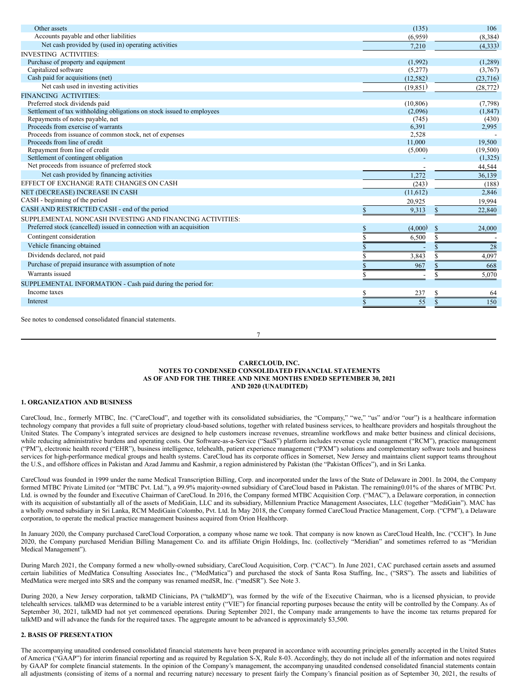| Other assets                                                           | (135)               | 106                  |
|------------------------------------------------------------------------|---------------------|----------------------|
| Accounts payable and other liabilities                                 | (6,959)             | (8,384)              |
| Net cash provided by (used in) operating activities                    | 7,210               | (4, 333)             |
| <b>INVESTING ACTIVITIES:</b>                                           |                     |                      |
| Purchase of property and equipment                                     | (1,992)             | (1,289)              |
| Capitalized software                                                   | (5,277)             | (3,767)              |
| Cash paid for acquisitions (net)                                       | (12, 582)           | (23,716)             |
| Net cash used in investing activities                                  | (19, 851)           | (28, 772)            |
| FINANCING ACTIVITIES:                                                  |                     |                      |
| Preferred stock dividends paid                                         | (10, 806)           | (7,798)              |
| Settlement of tax withholding obligations on stock issued to employees | (2,096)             | (1, 847)             |
| Repayments of notes payable, net                                       | (745)               | (430)                |
| Proceeds from exercise of warrants                                     | 6,391               | 2,995                |
| Proceeds from issuance of common stock, net of expenses                | 2,528               |                      |
| Proceeds from line of credit                                           | 11.000              | 19.500               |
| Repayment from line of credit<br>Settlement of contingent obligation   | (5,000)             | (19,500)<br>(1, 325) |
| Net proceeds from issuance of preferred stock                          |                     | 44,544               |
| Net cash provided by financing activities                              |                     |                      |
| EFFECT OF EXCHANGE RATE CHANGES ON CASH                                | 1.272               | 36.139               |
|                                                                        | (243)               | (188)                |
| NET (DECREASE) INCREASE IN CASH<br>CASH - beginning of the period      | (11, 612)           | 2,846                |
|                                                                        | 20,925              | 19,994               |
| CASH AND RESTRICTED CASH - end of the period                           | \$<br>9,313         | 22,840               |
| SUPPLEMENTAL NONCASH INVESTING AND FINANCING ACTIVITIES:               |                     |                      |
| Preferred stock (cancelled) issued in connection with an acquisition   | (4,000)<br><b>S</b> | 24,000               |
| Contingent consideration                                               | S<br>6.500          | \$                   |
| Vehicle financing obtained                                             | S                   | $\mathbf S$<br>28    |
| Dividends declared, not paid                                           | S<br>3,843          | 4,097                |
| Purchase of prepaid insurance with assumption of note                  | \$<br>967           | 668                  |
| Warrants issued                                                        |                     | 5,070                |
| SUPPLEMENTAL INFORMATION - Cash paid during the period for:            |                     |                      |
| Income taxes                                                           | 237<br>S            | <u>64</u>            |
| Interest                                                               | 55                  | 150                  |
|                                                                        |                     |                      |

See notes to condensed consolidated financial statements.

7

### **CARECLOUD, INC. NOTES TO CONDENSED CONSOLIDATED FINANCIAL STATEMENTS AS OF AND FOR THE THREE AND NINE MONTHS ENDED SEPTEMBER 30, 2021 AND 2020 (UNAUDITED)**

### **1. ORGANIZATION AND BUSINESS**

CareCloud, Inc., formerly MTBC, Inc. ("CareCloud", and together with its consolidated subsidiaries, the "Company," "we," "us" and/or "our") is a healthcare information technology company that provides a full suite of proprietary cloud-based solutions, together with related business services, to healthcare providers and hospitals throughout the United States. The Company's integrated services are designed to help customers increase revenues, streamline workflows and make better business and clinical decisions, while reducing administrative burdens and operating costs. Our Software-as-a-Service ("SaaS") platform includes revenue cycle management ("RCM"), practice management ("PM"), electronic health record ("EHR"), business intelligence, telehealth, patient experience management ("PXM") solutions and complementary software tools and business services for high-performance medical groups and health systems. CareCloud has its corporate offices in Somerset, New Jersey and maintains client support teams throughout the U.S., and offshore offices in Pakistan and Azad Jammu and Kashmir, a region administered by Pakistan (the "Pakistan Offices"), and in Sri Lanka.

CareCloud was founded in 1999 under the name Medical Transcription Billing, Corp. and incorporated under the laws of the State of Delaware in 2001. In 2004, the Company formed MTBC Private Limited (or "MTBC Pvt. Ltd."), a 99.9% majority-owned subsidiary of CareCloud based in Pakistan. The remaining0.01% of the shares of MTBC Pvt. Ltd. is owned by the founder and Executive Chairman of CareCloud. In 2016, the Company formed MTBC Acquisition Corp. ("MAC"), a Delaware corporation, in connection with its acquisition of substantially all of the assets of MediGain, LLC and its subsidiary, Millennium Practice Management Associates, LLC (together "MediGain"). MAC has a wholly owned subsidiary in Sri Lanka, RCM MediGain Colombo, Pvt. Ltd. In May 2018, the Company formed CareCloud Practice Management, Corp. ("CPM"), a Delaware corporation, to operate the medical practice management business acquired from Orion Healthcorp.

In January 2020, the Company purchased CareCloud Corporation, a company whose name we took. That company is now known as CareCloud Health, Inc. ("CCH"). In June 2020, the Company purchased Meridian Billing Management Co. and its affiliate Origin Holdings, Inc. (collectively "Meridian" and sometimes referred to as "Meridian Medical Management").

During March 2021, the Company formed a new wholly-owned subsidiary, CareCloud Acquisition, Corp. ("CAC"). In June 2021, CAC purchased certain assets and assumed certain liabilities of MedMatica Consulting Associates Inc., ("MedMatica") and purchased the stock of Santa Rosa Staffing, Inc., ("SRS"). The assets and liabilities of MedMatica were merged into SRS and the company was renamed medSR, Inc. ("medSR"). See Note 3.

During 2020, a New Jersey corporation, talkMD Clinicians, PA ("talkMD"), was formed by the wife of the Executive Chairman, who is a licensed physician, to provide telehealth services. talkMD was determined to be a variable interest entity ("VIE") for financial reporting purposes because the entity will be controlled by the Company. As of September 30, 2021, talkMD had not yet commenced operations. During September 2021, the Company made arrangements to have the income tax returns prepared for talkMD and will advance the funds for the required taxes. The aggregate amount to be advanced is approximately \$3,500.

### **2. BASIS OF PRESENTATION**

The accompanying unaudited condensed consolidated financial statements have been prepared in accordance with accounting principles generally accepted in the United States of America ("GAAP") for interim financial reporting and as required by Regulation S-X, Rule 8-03. Accordingly, they do not include all of the information and notes required by GAAP for complete financial statements. In the opinion of the Company's management, the accompanying unaudited condensed consolidated financial statements contain all adjustments (consisting of items of a normal and recurring nature) necessary to present fairly the Company's financial position as of September 30, 2021, the results of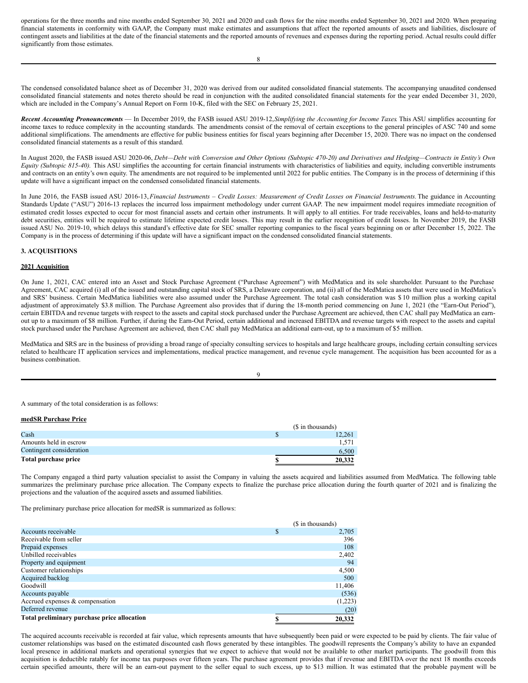operations for the three months and nine months ended September 30, 2021 and 2020 and cash flows for the nine months ended September 30, 2021 and 2020. When preparing financial statements in conformity with GAAP, the Company must make estimates and assumptions that affect the reported amounts of assets and liabilities, disclosure of contingent assets and liabilities at the date of the financial statements and the reported amounts of revenues and expenses during the reporting period. Actual results could differ significantly from those estimates.

8

The condensed consolidated balance sheet as of December 31, 2020 was derived from our audited consolidated financial statements. The accompanying unaudited condensed consolidated financial statements and notes thereto should be read in conjunction with the audited consolidated financial statements for the year ended December 31, 2020, which are included in the Company's Annual Report on Form 10-K, filed with the SEC on February 25, 2021.

*Recent Accounting Pronouncements* — In December 2019, the FASB issued ASU 2019-12,*Simplifying the Accounting for Income Taxes*. This ASU simplifies accounting for income taxes to reduce complexity in the accounting standards. The amendments consist of the removal of certain exceptions to the general principles of ASC 740 and some additional simplifications. The amendments are effective for public business entities for fiscal years beginning after December 15, 2020. There was no impact on the condensed consolidated financial statements as a result of this standard.

In August 2020, the FASB issued ASU 2020-06, Debt-Debt with Conversion and Other Options (Subtopic 470-20) and Derivatives and Hedging-Contracts in Entity's Own *Equity (Subtopic 815-40).* This ASU simplifies the accounting for certain financial instruments with characteristics of liabilities and equity, including convertible instruments and contracts on an entity's own equity. The amendments are not required to be implemented until 2022 for public entities. The Company is in the process of determining if this update will have a significant impact on the condensed consolidated financial statements.

In June 2016, the FASB issued ASU 2016-13, Financial Instruments - Credit Losses: Measurement of Credit Losses on Financial Instruments. The guidance in Accounting Standards Update ("ASU") 2016-13 replaces the incurred loss impairment methodology under current GAAP. The new impairment model requires immediate recognition of estimated credit losses expected to occur for most financial assets and certain other instruments. It will apply to all entities. For trade receivables, loans and held-to-maturity debt securities, entities will be required to estimate lifetime expected credit losses. This may result in the earlier recognition of credit losses. In November 2019, the FASB issued ASU No. 2019-10, which delays this standard's effective date for SEC smaller reporting companies to the fiscal years beginning on or after December 15, 2022. The Company is in the process of determining if this update will have a significant impact on the condensed consolidated financial statements.

### **3. ACQUISITIONS**

### **2021 Acquisition**

On June 1, 2021, CAC entered into an Asset and Stock Purchase Agreement ("Purchase Agreement") with MedMatica and its sole shareholder. Pursuant to the Purchase Agreement, CAC acquired (i) all of the issued and outstanding capital stock of SRS, a Delaware corporation, and (ii) all of the MedMatica assets that were used in MedMatica's and SRS' business. Certain MedMatica liabilities were also assumed under the Purchase Agreement. The total cash consideration was \$ 10 million plus a working capital adjustment of approximately \$3.8 million. The Purchase Agreement also provides that if during the 18-month period commencing on June 1, 2021 (the "Earn-Out Period"), certain EBITDA and revenue targets with respect to the assets and capital stock purchased under the Purchase Agreement are achieved, then CAC shall pay MedMatica an earnout up to a maximum of \$8 million. Further, if during the Earn-Out Period, certain additional and increased EBITDA and revenue targets with respect to the assets and capital stock purchased under the Purchase Agreement are achieved, then CAC shall pay MedMatica an additional earn-out, up to a maximum of \$5 million.

MedMatica and SRS are in the business of providing a broad range of specialty consulting services to hospitals and large healthcare groups, including certain consulting services related to healthcare IT application services and implementations, medical practice management, and revenue cycle management. The acquisition has been accounted for as a business combination.

9

A summary of the total consideration is as follows:

#### **medSR Purchase Price**

|                          | (\$ in thousands) |
|--------------------------|-------------------|
| Cash                     | 12.261            |
| Amounts held in escrow   | 1.571             |
| Contingent consideration | 6.500             |
| Total purchase price     | 20.332            |

The Company engaged a third party valuation specialist to assist the Company in valuing the assets acquired and liabilities assumed from MedMatica. The following table summarizes the preliminary purchase price allocation. The Company expects to finalize the purchase price allocation during the fourth quarter of 2021 and is finalizing the projections and the valuation of the acquired assets and assumed liabilities.

The preliminary purchase price allocation for medSR is summarized as follows:

|                                             |   | (\$ in thousands) |
|---------------------------------------------|---|-------------------|
| Accounts receivable                         | S | 2,705             |
| Receivable from seller                      |   | 396               |
| Prepaid expenses                            |   | 108               |
| Unbilled receivables                        |   | 2,402             |
| Property and equipment                      |   | 94                |
| Customer relationships                      |   | 4,500             |
| Acquired backlog                            |   | 500               |
| Goodwill                                    |   | 11,406            |
| Accounts payable                            |   | (536)             |
| Accrued expenses & compensation             |   | (1,223)           |
| Deferred revenue                            |   | (20)              |
| Total preliminary purchase price allocation |   | 20.332            |

The acquired accounts receivable is recorded at fair value, which represents amounts that have subsequently been paid or were expected to be paid by clients. The fair value of customer relationships was based on the estimated discounted cash flows generated by these intangibles. The goodwill represents the Company's ability to have an expanded local presence in additional markets and operational synergies that we expect to achieve that would not be available to other market participants. The goodwill from this acquisition is deductible ratably for income tax purposes over fifteen years. The purchase agreement provides that if revenue and EBITDA over the next 18 months exceeds certain specified amounts, there will be an earn-out payment to the seller equal to such excess, up to \$13 million. It was estimated that the probable payment will be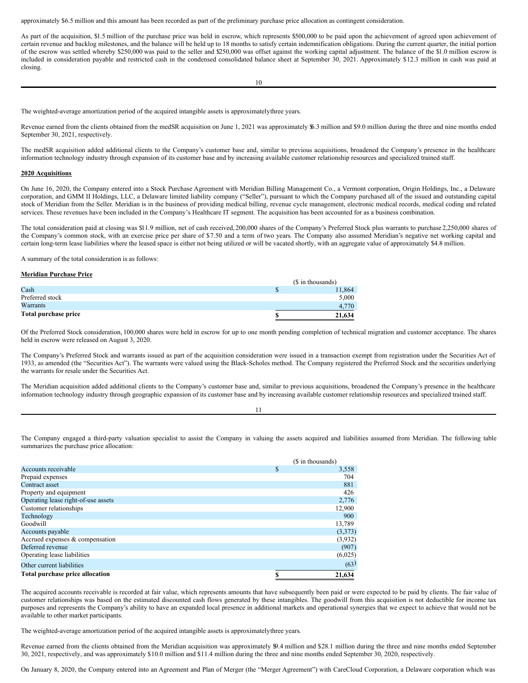approximately \$6.5 million and this amount has been recorded as part of the preliminary purchase price allocation as contingent consideration.

As part of the acquisition, \$1.5 million of the purchase price was held in escrow, which represents \$500,000 to be paid upon the achievement of agreed upon achievement of certain revenue and backlog milestones, and the balance will be held up to 18 months to satisfy certain indemnification obligations. During the current quarter, the initial portion of the escrow was settled whereby \$250,000 was paid to the seller and \$250,000 was offset against the working capital adjustment. The balance of the \$1.0 million escrow is included in consideration payable and restricted cash in the condensed consolidated balance sheet at September 30, 2021. Approximately \$12.3 million in cash was paid at closing.

10

The weighted-average amortization period of the acquired intangible assets is approximatelythree years.

Revenue earned from the clients obtained from the medSR acquisition on June 1, 2021 was approximately \$6.3 million and \$9.0 million during the three and nine months ended September 30, 2021, respectively.

The medSR acquisition added additional clients to the Company's customer base and, similar to previous acquisitions, broadened the Company's presence in the healthcare information technology industry through expansion of its customer base and by increasing available customer relationship resources and specialized trained staff.

### **2020 Acquisitions**

On June 16, 2020, the Company entered into a Stock Purchase Agreement with Meridian Billing Management Co., a Vermont corporation, Origin Holdings, Inc., a Delaware corporation, and GMM II Holdings, LLC, a Delaware limited liability company ("Seller"), pursuant to which the Company purchased all of the issued and outstanding capital stock of Meridian from the Seller. Meridian is in the business of providing medical billing, revenue cycle management, electronic medical records, medical coding and related services. These revenues have been included in the Company's Healthcare IT segment. The acquisition has been accounted for as a business combination.

The total consideration paid at closing was \$11.9 million, net of cash received, 200,000 shares of the Company's Preferred Stock plus warrants to purchase 2,250,000 shares of the Company's common stock, with an exercise price per share of \$7.50 and a term of two years. The Company also assumed Meridian's negative net working capital and certain long-term lease liabilities where the leased space is either not being utilized or will be vacated shortly, with an aggregate value of approximately \$4.8 million.

 $(\mathbb{C}$  in thousands)

A summary of the total consideration is as follows:

#### **Meridian Purchase Price**

|                      | (C) in unousailus) |
|----------------------|--------------------|
| Cash                 | 1.864              |
| Preferred stock      | 5.000              |
| Warrants             | 770                |
| Total purchase price | 21.634             |

Of the Preferred Stock consideration, 100,000 shares were held in escrow for up to one month pending completion of technical migration and customer acceptance. The shares held in escrow were released on August 3, 2020.

The Company's Preferred Stock and warrants issued as part of the acquisition consideration were issued in a transaction exempt from registration under the Securities Act of 1933, as amended (the "Securities Act"). The warrants were valued using the Black-Scholes method. The Company registered the Preferred Stock and the securities underlying the warrants for resale under the Securities Act.

The Meridian acquisition added additional clients to the Company's customer base and, similar to previous acquisitions, broadened the Company's presence in the healthcare information technology industry through geographic expansion of its customer base and by increasing available customer relationship resources and specialized trained staff.

The Company engaged a third-party valuation specialist to assist the Company in valuing the assets acquired and liabilities assumed from Meridian. The following table summarizes the purchase price allocation:

|                                     |   | (\$ in thousands) |
|-------------------------------------|---|-------------------|
| Accounts receivable                 | S | 3,558             |
| Prepaid expenses                    |   | 704               |
| Contract asset                      |   | 881               |
| Property and equipment              |   | 426               |
| Operating lease right-of-use assets |   | 2,776             |
| Customer relationships              |   | 12,900            |
| Technology                          |   | 900               |
| Goodwill                            |   | 13,789            |
| Accounts payable                    |   | (3,373)           |
| Accrued expenses & compensation     |   | (3,932)           |
| Deferred revenue                    |   | (907)             |
| Operating lease liabilities         |   | (6,025)           |
| Other current liabilities           |   | (63)              |
| Total purchase price allocation     |   | 21,634            |

The acquired accounts receivable is recorded at fair value, which represents amounts that have subsequently been paid or were expected to be paid by clients. The fair value of customer relationships was based on the estimated discounted cash flows generated by these intangibles. The goodwill from this acquisition is not deductible for income tax purposes and represents the Company's ability to have an expanded local presence in additional markets and operational synergies that we expect to achieve that would not be available to other market participants.

The weighted-average amortization period of the acquired intangible assets is approximatelythree years.

Revenue earned from the clients obtained from the Meridian acquisition was approximately \$9.4 million and \$28.1 million during the three and nine months ended September 30, 2021, respectively, and was approximately \$10.0 million and \$11.4 million during the three and nine months ended September 30, 2020, respectively.

On January 8, 2020, the Company entered into an Agreement and Plan of Merger (the "Merger Agreement") with CareCloud Corporation, a Delaware corporation which was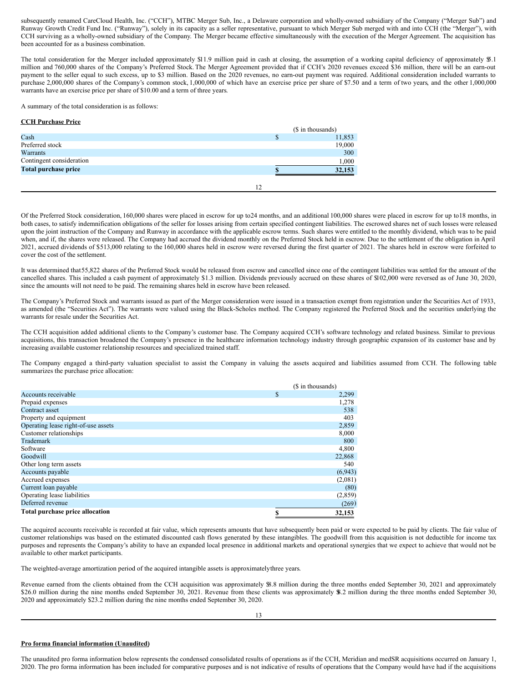subsequently renamed CareCloud Health, Inc. ("CCH"), MTBC Merger Sub, Inc., a Delaware corporation and wholly-owned subsidiary of the Company ("Merger Sub") and Runway Growth Credit Fund Inc. ("Runway"), solely in its capacity as a seller representative, pursuant to which Merger Sub merged with and into CCH (the "Merger"), with CCH surviving as a wholly-owned subsidiary of the Company. The Merger became effective simultaneously with the execution of the Merger Agreement. The acquisition has been accounted for as a business combination.

The total consideration for the Merger included approximately \$11.9 million paid in cash at closing, the assumption of a working capital deficiency of approximately \$5.1 million and 760,000 shares of the Company's Preferred Stock. The Merger Agreement provided that if CCH's 2020 revenues exceed \$36 million, there will be an earn-out payment to the seller equal to such excess, up to \$3 million. Based on the 2020 revenues, no earn-out payment was required. Additional consideration included warrants to purchase 2,000,000 shares of the Company's common stock, 1,000,000 of which have an exercise price per share of \$7.50 and a term of two years, and the other 1,000,000 warrants have an exercise price per share of \$10.00 and a term of three years.

A summary of the total consideration is as follows:

### **CCH Purchase Price**

|                             |    | (\$ in thousands) |
|-----------------------------|----|-------------------|
| Cash                        |    | 11,853            |
| Preferred stock             |    | 19,000            |
| Warrants                    |    | 300               |
| Contingent consideration    |    | 1,000             |
| <b>Total purchase price</b> |    | 32,153            |
|                             |    |                   |
|                             | 12 |                   |

Of the Preferred Stock consideration, 160,000 shares were placed in escrow for up to24 months, and an additional 100,000 shares were placed in escrow for up to18 months, in both cases, to satisfy indemnification obligations of the seller for losses arising from certain specified contingent liabilities. The escrowed shares net of such losses were released upon the joint instruction of the Company and Runway in accordance with the applicable escrow terms. Such shares were entitled to the monthly dividend, which was to be paid when, and if, the shares were released. The Company had accrued the dividend monthly on the Preferred Stock held in escrow. Due to the settlement of the obligation in April 2021, accrued dividends of \$513,000 relating to the 160,000 shares held in escrow were reversed during the first quarter of 2021. The shares held in escrow were forfeited to cover the cost of the settlement.

It was determined that55,822 shares of the Preferred Stock would be released from escrow and cancelled since one of the contingent liabilities was settled for the amount of the cancelled shares. This included a cash payment of approximately \$1.3 million. Dividends previously accrued on these shares of \$102,000 were reversed as of June 30, 2020, since the amounts will not need to be paid. The remaining shares held in escrow have been released.

The Company's Preferred Stock and warrants issued as part of the Merger consideration were issued in a transaction exempt from registration under the Securities Act of 1933, as amended (the "Securities Act"). The warrants were valued using the Black-Scholes method. The Company registered the Preferred Stock and the securities underlying the warrants for resale under the Securities Act.

The CCH acquisition added additional clients to the Company's customer base. The Company acquired CCH's software technology and related business. Similar to previous acquisitions, this transaction broadened the Company's presence in the healthcare information technology industry through geographic expansion of its customer base and by increasing available customer relationship resources and specialized trained staff.

The Company engaged a third-party valuation specialist to assist the Company in valuing the assets acquired and liabilities assumed from CCH. The following table summarizes the purchase price allocation:

|                                     |    | (\$ in thousands) |
|-------------------------------------|----|-------------------|
| Accounts receivable                 | \$ | 2,299             |
| Prepaid expenses                    |    | 1,278             |
| Contract asset                      |    | 538               |
| Property and equipment              |    | 403               |
| Operating lease right-of-use assets |    | 2,859             |
| Customer relationships              |    | 8,000             |
| Trademark                           |    | 800               |
| Software                            |    | 4,800             |
| Goodwill                            |    | 22,868            |
| Other long term assets              |    | 540               |
| Accounts payable                    |    | (6, 943)          |
| Accrued expenses                    |    | (2,081)           |
| Current loan payable                |    | (80)              |
| Operating lease liabilities         |    | (2,859)           |
| Deferred revenue                    |    | (269)             |
| Total purchase price allocation     | S  | 32,153            |

The acquired accounts receivable is recorded at fair value, which represents amounts that have subsequently been paid or were expected to be paid by clients. The fair value of customer relationships was based on the estimated discounted cash flows generated by these intangibles. The goodwill from this acquisition is not deductible for income tax purposes and represents the Company's ability to have an expanded local presence in additional markets and operational synergies that we expect to achieve that would not be available to other market participants.

The weighted-average amortization period of the acquired intangible assets is approximatelythree years.

Revenue earned from the clients obtained from the CCH acquisition was approximately \$8.8 million during the three months ended September 30, 2021 and approximately \$26.0 million during the nine months ended September 30, 2021. Revenue from these clients was approximately \$.2 million during the three months ended September 30, 2020 and approximately \$23.2 million during the nine months ended September 30, 2020.

### **Pro forma financial information (Unaudited)**

The unaudited pro forma information below represents the condensed consolidated results of operations as if the CCH, Meridian and medSR acquisitions occurred on January 1, 2020. The pro forma information has been included for comparative purposes and is not indicative of results of operations that the Company would have had if the acquisitions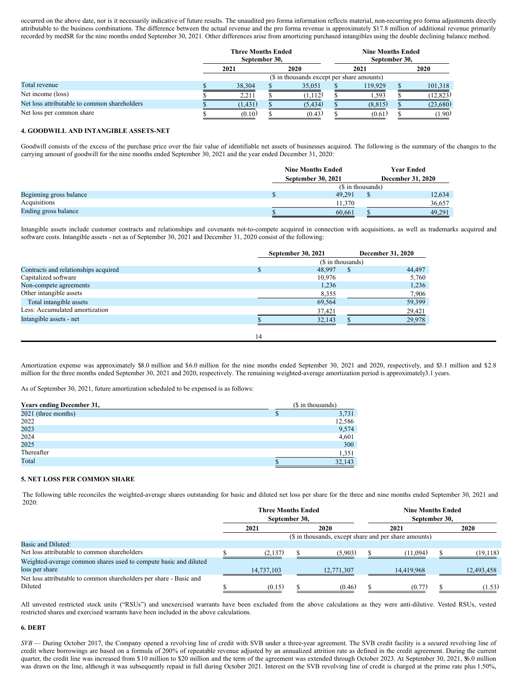occurred on the above date, nor is it necessarily indicative of future results. The unaudited pro forma information reflects material, non-recurring pro forma adjustments directly attributable to the business combinations. The difference between the actual revenue and the pro forma revenue is approximately \$17.8 million of additional revenue primarily recorded by medSR for the nine months ended September 30, 2021. Other differences arise from amortizing purchased intangibles using the double declining balance method.

|                                              |                                            | <b>Three Months Ended</b><br>September 30, |  | <b>Nine Months Ended</b><br>September 30. |  |          |  |          |
|----------------------------------------------|--------------------------------------------|--------------------------------------------|--|-------------------------------------------|--|----------|--|----------|
|                                              |                                            | 2021                                       |  | 2020                                      |  | 2021     |  | 2020     |
|                                              | (\$ in thousands except per share amounts) |                                            |  |                                           |  |          |  |          |
| Total revenue                                |                                            | 38,304                                     |  | 35,051                                    |  | 119.929  |  | 101,318  |
| Net income (loss)                            |                                            | 2.211                                      |  | (1.112)                                   |  | 1.593    |  | (12.823) |
| Net loss attributable to common shareholders |                                            | (1.431)                                    |  | (5, 434)                                  |  | (8, 815) |  | (23,680) |
| Net loss per common share                    |                                            | (0.10)                                     |  | (0.43)                                    |  | (0.61)   |  | (1.90)   |

### **4. GOODWILL AND INTANGIBLE ASSETS-NET**

Goodwill consists of the excess of the purchase price over the fair value of identifiable net assets of businesses acquired. The following is the summary of the changes to the carrying amount of goodwill for the nine months ended September 30, 2021 and the year ended December 31, 2020:

|                         | <b>Nine Months Ended</b> |                   | Year Ended               |
|-------------------------|--------------------------|-------------------|--------------------------|
|                         | September 30, 2021       |                   | <b>December 31, 2020</b> |
|                         |                          | (\$ in thousands) |                          |
| Beginning gross balance | 49.291                   |                   | 12,634                   |
| Acquisitions            | 11.370                   |                   | 36.657                   |
| Ending gross balance    | 60.661                   |                   | 49.291                   |

Intangible assets include customer contracts and relationships and covenants not-to-compete acquired in connection with acquisitions, as well as trademarks acquired and software costs. Intangible assets - net as of September 30, 2021 and December 31, 2020 consist of the following:

|                                      |    | <b>September 30, 2021</b> |   | <b>December 31, 2020</b> |
|--------------------------------------|----|---------------------------|---|--------------------------|
|                                      |    | (\$ in thousands)         |   |                          |
| Contracts and relationships acquired |    | 48.997                    | S | 44,497                   |
| Capitalized software                 |    | 10,976                    |   | 5,760                    |
| Non-compete agreements               |    | 1,236                     |   | 1,236                    |
| Other intangible assets              |    | 8,355                     |   | 7,906                    |
| Total intangible assets              |    | 69,564                    |   | 59,399                   |
| Less: Accumulated amortization       |    | 37,421                    |   | 29,421                   |
| Intangible assets - net              |    | 32,143                    |   | 29,978                   |
|                                      |    |                           |   |                          |
|                                      | 14 |                           |   |                          |

Amortization expense was approximately \$8.0 million and \$6.0 million for the nine months ended September 30, 2021 and 2020, respectively, and \$3.1 million and \$2.8 million for the three months ended September 30, 2021 and 2020, respectively. The remaining weighted-average amortization period is approximately3.1 years.

As of September 30, 2021, future amortization scheduled to be expensed is as follows:

| <b>Years ending December 31,</b> | (\$ in thousands) |
|----------------------------------|-------------------|
| 2021 (three months)              | 3,731             |
| 2022                             | 12,586            |
| 2023                             | 9,574             |
| 2024                             | 4,601             |
| 2025                             | 300               |
| Thereafter                       | 1,351             |
| Total                            | 32.143            |

### **5. NET LOSS PER COMMON SHARE**

The following table reconciles the weighted-average shares outstanding for basic and diluted net loss per share for the three and nine months ended September 30, 2021 and 2020:

|                                                                    | <b>Three Months Ended</b><br>September 30, |            | <b>Nine Months Ended</b><br>September 30,             |  |            |  |            |
|--------------------------------------------------------------------|--------------------------------------------|------------|-------------------------------------------------------|--|------------|--|------------|
|                                                                    |                                            | 2021       | 2020                                                  |  | 2021       |  | 2020       |
|                                                                    |                                            |            | (\$ in thousands, except share and per share amounts) |  |            |  |            |
| Basic and Diluted:                                                 |                                            |            |                                                       |  |            |  |            |
| Net loss attributable to common shareholders                       |                                            | (2,137)    | (5.903)                                               |  | (11,094)   |  | (19, 118)  |
| Weighted-average common shares used to compute basic and diluted   |                                            |            |                                                       |  |            |  |            |
| loss per share                                                     |                                            | 14,737,103 | 12,771,307                                            |  | 14.419.968 |  | 12,493,458 |
| Net loss attributable to common shareholders per share - Basic and |                                            |            |                                                       |  |            |  |            |
| Diluted                                                            |                                            | (0.15)     | (0.46)                                                |  | (0.77)     |  | (1.53)     |

All unvested restricted stock units ("RSUs") and unexercised warrants have been excluded from the above calculations as they were anti-dilutive. Vested RSUs, vested restricted shares and exercised warrants have been included in the above calculations.

#### **6. DEBT**

*SVB* — During October 2017, the Company opened a revolving line of credit with SVB under a three-year agreement. The SVB credit facility is a secured revolving line of credit where borrowings are based on a formula of 200% of repeatable revenue adjusted by an annualized attrition rate as defined in the credit agreement. During the current quarter, the credit line was increased from \$10 million to \$20 million and the term of the agreement was extended through October 2023. At September 30, 2021, \$6.0 million was drawn on the line, although it was subsequently repaid in full during October 2021. Interest on the SVB revolving line of credit is charged at the prime rate plus 1.50%,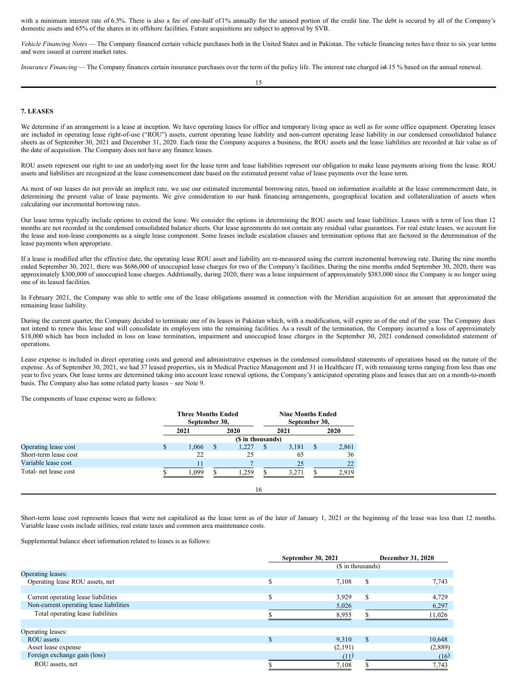with a minimum interest rate of 6.5%. There is also a fee of one-half of 1% annually for the unused portion of the credit line. The debt is secured by all of the Company's domestic assets and 65% of the shares in its offshore facilities. Future acquisitions are subject to approval by SVB.

*Vehicle Financing Notes* — The Company financed certain vehicle purchases both in the United States and in Pakistan. The vehicle financing notes have three to six year terms and were issued at current market rates.

*Insurance Financing* — The Company finances certain insurance purchases over the term of the policy life. The interest rate charged is4.15 % based on the annual renewal.

### **7. LEASES**

We determine if an arrangement is a lease at inception. We have operating leases for office and temporary living space as well as for some office equipment. Operating leases are included in operating lease right-of-use ("ROU") assets, current operating lease liability and non-current operating lease liability in our condensed consolidated balance sheets as of September 30, 2021 and December 31, 2020. Each time the Company acquires a business, the ROU assets and the lease liabilities are recorded at fair value as of the date of acquisition. The Company does not have any finance leases.

ROU assets represent our right to use an underlying asset for the lease term and lease liabilities represent our obligation to make lease payments arising from the lease. ROU assets and liabilities are recognized at the lease commencement date based on the estimated present value of lease payments over the lease term.

As most of our leases do not provide an implicit rate, we use our estimated incremental borrowing rates, based on information available at the lease commencement date, in determining the present value of lease payments. We give consideration to our bank financing arrangements, geographical location and collateralization of assets when calculating our incremental borrowing rates.

Our lease terms typically include options to extend the lease. We consider the options in determining the ROU assets and lease liabilities. Leases with a term of less than 12 months are not recorded in the condensed consolidated balance sheets. Our lease agreements do not contain any residual value guarantees. For real estate leases, we account for the lease and non-lease components as a single lease component. Some leases include escalation clauses and termination options that are factored in the determination of the lease payments when appropriate.

If a lease is modified after the effective date, the operating lease ROU asset and liability are re-measured using the current incremental borrowing rate. During the nine months ended September 30, 2021, there was \$686,000 of unoccupied lease charges for two of the Company's facilities. During the nine months ended September 30, 2020, there was approximately \$300,000 of unoccupied lease charges. Additionally, during 2020, there was a lease impairment of approximately \$383,000 since the Company is no longer using one of its leased facilities.

In February 2021, the Company was able to settle one of the lease obligations assumed in connection with the Meridian acquisition for an amount that approximated the remaining lease liability.

During the current quarter, the Company decided to terminate one of its leases in Pakistan which, with a modification, will expire as of the end of the year. The Company does not intend to renew this lease and will consolidate its employees into the remaining facilities. As a result of the termination, the Company incurred a loss of approximately \$18,000 which has been included in loss on lease termination, impairment and unoccupied lease charges in the September 30, 2021 condensed consolidated statement of operations.

Lease expense is included in direct operating costs and general and administrative expenses in the condensed consolidated statements of operations based on the nature of the expense. As of September 30, 2021, we had 37 leased properties, six in Medical Practice Management and 31 in Healthcare IT, with remaining terms ranging from less than one year to five years. Our lease terms are determined taking into account lease renewal options, the Company's anticipated operating plans and leases that are on a month-to-month basis. The Company also has some related party leases – see Note 9.

The components of lease expense were as follows:

|                       | <b>Three Months Ended</b><br>September 30, |                   |    | <b>Nine Months Ended</b><br>September 30, |   |       |
|-----------------------|--------------------------------------------|-------------------|----|-------------------------------------------|---|-------|
|                       | 2021                                       | 2020              |    | 2021                                      |   | 2020  |
|                       |                                            | (\$ in thousands) |    |                                           |   |       |
| Operating lease cost  | \$<br>1,066                                | 1,227             | S  | 3,181                                     | S | 2,861 |
| Short-term lease cost | 22                                         | 25                |    | 65                                        |   | 36    |
| Variable lease cost   | 11                                         |                   |    | 25                                        |   | 22    |
| Total- net lease cost | 1.099                                      | 1.259             | S  | 3,271                                     |   | 2.919 |
|                       |                                            |                   | 16 |                                           |   |       |

Short-term lease cost represents leases that were not capitalized as the lease term as of the later of January 1, 2021 or the beginning of the lease was less than 12 months. Variable lease costs include utilities, real estate taxes and common area maintenance costs.

Supplemental balance sheet information related to leases is as follows:

|                                         |    | September 30, 2021 | December 31, 2020       |  |  |
|-----------------------------------------|----|--------------------|-------------------------|--|--|
|                                         |    | (\$ in thousands)  |                         |  |  |
| Operating leases:                       |    |                    |                         |  |  |
| Operating lease ROU assets, net         | S  | 7.108              | \$<br>7,743             |  |  |
|                                         |    |                    |                         |  |  |
| Current operating lease liabilities     | S  | 3.929              | \$<br>4,729             |  |  |
| Non-current operating lease liabilities |    | 5,026              | 6,297                   |  |  |
| Total operating lease liabilities       |    | 8,955              | 11,026                  |  |  |
|                                         |    |                    |                         |  |  |
| Operating leases:                       |    |                    |                         |  |  |
| <b>ROU</b> assets                       | \$ | 9.310              | <sup>\$</sup><br>10,648 |  |  |
| Asset lease expense                     |    | (2,191)            | (2,889)                 |  |  |
| Foreign exchange gain (loss)            |    | (11)               | (16)                    |  |  |
| ROU assets, net                         |    | 7,108              | 7,743                   |  |  |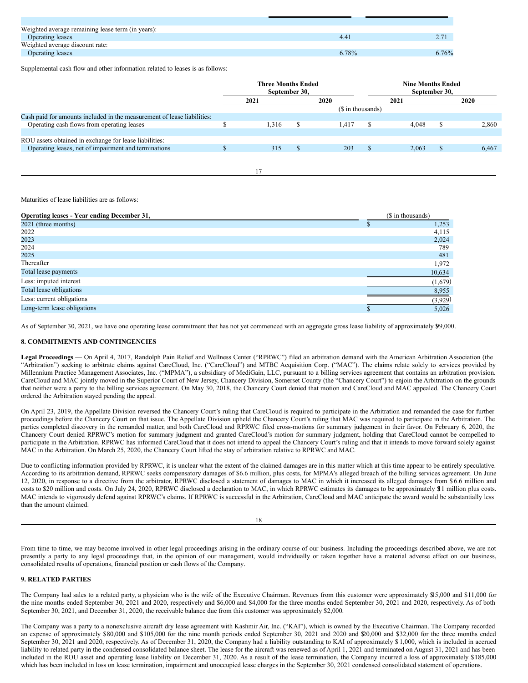| Weighted average remaining lease term (in years): |       |          |
|---------------------------------------------------|-------|----------|
| <b>Operating leases</b>                           | 4.41  | 2.71     |
| Weighted average discount rate:                   |       |          |
| <b>Operating leases</b>                           | 6.78% | $6.76\%$ |

Supplemental cash flow and other information related to leases is as follows:

|                                                                         | <b>Three Months Ended</b><br>September 30, |       |  |       |                   | <b>Nine Months Ended</b><br>September 30, |   |       |  |  |
|-------------------------------------------------------------------------|--------------------------------------------|-------|--|-------|-------------------|-------------------------------------------|---|-------|--|--|
|                                                                         |                                            | 2021  |  | 2020  |                   | 2021                                      |   | 2020  |  |  |
|                                                                         |                                            |       |  |       | (\$ in thousands) |                                           |   |       |  |  |
| Cash paid for amounts included in the measurement of lease liabilities: |                                            |       |  |       |                   |                                           |   |       |  |  |
| Operating cash flows from operating leases                              |                                            | 1,316 |  | 1.417 |                   | 4.048                                     | S | 2,860 |  |  |
|                                                                         |                                            |       |  |       |                   |                                           |   |       |  |  |
| ROU assets obtained in exchange for lease liabilities:                  |                                            |       |  |       |                   |                                           |   |       |  |  |
| Operating leases, net of impairment and terminations                    |                                            | 315   |  | 203   |                   | 2,063                                     | S | 6,467 |  |  |
|                                                                         |                                            |       |  |       |                   |                                           |   |       |  |  |
|                                                                         |                                            |       |  |       |                   |                                           |   |       |  |  |

Maturities of lease liabilities are as follows:

| Operating leases - Year ending December 31, | (\$ in thousands) |
|---------------------------------------------|-------------------|
| 2021 (three months)                         | 1,253             |
| 2022                                        | 4,115             |
| 2023                                        | 2,024             |
| 2024                                        | 789               |
| 2025                                        | 481               |
| Thereafter                                  | 1,972             |
| Total lease payments                        | 10,634            |
| Less: imputed interest                      | (1,679)           |
| Total lease obligations                     | 8.955             |
| Less: current obligations                   | (3,929)           |
| Long-term lease obligations                 | 5,026             |

As of September 30, 2021, we have one operating lease commitment that has not yet commenced with an aggregate gross lease liability of approximately \$99,000.

### **8. COMMITMENTS AND CONTINGENCIES**

**Legal Proceedings** — On April 4, 2017, Randolph Pain Relief and Wellness Center ("RPRWC") filed an arbitration demand with the American Arbitration Association (the "Arbitration") seeking to arbitrate claims against CareCloud, Inc. ("CareCloud") and MTBC Acquisition Corp. ("MAC"). The claims relate solely to services provided by Millennium Practice Management Associates, Inc. ("MPMA"), a subsidiary of MediGain, LLC, pursuant to a billing services agreement that contains an arbitration provision. CareCloud and MAC jointly moved in the Superior Court of New Jersey, Chancery Division, Somerset County (the "Chancery Court") to enjoin the Arbitration on the grounds that neither were a party to the billing services agreement. On May 30, 2018, the Chancery Court denied that motion and CareCloud and MAC appealed. The Chancery Court ordered the Arbitration stayed pending the appeal.

On April 23, 2019, the Appellate Division reversed the Chancery Court's ruling that CareCloud is required to participate in the Arbitration and remanded the case for further proceedings before the Chancery Court on that issue. The Appellate Division upheld the Chancery Court's ruling that MAC was required to participate in the Arbitration. The parties completed discovery in the remanded matter, and both CareCloud and RPRWC filed cross-motions for summary judgement in their favor. On February 6, 2020, the Chancery Court denied RPRWC's motion for summary judgment and granted CareCloud's motion for summary judgment, holding that CareCloud cannot be compelled to participate in the Arbitration. RPRWC has informed CareCloud that it does not intend to appeal the Chancery Court's ruling and that it intends to move forward solely against MAC in the Arbitration. On March 25, 2020, the Chancery Court lifted the stay of arbitration relative to RPRWC and MAC.

Due to conflicting information provided by RPRWC, it is unclear what the extent of the claimed damages are in this matter which at this time appear to be entirely speculative. According to its arbitration demand, RPRWC seeks compensatory damages of \$6.6 million, plus costs, for MPMA's alleged breach of the billing services agreement. On June 12, 2020, in response to a directive from the arbitrator, RPRWC disclosed a statement of damages to MAC in which it increased its alleged damages from \$ 6.6 million and costs to \$20 million and costs. On July 24, 2020, RPRWC disclosed a declaration to MAC, in which RPRWC estimates its damages to be approximately \$11 million plus costs. MAC intends to vigorously defend against RPRWC's claims. If RPRWC is successful in the Arbitration, CareCloud and MAC anticipate the award would be substantially less than the amount claimed.

18

From time to time, we may become involved in other legal proceedings arising in the ordinary course of our business. Including the proceedings described above, we are not presently a party to any legal proceedings that, in the opinion of our management, would individually or taken together have a material adverse effect on our business, consolidated results of operations, financial position or cash flows of the Company.

### **9. RELATED PARTIES**

The Company had sales to a related party, a physician who is the wife of the Executive Chairman. Revenues from this customer were approximately \$15,000 and \$11,000 for the nine months ended September 30, 2021 and 2020, respectively and \$6,000 and \$4,000 for the three months ended September 30, 2021 and 2020, respectively. As of both September 30, 2021, and December 31, 2020, the receivable balance due from this customer was approximately \$2,000.

The Company was a party to a nonexclusive aircraft dry lease agreement with Kashmir Air, Inc. ("KAI"), which is owned by the Executive Chairman. The Company recorded an expense of approximately \$80,000 and \$105,000 for the nine month periods ended September 30, 2021 and 2020 and \$20,000 and \$32,000 for the three months ended September 30, 2021 and 2020, respectively. As of December 31, 2020, the Company had a liability outstanding to KAI of approximately \$1,000, which is included in accrued liability to related party in the condensed consolidated balance sheet. The lease for the aircraft was renewed as of April 1, 2021 and terminated on August 31, 2021 and has been included in the ROU asset and operating lease liability on December 31, 2020. As a result of the lease termination, the Company incurred a loss of approximately \$185,000 which has been included in loss on lease termination, impairment and unoccupied lease charges in the September 30, 2021 condensed consolidated statement of operations.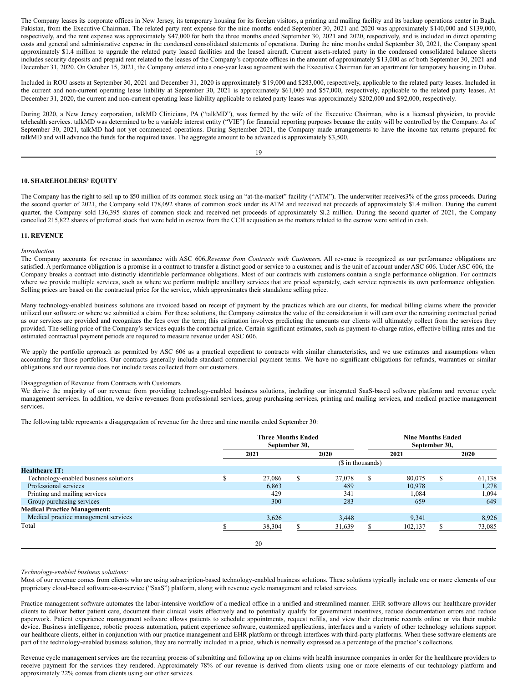The Company leases its corporate offices in New Jersey, its temporary housing for its foreign visitors, a printing and mailing facility and its backup operations center in Bagh, Pakistan, from the Executive Chairman. The related party rent expense for the nine months ended September 30, 2021 and 2020 was approximately \$140,000 and \$139,000, respectively, and the rent expense was approximately \$47,000 for both the three months ended September 30, 2021 and 2020, respectively, and is included in direct operating costs and general and administrative expense in the condensed consolidated statements of operations. During the nine months ended September 30, 2021, the Company spent approximately \$1.4 million to upgrade the related party leased facilities and the leased aircraft. Current assets-related party in the condensed consolidated balance sheets includes security deposits and prepaid rent related to the leases of the Company's corporate offices in the amount of approximately \$13,000 as of both September 30, 2021 and December 31, 2020. On October 15, 2021, the Company entered into a one-year lease agreement with the Executive Chairman for an apartment for temporary housing in Dubai.

Included in ROU assets at September 30, 2021 and December 31, 2020 is approximately \$119,000 and \$283,000, respectively, applicable to the related party leases. Included in the current and non-current operating lease liability at September 30, 2021 is approximately \$61,000 and \$57,000, respectively, applicable to the related party leases. At December 31, 2020, the current and non-current operating lease liability applicable to related party leases was approximately \$202,000 and \$92,000, respectively.

During 2020, a New Jersey corporation, talkMD Clinicians, PA ("talkMD"), was formed by the wife of the Executive Chairman, who is a licensed physician, to provide telehealth services. talkMD was determined to be a variable interest entity ("VIE") for financial reporting purposes because the entity will be controlled by the Company. As of September 30, 2021, talkMD had not yet commenced operations. During September 2021, the Company made arrangements to have the income tax returns prepared for talkMD and will advance the funds for the required taxes. The aggregate amount to be advanced is approximately \$3,500.

19

### **10. SHAREHOLDERS' EQUITY**

The Company has the right to sell up to \$50 million of its common stock using an "at-the-market" facility ("ATM"). The underwriter receives3% of the gross proceeds. During the second quarter of 2021, the Company sold 178,092 shares of common stock under its ATM and received net proceeds of approximately \$1.4 million. During the current quarter, the Company sold 136,395 shares of common stock and received net proceeds of approximately \$1.2 million. During the second quarter of 2021, the Company cancelled 215,822 shares of preferred stock that were held in escrow from the CCH acquisition as the matters related to the escrow were settled in cash.

### **11. REVENUE**

#### *Introduction*

The Company accounts for revenue in accordance with ASC 606,*Revenue from Contracts with Customers*. All revenue is recognized as our performance obligations are satisfied. A performance obligation is a promise in a contract to transfer a distinct good or service to a customer, and is the unit of account under ASC 606. Under ASC 606, the Company breaks a contract into distinctly identifiable performance obligations. Most of our contracts with customers contain a single performance obligation. For contracts where we provide multiple services, such as where we perform multiple ancillary services that are priced separately, each service represents its own performance obligation. Selling prices are based on the contractual price for the service, which approximates their standalone selling price.

Many technology-enabled business solutions are invoiced based on receipt of payment by the practices which are our clients, for medical billing claims where the provider utilized our software or where we submitted a claim. For these solutions, the Company estimates the value of the consideration it will earn over the remaining contractual period as our services are provided and recognizes the fees over the term; this estimation involves predicting the amounts our clients will ultimately collect from the services they provided. The selling price of the Company's services equals the contractual price. Certain significant estimates, such as payment-to-charge ratios, effective billing rates and the estimated contractual payment periods are required to measure revenue under ASC 606.

We apply the portfolio approach as permitted by ASC 606 as a practical expedient to contracts with similar characteristics, and we use estimates and assumptions when accounting for those portfolios. Our contracts generally include standard commercial payment terms. We have no significant obligations for refunds, warranties or similar obligations and our revenue does not include taxes collected from our customers.

#### Disaggregation of Revenue from Contracts with Customers

We derive the majority of our revenue from providing technology-enabled business solutions, including our integrated SaaS-based software platform and revenue cycle management services. In addition, we derive revenues from professional services, group purchasing services, printing and mailing services, and medical practice management services.

The following table represents a disaggregation of revenue for the three and nine months ended September 30:

|                                       | <b>Three Months Ended</b><br>September 30, |        |   |        |               | <b>Nine Months Ended</b><br>September 30, |   |        |  |  |
|---------------------------------------|--------------------------------------------|--------|---|--------|---------------|-------------------------------------------|---|--------|--|--|
|                                       |                                            | 2021   |   | 2020   | 2021          |                                           |   | 2020   |  |  |
|                                       | (\$ in thousands)                          |        |   |        |               |                                           |   |        |  |  |
| <b>Healthcare IT:</b>                 |                                            |        |   |        |               |                                           |   |        |  |  |
| Technology-enabled business solutions | $\sigma$                                   | 27,086 | S | 27,078 | <sup>\$</sup> | 80,075                                    | S | 61,138 |  |  |
| Professional services                 |                                            | 6,863  |   | 489    |               | 10,978                                    |   | 1,278  |  |  |
| Printing and mailing services         |                                            | 429    |   | 341    |               | 1,084                                     |   | 1,094  |  |  |
| Group purchasing services             |                                            | 300    |   | 283    |               | 659                                       |   | 649    |  |  |
| <b>Medical Practice Management:</b>   |                                            |        |   |        |               |                                           |   |        |  |  |
| Medical practice management services  |                                            | 3,626  |   | 3,448  |               | 9,341                                     |   | 8,926  |  |  |
| Total                                 |                                            | 38,304 |   | 31,639 |               | 102,137                                   |   | 73,085 |  |  |
|                                       |                                            | 20     |   |        |               |                                           |   |        |  |  |

*Technology-enabled business solutions:*

Most of our revenue comes from clients who are using subscription-based technology-enabled business solutions. These solutions typically include one or more elements of our proprietary cloud-based software-as-a-service ("SaaS") platform, along with revenue cycle management and related services.

Practice management software automates the labor-intensive workflow of a medical office in a unified and streamlined manner. EHR software allows our healthcare provider clients to deliver better patient care, document their clinical visits effectively and to potentially qualify for government incentives, reduce documentation errors and reduce paperwork. Patient experience management software allows patients to schedule appointments, request refills, and view their electronic records online or via their mobile device. Business intelligence, robotic process automation, patient experience software, customized applications, interfaces and a variety of other technology solutions support our healthcare clients, either in conjunction with our practice management and EHR platform or through interfaces with third-party platforms. When these software elements are part of the technology-enabled business solution, they are normally included in a price, which is normally expressed as a percentage of the practice's collections.

Revenue cycle management services are the recurring process of submitting and following up on claims with health insurance companies in order for the healthcare providers to receive payment for the services they rendered. Approximately 78% of our revenue is derived from clients using one or more elements of our technology platform and approximately 22% comes from clients using our other services.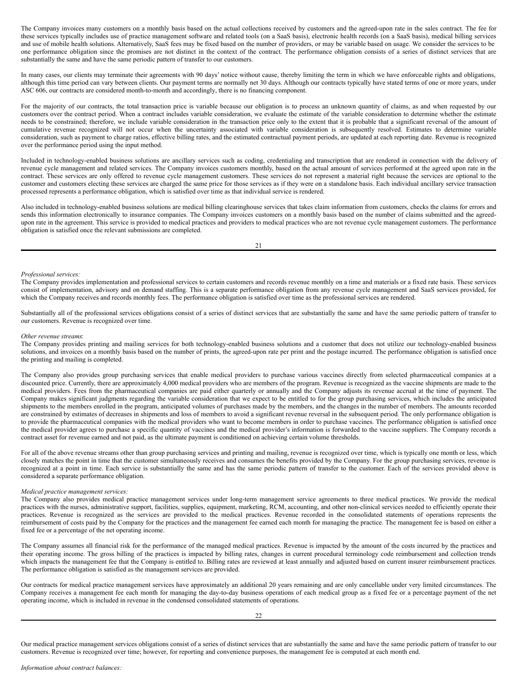The Company invoices many customers on a monthly basis based on the actual collections received by customers and the agreed-upon rate in the sales contract. The fee for these services typically includes use of practice management software and related tools (on a SaaS basis), electronic health records (on a SaaS basis), medical billing services and use of mobile health solutions. Alternatively, SaaS fees may be fixed based on the number of providers, or may be variable based on usage. We consider the services to be one performance obligation since the promises are not distinct in the context of the contract. The performance obligation consists of a series of distinct services that are substantially the same and have the same periodic pattern of transfer to our customers.

In many cases, our clients may terminate their agreements with 90 days' notice without cause, thereby limiting the term in which we have enforceable rights and obligations, although this time period can vary between clients. Our payment terms are normally net 30 days. Although our contracts typically have stated terms of one or more years, under ASC 606, our contracts are considered month-to-month and accordingly, there is no financing component.

For the majority of our contracts, the total transaction price is variable because our obligation is to process an unknown quantity of claims, as and when requested by our customers over the contract period. When a contract includes variable consideration, we evaluate the estimate of the variable consideration to determine whether the estimate needs to be constrained; therefore, we include variable consideration in the transaction price only to the extent that it is probable that a significant reversal of the amount of cumulative revenue recognized will not occur when the uncertainty associated with variable consideration is subsequently resolved. Estimates to determine variable consideration, such as payment to charge ratios, effective billing rates, and the estimated contractual payment periods, are updated at each reporting date. Revenue is recognized over the performance period using the input method.

Included in technology-enabled business solutions are ancillary services such as coding, credentialing and transcription that are rendered in connection with the delivery of revenue cycle management and related services. The Company invoices customers monthly, based on the actual amount of services performed at the agreed upon rate in the contract. These services are only offered to revenue cycle management customers. These services do not represent a material right because the services are optional to the customer and customers electing these services are charged the same price for those services as if they were on a standalone basis. Each individual ancillary service transaction processed represents a performance obligation, which is satisfied over time as that individual service is rendered.

Also included in technology-enabled business solutions are medical billing clearinghouse services that takes claim information from customers, checks the claims for errors and sends this information electronically to insurance companies. The Company invoices customers on a monthly basis based on the number of claims submitted and the agreedupon rate in the agreement. This service is provided to medical practices and providers to medical practices who are not revenue cycle management customers. The performance obligation is satisfied once the relevant submissions are completed.

21

#### *Professional services:*

The Company provides implementation and professional services to certain customers and records revenue monthly on a time and materials or a fixed rate basis. These services consist of implementation, advisory and on demand staffing. This is a separate performance obligation from any revenue cycle management and SaaS services provided, for which the Company receives and records monthly fees. The performance obligation is satisfied over time as the professional services are rendered.

Substantially all of the professional services obligations consist of a series of distinct services that are substantially the same and have the same periodic pattern of transfer to our customers. Revenue is recognized over time.

#### *Other revenue streams*:

The Company provides printing and mailing services for both technology-enabled business solutions and a customer that does not utilize our technology-enabled business solutions, and invoices on a monthly basis based on the number of prints, the agreed-upon rate per print and the postage incurred. The performance obligation is satisfied once the printing and mailing is completed.

The Company also provides group purchasing services that enable medical providers to purchase various vaccines directly from selected pharmaceutical companies at a discounted price. Currently, there are approximately 4,000 medical providers who are members of the program. Revenue is recognized as the vaccine shipments are made to the medical providers. Fees from the pharmaceutical companies are paid either quarterly or annually and the Company adjusts its revenue accrual at the time of payment. The Company makes significant judgments regarding the variable consideration that we expect to be entitled to for the group purchasing services, which includes the anticipated shipments to the members enrolled in the program, anticipated volumes of purchases made by the members, and the changes in the number of members. The amounts recorded are constrained by estimates of decreases in shipments and loss of members to avoid a significant revenue reversal in the subsequent period. The only performance obligation is to provide the pharmaceutical companies with the medical providers who want to become members in order to purchase vaccines. The performance obligation is satisfied once the medical provider agrees to purchase a specific quantity of vaccines and the medical provider's information is forwarded to the vaccine suppliers. The Company records a contract asset for revenue earned and not paid, as the ultimate payment is conditioned on achieving certain volume thresholds.

For all of the above revenue streams other than group purchasing services and printing and mailing, revenue is recognized over time, which is typically one month or less, which closely matches the point in time that the customer simultaneously receives and consumes the benefits provided by the Company. For the group purchasing services, revenue is recognized at a point in time. Each service is substantially the same and has the same periodic pattern of transfer to the customer. Each of the services provided above is considered a separate performance obligation.

### *Medical practice management services:*

The Company also provides medical practice management services under long-term management service agreements to three medical practices. We provide the medical practices with the nurses, administrative support, facilities, supplies, equipment, marketing, RCM, accounting, and other non-clinical services needed to efficiently operate their practices. Revenue is recognized as the services are provided to the medical practices. Revenue recorded in the consolidated statements of operations represents the reimbursement of costs paid by the Company for the practices and the management fee earned each month for managing the practice. The management fee is based on either a fixed fee or a percentage of the net operating income.

The Company assumes all financial risk for the performance of the managed medical practices. Revenue is impacted by the amount of the costs incurred by the practices and their operating income. The gross billing of the practices is impacted by billing rates, changes in current procedural terminology code reimbursement and collection trends which impacts the management fee that the Company is entitled to. Billing rates are reviewed at least annually and adjusted based on current insurer reimbursement practices. The performance obligation is satisfied as the management services are provided.

Our contracts for medical practice management services have approximately an additional 20 years remaining and are only cancellable under very limited circumstances. The Company receives a management fee each month for managing the day-to-day business operations of each medical group as a fixed fee or a percentage payment of the net operating income, which is included in revenue in the condensed consolidated statements of operations.

Our medical practice management services obligations consist of a series of distinct services that are substantially the same and have the same periodic pattern of transfer to our customers. Revenue is recognized over time; however, for reporting and convenience purposes, the management fee is computed at each month end.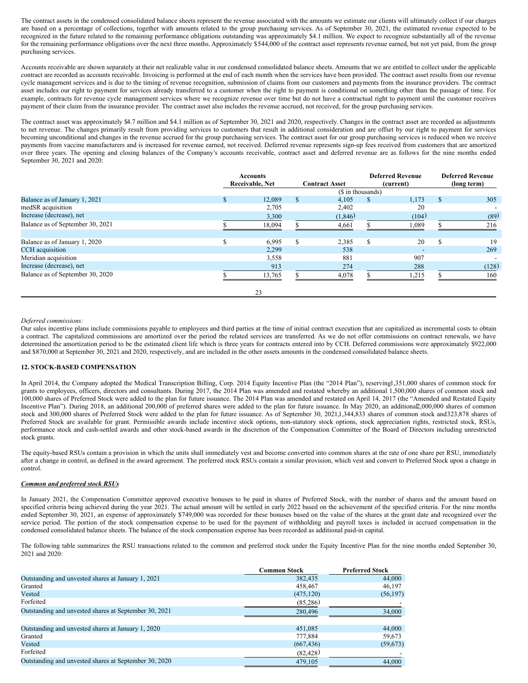The contract assets in the condensed consolidated balance sheets represent the revenue associated with the amounts we estimate our clients will ultimately collect if our charges are based on a percentage of collections, together with amounts related to the group purchasing services. As of September 30, 2021, the estimated revenue expected to be recognized in the future related to the remaining performance obligations outstanding was approximately \$4.1 million. We expect to recognize substantially all of the revenue for the remaining performance obligations over the next three months. Approximately \$544,000 of the contract asset represents revenue earned, but not yet paid, from the group purchasing services.

Accounts receivable are shown separately at their net realizable value in our condensed consolidated balance sheets. Amounts that we are entitled to collect under the applicable contract are recorded as accounts receivable. Invoicing is performed at the end of each month when the services have been provided. The contract asset results from our revenue cycle management services and is due to the timing of revenue recognition, submission of claims from our customers and payments from the insurance providers. The contract asset includes our right to payment for services already transferred to a customer when the right to payment is conditional on something other than the passage of time. For example, contracts for revenue cycle management services where we recognize revenue over time but do not have a contractual right to payment until the customer receives payment of their claim from the insurance provider. The contract asset also includes the revenue accrued, not received, for the group purchasing services.

The contract asset was approximately \$4.7 million and \$4.1 million as of September 30, 2021 and 2020, respectively. Changes in the contract asset are recorded as adjustments to net revenue. The changes primarily result from providing services to customers that result in additional consideration and are offset by our right to payment for services becoming unconditional and changes in the revenue accrued for the group purchasing services. The contract asset for our group purchasing services is reduced when we receive payments from vaccine manufacturers and is increased for revenue earned, not received. Deferred revenue represents sign-up fees received from customers that are amortized over three years. The opening and closing balances of the Company's accounts receivable, contract asset and deferred revenue are as follows for the nine months ended September 30, 2021 and 2020:

|                                  |  | <b>Accounts</b><br>Receivable, Net | <b>Contract Asset</b> |                   | <b>Deferred Revenue</b><br>(current) |       |     | <b>Deferred Revenue</b><br>(long term) |
|----------------------------------|--|------------------------------------|-----------------------|-------------------|--------------------------------------|-------|-----|----------------------------------------|
|                                  |  |                                    |                       | (\$ in thousands) |                                      |       |     |                                        |
| Balance as of January 1, 2021    |  | 12,089                             | \$.                   | 4,105             | <b>S</b>                             | 1,173 | \$. | 305                                    |
| medSR acquisition                |  | 2,705                              |                       | 2,402             |                                      | 20    |     |                                        |
| Increase (decrease), net         |  | 3,300                              |                       | (1,846)           |                                      | (104) |     | (89)                                   |
| Balance as of September 30, 2021 |  | 18,094                             |                       | 4,661             |                                      | 1,089 |     | 216                                    |
| Balance as of January 1, 2020    |  | 6,995                              |                       | 2,385             | S                                    | 20    | S   | 19                                     |
| CCH acquisition                  |  | 2,299                              |                       | 538               |                                      |       |     | 269                                    |
| Meridian acquisition             |  | 3,558                              |                       | 881               |                                      | 907   |     |                                        |
| Increase (decrease), net         |  | 913                                |                       | 274               |                                      | 288   |     | (128)                                  |
| Balance as of September 30, 2020 |  | 13,765                             |                       | 4,078             |                                      | 1,215 |     | 160                                    |
|                                  |  | 23                                 |                       |                   |                                      |       |     |                                        |

### *Deferred commissions:*

Our sales incentive plans include commissions payable to employees and third parties at the time of initial contract execution that are capitalized as incremental costs to obtain a contract. The capitalized commissions are amortized over the period the related services are transferred. As we do not offer commissions on contract renewals, we have determined the amortization period to be the estimated client life which is three years for contracts entered into by CCH. Deferred commissions were approximately \$922,000 and \$870,000 at September 30, 2021 and 2020, respectively, and are included in the other assets amounts in the condensed consolidated balance sheets.

### **12. STOCK-BASED COMPENSATION**

In April 2014, the Company adopted the Medical Transcription Billing, Corp. 2014 Equity Incentive Plan (the "2014 Plan"), reserving1,351,000 shares of common stock for grants to employees, officers, directors and consultants. During 2017, the 2014 Plan was amended and restated whereby an additional 1,500,000 shares of common stock and 100,000 shares of Preferred Stock were added to the plan for future issuance. The 2014 Plan was amended and restated on April 14, 2017 (the "Amended and Restated Equity Incentive Plan"). During 2018, an additional 200,000 of preferred shares were added to the plan for future issuance. In May 2020, an additional2,000,000 shares of common stock and 300,000 shares of Preferred Stock were added to the plan for future issuance. As of September 30, 2021,1,344,833 shares of common stock and323,878 shares of Preferred Stock are available for grant. Permissible awards include incentive stock options, non-statutory stock options, stock appreciation rights, restricted stock, RSUs, performance stock and cash-settled awards and other stock-based awards in the discretion of the Compensation Committee of the Board of Directors including unrestricted stock grants.

The equity-based RSUs contain a provision in which the units shall immediately vest and become converted into common shares at the rate of one share per RSU, immediately after a change in control, as defined in the award agreement. The preferred stock RSUs contain a similar provision, which vest and convert to Preferred Stock upon a change in control.

### *Common and preferred stock RSUs*

In January 2021, the Compensation Committee approved executive bonuses to be paid in shares of Preferred Stock, with the number of shares and the amount based on specified criteria being achieved during the year 2021. The actual amount will be settled in early 2022 based on the achievement of the specified criteria. For the nine months ended September 30, 2021, an expense of approximately \$749,000 was recorded for these bonuses based on the value of the shares at the grant date and recognized over the service period. The portion of the stock compensation expense to be used for the payment of withholding and payroll taxes is included in accrued compensation in the condensed consolidated balance sheets. The balance of the stock compensation expense has been recorded as additional paid-in capital.

The following table summarizes the RSU transactions related to the common and preferred stock under the Equity Incentive Plan for the nine months ended September 30, 2021 and 2020:

|                                                       | <b>Common Stock</b> | <b>Preferred Stock</b> |
|-------------------------------------------------------|---------------------|------------------------|
| Outstanding and unvested shares at January 1, 2021    | 382,435             | 44,000                 |
| Granted                                               | 458,467             | 46,197                 |
| Vested                                                | (475, 120)          | (56, 197)              |
| Forfeited                                             | (85,286)            |                        |
| Outstanding and unvested shares at September 30, 2021 | 280,496             | 34,000                 |
| Outstanding and unvested shares at January 1, 2020    | 451.085             | 44,000                 |
| Granted                                               | 777,884             | 59,673                 |
| Vested                                                | (667, 436)          | (59,673)               |
| Forfeited                                             | (82, 428)           |                        |
| Outstanding and unvested shares at September 30, 2020 | 479,105             | 44,000                 |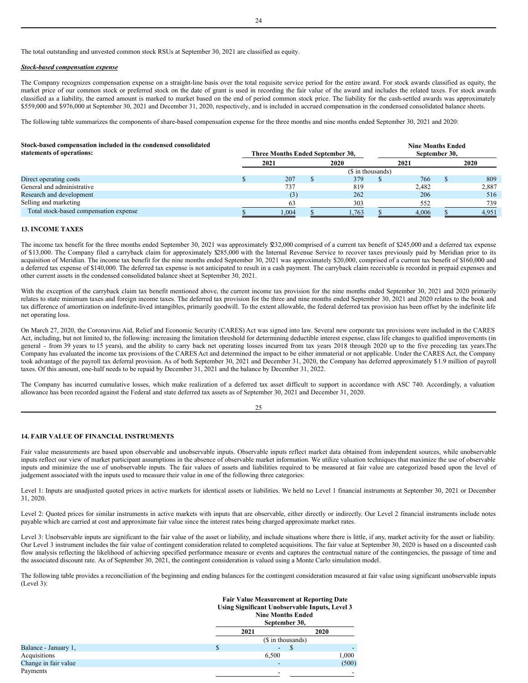The total outstanding and unvested common stock RSUs at September 30, 2021 are classified as equity.

#### *Stock-based compensation expense*

The Company recognizes compensation expense on a straight-line basis over the total requisite service period for the entire award. For stock awards classified as equity, the market price of our common stock or preferred stock on the date of grant is used in recording the fair value of the award and includes the related taxes. For stock awards classified as a liability, the earned amount is marked to market based on the end of period common stock price. The liability for the cash-settled awards was approximately \$559,000 and \$976,000 at September 30, 2021 and December 31, 2020, respectively, and is included in accrued compensation in the condensed consolidated balance sheets.

The following table summarizes the components of share-based compensation expense for the three months and nine months ended September 30, 2021 and 2020:

| Stock-based compensation included in the condensed consolidated<br>statements of operations: |  | Three Months Ended September 30, |  | <b>Nine Months Ended</b><br>September 30. |  |       |      |       |
|----------------------------------------------------------------------------------------------|--|----------------------------------|--|-------------------------------------------|--|-------|------|-------|
|                                                                                              |  | 2021                             |  | 2020                                      |  | 2021  | 2020 |       |
|                                                                                              |  |                                  |  | (\$ in thousands)                         |  |       |      |       |
| Direct operating costs                                                                       |  | 207                              |  | 379                                       |  | 766   |      | 809   |
| General and administrative                                                                   |  | 737                              |  | 819                                       |  | 2.482 |      | 2,887 |
| Research and development                                                                     |  | (3)                              |  | 262                                       |  | 206   |      | 516   |
| Selling and marketing                                                                        |  | 63                               |  | 303                                       |  | 552   |      | 739   |
| Total stock-based compensation expense                                                       |  | 1.004                            |  | 1,763                                     |  | 4.006 |      | 4.951 |

### **13. INCOME TAXES**

The income tax benefit for the three months ended September 30, 2021 was approximately \$232,000 comprised of a current tax benefit of \$245,000 and a deferred tax expense of \$13,000. The Company filed a carryback claim for approximately \$285,000 with the Internal Revenue Service to recover taxes previously paid by Meridian prior to its acquisition of Meridian. The income tax benefit for the nine months ended September 30, 2021 was approximately \$20,000, comprised of a current tax benefit of \$160,000 and a deferred tax expense of \$140,000. The deferred tax expense is not anticipated to result in a cash payment. The carryback claim receivable is recorded in prepaid expenses and other current assets in the condensed consolidated balance sheet at September 30, 2021.

With the exception of the carryback claim tax benefit mentioned above, the current income tax provision for the nine months ended September 30, 2021 and 2020 primarily relates to state minimum taxes and foreign income taxes. The deferred tax provision for the three and nine months ended September 30, 2021 and 2020 relates to the book and tax difference of amortization on indefinite-lived intangibles, primarily goodwill. To the extent allowable, the federal deferred tax provision has been offset by the indefinite life net operating loss.

On March 27, 2020, the Coronavirus Aid, Relief and Economic Security (CARES) Act was signed into law. Several new corporate tax provisions were included in the CARES Act, including, but not limited to, the following: increasing the limitation threshold for determining deductible interest expense, class life changes to qualified improvements (in general - from 39 years to 15 years), and the ability to carry back net operating losses incurred from tax years 2018 through 2020 up to the five preceding tax years.The Company has evaluated the income tax provisions of the CARES Act and determined the impact to be either immaterial or not applicable. Under the CARES Act, the Company took advantage of the payroll tax deferral provision. As of both September 30, 2021 and December 31, 2020, the Company has deferred approximately \$1.9 million of payroll taxes. Of this amount, one-half needs to be repaid by December 31, 2021 and the balance by December 31, 2022.

The Company has incurred cumulative losses, which make realization of a deferred tax asset difficult to support in accordance with ASC 740. Accordingly, a valuation allowance has been recorded against the Federal and state deferred tax assets as of September 30, 2021 and December 31, 2020.

 $25$ 

### **14. FAIR VALUE OF FINANCIAL INSTRUMENTS**

Fair value measurements are based upon observable and unobservable inputs. Observable inputs reflect market data obtained from independent sources, while unobservable inputs reflect our view of market participant assumptions in the absence of observable market information. We utilize valuation techniques that maximize the use of observable inputs and minimize the use of unobservable inputs. The fair values of assets and liabilities required to be measured at fair value are categorized based upon the level of judgement associated with the inputs used to measure their value in one of the following three categories:

Level 1: Inputs are unadjusted quoted prices in active markets for identical assets or liabilities. We held no Level 1 financial instruments at September 30, 2021 or December 31, 2020.

Level 2: Quoted prices for similar instruments in active markets with inputs that are observable, either directly or indirectly. Our Level 2 financial instruments include notes payable which are carried at cost and approximate fair value since the interest rates being charged approximate market rates.

Level 3: Unobservable inputs are significant to the fair value of the asset or liability, and include situations where there is little, if any, market activity for the asset or liability. Our Level 3 instrument includes the fair value of contingent consideration related to completed acquisitions. The fair value at September 30, 2020 is based on a discounted cash flow analysis reflecting the likelihood of achieving specified performance measure or events and captures the contractual nature of the contingencies, the passage of time and the associated discount rate. As of September 30, 2021, the contingent consideration is valued using a Monte Carlo simulation model.

The following table provides a reconciliation of the beginning and ending balances for the contingent consideration measured at fair value using significant unobservable inputs (Level 3):

|                      |      | <b>Nine Months Ended</b> | September 30,     | <b>Fair Value Measurement at Reporting Date</b><br>Using Significant Unobservable Inputs, Level 3 |
|----------------------|------|--------------------------|-------------------|---------------------------------------------------------------------------------------------------|
|                      | 2021 |                          |                   | 2020                                                                                              |
|                      |      |                          | (\$ in thousands) |                                                                                                   |
| Balance - January 1, |      | ٠                        | S                 |                                                                                                   |
| Acquisitions         |      | 6,500                    |                   | 1,000                                                                                             |
| Change in fair value |      |                          |                   | (500)                                                                                             |
| Payments             |      |                          |                   |                                                                                                   |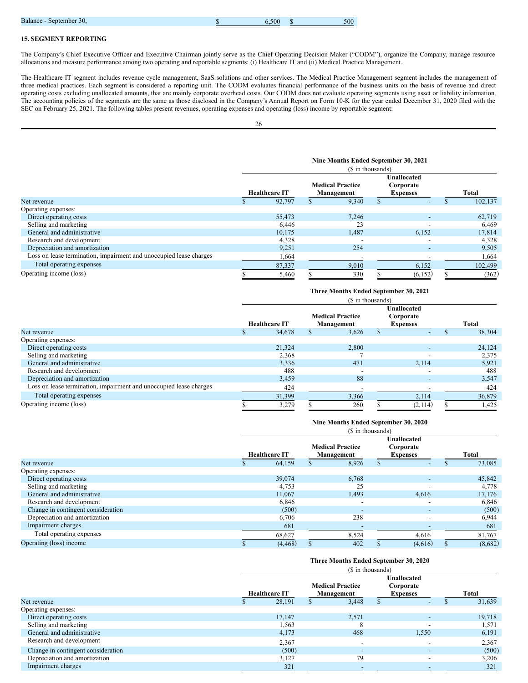| Balance -<br>$\cdot$ 30.<br>September | 500 | 500 |
|---------------------------------------|-----|-----|
|                                       |     |     |

### **15. SEGMENT REPORTING**

The Company's Chief Executive Officer and Executive Chairman jointly serve as the Chief Operating Decision Maker ("CODM"), organize the Company, manage resource allocations and measure performance among two operating and reportable segments: (i) Healthcare IT and (ii) Medical Practice Management.

The Healthcare IT segment includes revenue cycle management, SaaS solutions and other services. The Medical Practice Management segment includes the management of three medical practices. Each segment is considered a reporting unit. The CODM evaluates financial performance of the business units on the basis of revenue and direct operating costs excluding unallocated amounts, that are mainly corporate overhead costs. Our CODM does not evaluate operating segments using asset or liability information. The accounting policies of the segments are the same as those disclosed in the Company's Annual Report on Form 10-K for the year ended December 31, 2020 filed with the SEC on February 25, 2021. The following tables present revenues, operating expenses and operating (loss) income by reportable segment:

|                                                                    | Nine Months Ended September 30, 2021<br>(\$ in thousands) |                      |                                       |       |                                                    |          |  |              |  |  |
|--------------------------------------------------------------------|-----------------------------------------------------------|----------------------|---------------------------------------|-------|----------------------------------------------------|----------|--|--------------|--|--|
|                                                                    |                                                           | <b>Healthcare IT</b> | <b>Medical Practice</b><br>Management |       | <b>Unallocated</b><br>Corporate<br><b>Expenses</b> |          |  | <b>Total</b> |  |  |
| Net revenue                                                        |                                                           | 92,797               |                                       | 9,340 |                                                    |          |  | 102,137      |  |  |
| Operating expenses:                                                |                                                           |                      |                                       |       |                                                    |          |  |              |  |  |
| Direct operating costs                                             |                                                           | 55,473               |                                       | 7,246 |                                                    |          |  | 62,719       |  |  |
| Selling and marketing                                              |                                                           | 6,446                |                                       | 23    |                                                    |          |  | 6,469        |  |  |
| General and administrative                                         |                                                           | 10,175               |                                       | 1,487 |                                                    | 6,152    |  | 17,814       |  |  |
| Research and development                                           |                                                           | 4,328                |                                       |       |                                                    |          |  | 4,328        |  |  |
| Depreciation and amortization                                      |                                                           | 9,251                |                                       | 254   |                                                    |          |  | 9,505        |  |  |
| Loss on lease termination, impairment and unoccupied lease charges |                                                           | 1,664                |                                       |       |                                                    |          |  | 1,664        |  |  |
| Total operating expenses                                           |                                                           | 87,337               |                                       | 9,010 |                                                    | 6,152    |  | 102,499      |  |  |
| Operating income (loss)                                            |                                                           | 5,460                |                                       | 330   |                                                    | (6, 152) |  | (362)        |  |  |

|                                                                    |  |        | Three Months Ended September 30, 2021 |                      |                                       |                                                    |       |
|--------------------------------------------------------------------|--|--------|---------------------------------------|----------------------|---------------------------------------|----------------------------------------------------|-------|
|                                                                    |  |        | (\$ in thousands)                     |                      |                                       |                                                    |       |
|                                                                    |  |        |                                       | <b>Healthcare IT</b> | <b>Medical Practice</b><br>Management | <b>Unallocated</b><br>Corporate<br><b>Expenses</b> | Total |
| Net revenue                                                        |  | 34,678 | 3,626                                 |                      | 38,304                                |                                                    |       |
| Operating expenses:                                                |  |        |                                       |                      |                                       |                                                    |       |
| Direct operating costs                                             |  | 21,324 | 2,800                                 |                      | 24,124                                |                                                    |       |
| Selling and marketing                                              |  | 2,368  |                                       |                      | 2,375                                 |                                                    |       |
| General and administrative                                         |  | 3,336  | 471                                   | 2,114                | 5,921                                 |                                                    |       |
| Research and development                                           |  | 488    |                                       |                      | 488                                   |                                                    |       |
| Depreciation and amortization                                      |  | 3,459  | 88                                    |                      | 3,547                                 |                                                    |       |
| Loss on lease termination, impairment and unoccupied lease charges |  | 424    |                                       |                      | 424                                   |                                                    |       |
| Total operating expenses                                           |  | 31,399 | 3,366                                 | 2,114                | 36,879                                |                                                    |       |
| Operating income (loss)                                            |  | 3,279  | 260                                   | (2,114)              | 1,425                                 |                                                    |       |

|                                    |  | Nine Months Ended September 30, 2020<br>(\$ in thousands) |                                       |                          |                                                    |                          |       |         |  |  |  |
|------------------------------------|--|-----------------------------------------------------------|---------------------------------------|--------------------------|----------------------------------------------------|--------------------------|-------|---------|--|--|--|
|                                    |  | <b>Healthcare IT</b>                                      | <b>Medical Practice</b><br>Management |                          | <b>Unallocated</b><br>Corporate<br><b>Expenses</b> |                          | Total |         |  |  |  |
| Net revenue                        |  | 64,159                                                    |                                       | 8,926                    |                                                    |                          | ъ     | 73,085  |  |  |  |
| Operating expenses:                |  |                                                           |                                       |                          |                                                    |                          |       |         |  |  |  |
| Direct operating costs             |  | 39,074                                                    |                                       | 6,768                    |                                                    | $\overline{\phantom{a}}$ |       | 45,842  |  |  |  |
| Selling and marketing              |  | 4,753                                                     |                                       | 25                       |                                                    | $\overline{\phantom{a}}$ |       | 4,778   |  |  |  |
| General and administrative         |  | 11,067                                                    |                                       | 1,493                    |                                                    | 4,616                    |       | 17,176  |  |  |  |
| Research and development           |  | 6,846                                                     |                                       | $\overline{\phantom{a}}$ |                                                    | $\overline{\phantom{a}}$ |       | 6,846   |  |  |  |
| Change in contingent consideration |  | (500)                                                     |                                       |                          |                                                    |                          |       | (500)   |  |  |  |
| Depreciation and amortization      |  | 6,706                                                     |                                       | 238                      |                                                    | $\overline{\phantom{0}}$ |       | 6,944   |  |  |  |
| Impairment charges                 |  | 681                                                       |                                       |                          |                                                    |                          |       | 681     |  |  |  |
| Total operating expenses           |  | 68,627                                                    |                                       | 8,524                    |                                                    | 4,616                    |       | 81,767  |  |  |  |
| Operating (loss) income            |  | (4, 468)                                                  |                                       | 402                      |                                                    | (4,616)                  |       | (8,682) |  |  |  |

|                                    | Three Months Ended September 30, 2020 |                                    |  |                          |                 |                          |              |        |  |  |  |
|------------------------------------|---------------------------------------|------------------------------------|--|--------------------------|-----------------|--------------------------|--------------|--------|--|--|--|
|                                    | (\$ in thousands)                     |                                    |  |                          |                 |                          |              |        |  |  |  |
|                                    | <b>Unallocated</b>                    |                                    |  |                          |                 |                          |              |        |  |  |  |
|                                    |                                       | <b>Medical Practice</b>            |  |                          |                 | Corporate                |              |        |  |  |  |
|                                    |                                       | <b>Healthcare IT</b><br>Management |  |                          | <b>Expenses</b> |                          | <b>Total</b> |        |  |  |  |
| Net revenue                        |                                       | 28,191                             |  | 3,448                    |                 |                          |              | 31,639 |  |  |  |
| Operating expenses:                |                                       |                                    |  |                          |                 |                          |              |        |  |  |  |
| Direct operating costs             |                                       | 17.147                             |  | 2,571                    |                 |                          |              | 19,718 |  |  |  |
| Selling and marketing              |                                       | 1,563                              |  | Ô                        |                 |                          |              | 1,571  |  |  |  |
| General and administrative         |                                       | 4,173                              |  | 468                      |                 | 1,550                    |              | 6,191  |  |  |  |
| Research and development           |                                       | 2,367                              |  | $\overline{\phantom{a}}$ |                 | $\overline{\phantom{a}}$ |              | 2,367  |  |  |  |
| Change in contingent consideration |                                       | (500)                              |  | -                        |                 | $\overline{\phantom{a}}$ |              | (500)  |  |  |  |
| Depreciation and amortization      |                                       | 3,127                              |  | 79                       |                 | $\overline{\phantom{a}}$ |              | 3,206  |  |  |  |
| Impairment charges                 |                                       | 321                                |  |                          |                 |                          |              | 321    |  |  |  |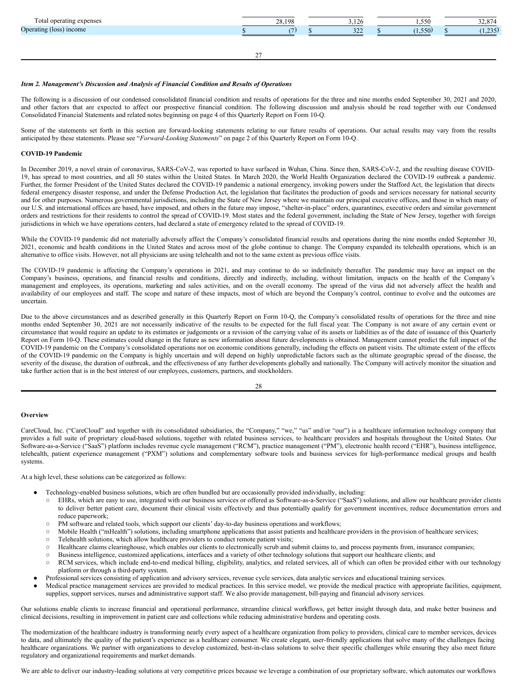| Total operating expenses | 28,198  | 3,126 | 1,550  | 32,874 |
|--------------------------|---------|-------|--------|--------|
| Operating (loss) income  |         | 322   | 1,550) | 1,235' |
|                          |         |       |        |        |
|                          |         |       |        |        |
|                          | ^^<br>- |       |        |        |

### *Item 2. Management's Discussion and Analysis of Financial Condition and Results of Operations*

The following is a discussion of our condensed consolidated financial condition and results of operations for the three and nine months ended September 30, 2021 and 2020, and other factors that are expected to affect our prospective financial condition. The following discussion and analysis should be read together with our Condensed Consolidated Financial Statements and related notes beginning on page 4 of this Quarterly Report on Form 10-Q.

Some of the statements set forth in this section are forward-looking statements relating to our future results of operations. Our actual results may vary from the results anticipated by these statements. Please see "*Forward-Looking Statements*" on page 2 of this Quarterly Report on Form 10-Q.

#### **COVID-19 Pandemic**

In December 2019, a novel strain of coronavirus, SARS-CoV-2, was reported to have surfaced in Wuhan, China. Since then, SARS-CoV-2, and the resulting disease COVID-19, has spread to most countries, and all 50 states within the United States. In March 2020, the World Health Organization declared the COVID-19 outbreak a pandemic. Further, the former President of the United States declared the COVID-19 pandemic a national emergency, invoking powers under the Stafford Act, the legislation that directs federal emergency disaster response, and under the Defense Production Act, the legislation that facilitates the production of goods and services necessary for national security and for other purposes. Numerous governmental jurisdictions, including the State of New Jersey where we maintain our principal executive offices, and those in which many of our U.S. and international offices are based, have imposed, and others in the future may impose, "shelter-in-place" orders, quarantines, executive orders and similar government orders and restrictions for their residents to control the spread of COVID-19. Most states and the federal government, including the State of New Jersey, together with foreign jurisdictions in which we have operations centers, had declared a state of emergency related to the spread of COVID-19.

While the COVID-19 pandemic did not materially adversely affect the Company's consolidated financial results and operations during the nine months ended September 30, 2021, economic and health conditions in the United States and across most of the globe continue to change. The Company expanded its telehealth operations, which is an alternative to office visits. However, not all physicians are using telehealth and not to the same extent as previous office visits.

The COVID-19 pandemic is affecting the Company's operations in 2021, and may continue to do so indefinitely thereafter. The pandemic may have an impact on the Company's business, operations, and financial results and conditions, directly and indirectly, including, without limitation, impacts on the health of the Company's management and employees, its operations, marketing and sales activities, and on the overall economy. The spread of the virus did not adversely affect the health and availability of our employees and staff. The scope and nature of these impacts, most of which are beyond the Company's control, continue to evolve and the outcomes are uncertain.

Due to the above circumstances and as described generally in this Quarterly Report on Form 10-Q, the Company's consolidated results of operations for the three and nine months ended September 30, 2021 are not necessarily indicative of the results to be expected for the full fiscal year. The Company is not aware of any certain event or circumstance that would require an update to its estimates or judgements or a revision of the carrying value of its assets or liabilities as of the date of issuance of this Quarterly Report on Form 10-Q. These estimates could change in the future as new information about future developments is obtained. Management cannot predict the full impact of the COVID-19 pandemic on the Company's consolidated operations nor on economic conditions generally, including the effects on patient visits. The ultimate extent of the effects of the COVID-19 pandemic on the Company is highly uncertain and will depend on highly unpredictable factors such as the ultimate geographic spread of the disease, the severity of the disease, the duration of outbreak, and the effectiveness of any further developments globally and nationally. The Company will actively monitor the situation and take further action that is in the best interest of our employees, customers, partners, and stockholders.

28

#### **Overview**

CareCloud, Inc. ("CareCloud" and together with its consolidated subsidiaries, the "Company," "we," "us" and/or "our") is a healthcare information technology company that provides a full suite of proprietary cloud-based solutions, together with related business services, to healthcare providers and hospitals throughout the United States. Our Software-as-a-Service ("SaaS") platform includes revenue cycle management ("RCM"), practice management ("PM"), electronic health record ("EHR"), business intelligence, telehealth, patient experience management ("PXM") solutions and complementary software tools and business services for high-performance medical groups and health systems.

At a high level, these solutions can be categorized as follows:

- Technology-enabled business solutions, which are often bundled but are occasionally provided individually, including:
	- EHRs, which are easy to use, integrated with our business services or offered as Software-as-a-Service ("SaaS") solutions, and allow our healthcare provider clients to deliver better patient care, document their clinical visits effectively and thus potentially qualify for government incentives, reduce documentation errors and reduce paperwork;
	- PM software and related tools, which support our clients' day-to-day business operations and workflows;
	- Mobile Health ("mHealth") solutions, including smartphone applications that assist patients and healthcare providers in the provision of healthcare services;
	- Telehealth solutions, which allow healthcare providers to conduct remote patient visits;
	- Healthcare claims clearinghouse, which enables our clients to electronically scrub and submit claims to, and process payments from, insurance companies;
	- Business intelligence, customized applications, interfaces and a variety of other technology solutions that support our healthcare clients; and
	- RCM services, which include end-to-end medical billing, eligibility, analytics, and related services, all of which can often be provided either with our technology platform or through a third-party system.
	- Professional services consisting of application and advisory services, revenue cycle services, data analytic services and educational training services.
- Medical practice management services are provided to medical practices. In this service model, we provide the medical practice with appropriate facilities, equipment, supplies, support services, nurses and administrative support staff. We also provide management, bill-paying and financial advisory services.

Our solutions enable clients to increase financial and operational performance, streamline clinical workflows, get better insight through data, and make better business and clinical decisions, resulting in improvement in patient care and collections while reducing administrative burdens and operating costs.

The modernization of the healthcare industry is transforming nearly every aspect of a healthcare organization from policy to providers, clinical care to member services, devices to data, and ultimately the quality of the patient's experience as a healthcare consumer. We create elegant, user-friendly applications that solve many of the challenges facing healthcare organizations. We partner with organizations to develop customized, best-in-class solutions to solve their specific challenges while ensuring they also meet future regulatory and organizational requirements and market demands.

We are able to deliver our industry-leading solutions at very competitive prices because we leverage a combination of our proprietary software, which automates our workflows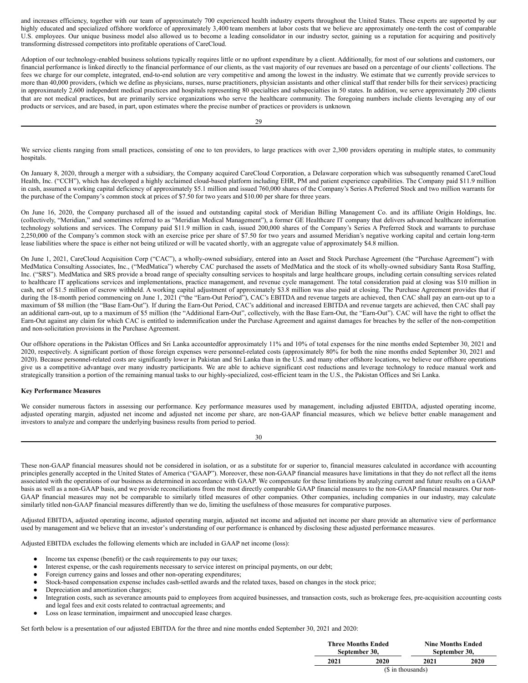and increases efficiency, together with our team of approximately 700 experienced health industry experts throughout the United States. These experts are supported by our highly educated and specialized offshore workforce of approximately 3,400 team members at labor costs that we believe are approximately one-tenth the cost of comparable U.S. employees. Our unique business model also allowed us to become a leading consolidator in our industry sector, gaining us a reputation for acquiring and positively transforming distressed competitors into profitable operations of CareCloud.

Adoption of our technology-enabled business solutions typically requires little or no upfront expenditure by a client. Additionally, for most of our solutions and customers, our financial performance is linked directly to the financial performance of our clients, as the vast majority of our revenues are based on a percentage of our clients' collections. The fees we charge for our complete, integrated, end-to-end solution are very competitive and among the lowest in the industry. We estimate that we currently provide services to more than 40,000 providers, (which we define as physicians, nurses, nurse practitioners, physician assistants and other clinical staff that render bills for their services) practicing in approximately 2,600 independent medical practices and hospitals representing 80 specialties and subspecialties in 50 states. In addition, we serve approximately 200 clients that are not medical practices, but are primarily service organizations who serve the healthcare community. The foregoing numbers include clients leveraging any of our products or services, and are based, in part, upon estimates where the precise number of practices or providers is unknown.

We service clients ranging from small practices, consisting of one to ten providers, to large practices with over 2,300 providers operating in multiple states, to community hospitals.

On January 8, 2020, through a merger with a subsidiary, the Company acquired CareCloud Corporation, a Delaware corporation which was subsequently renamed CareCloud Health, Inc. ("CCH"), which has developed a highly acclaimed cloud-based platform including EHR, PM and patient experience capabilities. The Company paid \$11.9 million in cash, assumed a working capital deficiency of approximately \$5.1 million and issued 760,000 shares of the Company's Series A Preferred Stock and two million warrants for the purchase of the Company's common stock at prices of \$7.50 for two years and \$10.00 per share for three years.

On June 16, 2020, the Company purchased all of the issued and outstanding capital stock of Meridian Billing Management Co. and its affiliate Origin Holdings, Inc. (collectively, "Meridian," and sometimes referred to as "Meridian Medical Management"), a former GE Healthcare IT company that delivers advanced healthcare information technology solutions and services. The Company paid \$11.9 million in cash, issued 200,000 shares of the Company's Series A Preferred Stock and warrants to purchase 2,250,000 of the Company's common stock with an exercise price per share of \$7.50 for two years and assumed Meridian's negative working capital and certain long-term lease liabilities where the space is either not being utilized or will be vacated shortly, with an aggregate value of approximately \$4.8 million.

On June 1, 2021, CareCloud Acquisition Corp ("CAC"), a wholly-owned subsidiary, entered into an Asset and Stock Purchase Agreement (the "Purchase Agreement") with MedMatica Consulting Associates, Inc., ("MedMatica") whereby CAC purchased the assets of MedMatica and the stock of its wholly-owned subsidiary Santa Rosa Staffing, Inc. ("SRS"). MedMatica and SRS provide a broad range of specialty consulting services to hospitals and large healthcare groups, including certain consulting services related to healthcare IT applications services and implementations, practice management, and revenue cycle management. The total consideration paid at closing was \$10 million in cash, net of \$1.5 million of escrow withheld. A working capital adjustment of approximately \$3.8 million was also paid at closing. The Purchase Agreement provides that if during the 18-month period commencing on June 1, 2021 ("the "Earn-Out Period"), CAC's EBITDA and revenue targets are achieved, then CAC shall pay an earn-out up to a maximum of \$8 million (the "Base Earn-Out"). If during the Earn-Out Period, CAC's additional and increased EBITDA and revenue targets are achieved, then CAC shall pay an additional earn-out, up to a maximum of \$5 million (the "Additional Earn-Out", collectively, with the Base Earn-Out, the "Earn-Out"). CAC will have the right to offset the Earn-Out against any claim for which CAC is entitled to indemnification under the Purchase Agreement and against damages for breaches by the seller of the non-competition and non-solicitation provisions in the Purchase Agreement.

Our offshore operations in the Pakistan Offices and Sri Lanka accountedfor approximately 11% and 10% of total expenses for the nine months ended September 30, 2021 and 2020, respectively. A significant portion of those foreign expenses were personnel-related costs (approximately 80% for both the nine months ended September 30, 2021 and 2020). Because personnel-related costs are significantly lower in Pakistan and Sri Lanka than in the U.S. and many other offshore locations, we believe our offshore operations give us a competitive advantage over many industry participants. We are able to achieve significant cost reductions and leverage technology to reduce manual work and strategically transition a portion of the remaining manual tasks to our highly-specialized, cost-efficient team in the U.S., the Pakistan Offices and Sri Lanka.

### **Key Performance Measures**

We consider numerous factors in assessing our performance. Key performance measures used by management, including adjusted EBITDA, adjusted operating income, adjusted operating margin, adjusted net income and adjusted net income per share, are non-GAAP financial measures, which we believe better enable management and investors to analyze and compare the underlying business results from period to period.

30

These non-GAAP financial measures should not be considered in isolation, or as a substitute for or superior to, financial measures calculated in accordance with accounting principles generally accepted in the United States of America ("GAAP"). Moreover, these non-GAAP financial measures have limitations in that they do not reflect all the items associated with the operations of our business as determined in accordance with GAAP. We compensate for these limitations by analyzing current and future results on a GAAP basis as well as a non-GAAP basis, and we provide reconciliations from the most directly comparable GAAP financial measures to the non-GAAP financial measures. Our non-GAAP financial measures may not be comparable to similarly titled measures of other companies. Other companies, including companies in our industry, may calculate similarly titled non-GAAP financial measures differently than we do, limiting the usefulness of those measures for comparative purposes.

Adjusted EBITDA, adjusted operating income, adjusted operating margin, adjusted net income and adjusted net income per share provide an alternative view of performance used by management and we believe that an investor's understanding of our performance is enhanced by disclosing these adjusted performance measures.

Adjusted EBITDA excludes the following elements which are included in GAAP net income (loss):

- Income tax expense (benefit) or the cash requirements to pay our taxes;
- Interest expense, or the cash requirements necessary to service interest on principal payments, on our debt;
- Foreign currency gains and losses and other non-operating expenditures;
- Stock-based compensation expense includes cash-settled awards and the related taxes, based on changes in the stock price;
- Depreciation and amortization charges;
- Integration costs, such as severance amounts paid to employees from acquired businesses, and transaction costs, such as brokerage fees, pre-acquisition accounting costs and legal fees and exit costs related to contractual agreements; and
- Loss on lease termination, impairment and unoccupied lease charges.

Set forth below is a presentation of our adjusted EBITDA for the three and nine months ended September 30, 2021 and 2020:

|      | <b>Three Months Ended</b> |      | <b>Nine Months Ended</b> |  |  |  |  |  |  |
|------|---------------------------|------|--------------------------|--|--|--|--|--|--|
|      | September 30,             |      | September 30,            |  |  |  |  |  |  |
| 2021 | 2020                      | 2021 | 2020                     |  |  |  |  |  |  |
|      | (\$ in thousands)         |      |                          |  |  |  |  |  |  |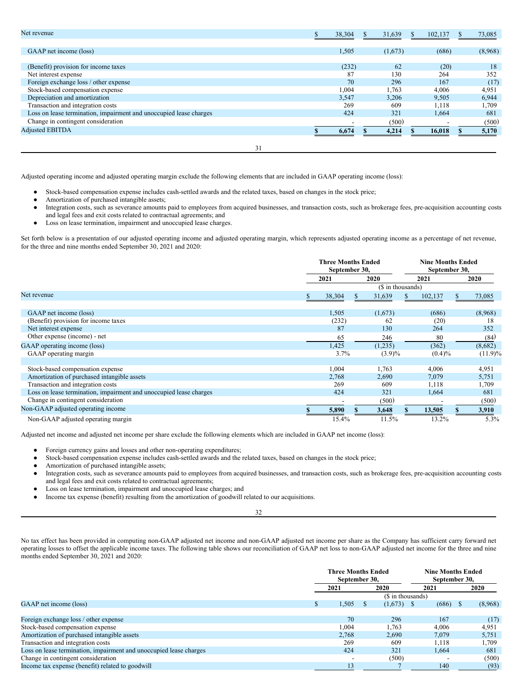| Net revenue                                                        |  | 38,304 | 31,639  | ъ | 102,137 | 73,085  |
|--------------------------------------------------------------------|--|--------|---------|---|---------|---------|
| GAAP net income (loss)                                             |  | 1,505  | (1,673) |   | (686)   | (8,968) |
| (Benefit) provision for income taxes                               |  | (232)  | 62      |   | (20)    | 18      |
| Net interest expense                                               |  | 87     | 130     |   | 264     | 352     |
| Foreign exchange loss / other expense                              |  | 70     | 296     |   | 167     | (17)    |
| Stock-based compensation expense                                   |  | 1,004  | 1,763   |   | 4,006   | 4,951   |
| Depreciation and amortization                                      |  | 3,547  | 3,206   |   | 9,505   | 6,944   |
| Transaction and integration costs                                  |  | 269    | 609     |   | 1,118   | 1,709   |
| Loss on lease termination, impairment and unoccupied lease charges |  | 424    | 321     |   | 1,664   | 681     |
| Change in contingent consideration                                 |  |        | (500)   |   |         | (500)   |
| <b>Adjusted EBITDA</b>                                             |  | 6,674  | 4,214   |   | 16,018  | 5,170   |
| 31                                                                 |  |        |         |   |         |         |

Adjusted operating income and adjusted operating margin exclude the following elements that are included in GAAP operating income (loss):

- Stock-based compensation expense includes cash-settled awards and the related taxes, based on changes in the stock price;
- Amortization of purchased intangible assets;
- Integration costs, such as severance amounts paid to employees from acquired businesses, and transaction costs, such as brokerage fees, pre-acquisition accounting costs and legal fees and exit costs related to contractual agreements; and
- Loss on lease termination, impairment and unoccupied lease charges.

Set forth below is a presentation of our adjusted operating income and adjusted operating margin, which represents adjusted operating income as a percentage of net revenue, for the three and nine months ended September 30, 2021 and 2020:

|                                                                    | <b>Three Months Ended</b><br>September 30, |  |                   |  | <b>Nine Months Ended</b><br>September 30, |  |            |
|--------------------------------------------------------------------|--------------------------------------------|--|-------------------|--|-------------------------------------------|--|------------|
|                                                                    | 2020<br>2021                               |  |                   |  | 2021                                      |  | 2020       |
|                                                                    |                                            |  | (\$ in thousands) |  |                                           |  |            |
| Net revenue                                                        | 38,304                                     |  | 31,639            |  | 102,137                                   |  | 73,085     |
|                                                                    |                                            |  |                   |  |                                           |  |            |
| GAAP net income (loss)                                             | 1,505                                      |  | (1,673)           |  | (686)                                     |  | (8,968)    |
| (Benefit) provision for income taxes                               | (232)                                      |  | 62                |  | (20)                                      |  | 18         |
| Net interest expense                                               | 87                                         |  | 130               |  | 264                                       |  | 352        |
| Other expense (income) - net                                       | 65                                         |  | 246               |  | 80                                        |  | (84)       |
| GAAP operating income (loss)                                       | 1,425                                      |  | (1,235)           |  | (362)                                     |  | (8,682)    |
| GAAP operating margin                                              | 3.7%                                       |  | $(3.9)\%$         |  | $(0.4)\%$                                 |  | $(11.9)\%$ |
|                                                                    |                                            |  |                   |  |                                           |  |            |
| Stock-based compensation expense                                   | 1,004                                      |  | 1,763             |  | 4,006                                     |  | 4,951      |
| Amortization of purchased intangible assets                        | 2,768                                      |  | 2,690             |  | 7.079                                     |  | 5,751      |
| Transaction and integration costs                                  | 269                                        |  | 609               |  | 1,118                                     |  | 1,709      |
| Loss on lease termination, impairment and unoccupied lease charges | 424                                        |  | 321               |  | 1,664                                     |  | 681        |
| Change in contingent consideration                                 |                                            |  | (500)             |  |                                           |  | (500)      |
| Non-GAAP adjusted operating income                                 | 5,890                                      |  | 3,648             |  | 13,505                                    |  | 3,910      |
| Non-GAAP adjusted operating margin                                 | 15.4%                                      |  | 11.5%             |  | 13.2%                                     |  | 5.3%       |

Adjusted net income and adjusted net income per share exclude the following elements which are included in GAAP net income (loss):

- Foreign currency gains and losses and other non-operating expenditures;
- Stock-based compensation expense includes cash-settled awards and the related taxes, based on changes in the stock price;
- Amortization of purchased intangible assets;
- Integration costs, such as severance amounts paid to employees from acquired businesses, and transaction costs, such as brokerage fees, pre-acquisition accounting costs and legal fees and exit costs related to contractual agreements;
- Loss on lease termination, impairment and unoccupied lease charges; and
- Income tax expense (benefit) resulting from the amortization of goodwill related to our acquisitions.

32

No tax effect has been provided in computing non-GAAP adjusted net income and non-GAAP adjusted net income per share as the Company has sufficient carry forward net operating losses to offset the applicable income taxes. The following table shows our reconciliation of GAAP net loss to non-GAAP adjusted net income for the three and nine months ended September 30, 2021 and 2020:

|                                                                    | <b>Three Months Ended</b><br>September 30, |       |  | <b>Nine Months Ended</b><br>September 30, |      |       |    |         |
|--------------------------------------------------------------------|--------------------------------------------|-------|--|-------------------------------------------|------|-------|----|---------|
|                                                                    |                                            | 2021  |  | 2020                                      | 2021 |       |    | 2020    |
|                                                                    | (\$ in thousands)                          |       |  |                                           |      |       |    |         |
| GAAP net income (loss)                                             | a.                                         | 1,505 |  | $(1,673)$ \$                              |      | (686) | -S | (8,968) |
|                                                                    |                                            |       |  |                                           |      |       |    |         |
| Foreign exchange loss / other expense                              |                                            | 70    |  | 296                                       |      | 167   |    | (17)    |
| Stock-based compensation expense                                   |                                            | 1,004 |  | 1.763                                     |      | 4,006 |    | 4,951   |
| Amortization of purchased intangible assets                        |                                            | 2.768 |  | 2,690                                     |      | 7,079 |    | 5,751   |
| Transaction and integration costs                                  |                                            | 269   |  | 609                                       |      | 1,118 |    | 1,709   |
| Loss on lease termination, impairment and unoccupied lease charges |                                            | 424   |  | 321                                       |      | 1,664 |    | 681     |
| Change in contingent consideration                                 |                                            |       |  | (500)                                     |      |       |    | (500)   |
| Income tax expense (benefit) related to goodwill                   |                                            | 13    |  |                                           |      | 140   |    | (93)    |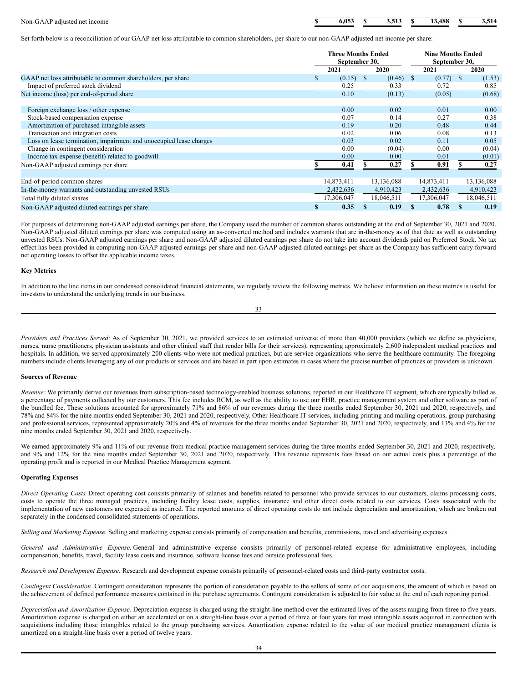| Non-0<br>AP adiusted<br>l net income<br>. | 051 |  | .488 | $\sim$ |
|-------------------------------------------|-----|--|------|--------|
|                                           |     |  |      |        |

Set forth below is a reconciliation of our GAAP net loss attributable to common shareholders, per share to our non-GAAP adjusted net income per share:

|                                                                    |    | <b>Three Months Ended</b><br>September 30, |              |            | <b>Nine Months Ended</b><br>September 30, |            |    |            |
|--------------------------------------------------------------------|----|--------------------------------------------|--------------|------------|-------------------------------------------|------------|----|------------|
|                                                                    |    | 2021                                       |              | 2020       |                                           | 2021       |    | 2020       |
| GAAP net loss attributable to common shareholders, per share       | S. | (0.15)                                     | <sup>S</sup> | (0.46)     | S                                         | (0.77)     | -S | (1.53)     |
| Impact of preferred stock dividend                                 |    | 0.25                                       |              | 0.33       |                                           | 0.72       |    | 0.85       |
| Net income (loss) per end-of-period share                          |    | 0.10                                       |              | (0.13)     |                                           | (0.05)     |    | (0.68)     |
| Foreign exchange loss / other expense                              |    | 0.00                                       |              | 0.02       |                                           | 0.01       |    | 0.00       |
| Stock-based compensation expense                                   |    | 0.07                                       |              | 0.14       |                                           | 0.27       |    | 0.38       |
| Amortization of purchased intangible assets                        |    | 0.19                                       |              | 0.20       |                                           | 0.48       |    | 0.44       |
| Transaction and integration costs                                  |    | 0.02                                       |              | 0.06       |                                           | 0.08       |    | 0.13       |
| Loss on lease termination, impairment and unoccupied lease charges |    | 0.03                                       |              | 0.02       |                                           | 0.11       |    | 0.05       |
| Change in contingent consideration                                 |    | 0.00                                       |              | (0.04)     |                                           | 0.00       |    | (0.04)     |
| Income tax expense (benefit) related to goodwill                   |    | 0.00                                       |              | 0.00       |                                           | 0.01       |    | (0.01)     |
| Non-GAAP adjusted earnings per share                               |    | 0.41                                       |              | 0.27       |                                           | 0.91       |    | 0.27       |
|                                                                    |    |                                            |              |            |                                           |            |    |            |
| End-of-period common shares                                        |    | 14,873,411                                 |              | 13,136,088 |                                           | 14,873,411 |    | 13,136,088 |
| In-the-money warrants and outstanding unvested RSUs                |    | 2,432,636                                  |              | 4,910,423  |                                           | 2,432,636  |    | 4,910,423  |
| Total fully diluted shares                                         |    | 17,306,047                                 |              | 18,046,511 |                                           | 17,306,047 |    | 18,046,511 |
| Non-GAAP adjusted diluted earnings per share                       |    | 0.35                                       |              | 0.19       |                                           | 0.78       |    | 0.19       |

For purposes of determining non-GAAP adjusted earnings per share, the Company used the number of common shares outstanding at the end of September 30, 2021 and 2020. Non-GAAP adjusted diluted earnings per share was computed using an as-converted method and includes warrants that are in-the-money as of that date as well as outstanding unvested RSUs. Non-GAAP adjusted earnings per share and non-GAAP adjusted diluted earnings per share do not take into account dividends paid on Preferred Stock. No tax effect has been provided in computing non-GAAP adjusted earnings per share and non-GAAP adjusted diluted earnings per share as the Company has sufficient carry forward net operating losses to offset the applicable income taxes.

#### **Key Metrics**

In addition to the line items in our condensed consolidated financial statements, we regularly review the following metrics. We believe information on these metrics is useful for investors to understand the underlying trends in our business.

33

*Providers and Practices Served:* As of September 30, 2021, we provided services to an estimated universe of more than 40,000 providers (which we define as physicians, nurses, nurse practitioners, physician assistants and other clinical staff that render bills for their services), representing approximately 2,600 independent medical practices and hospitals. In addition, we served approximately 200 clients who were not medical practices, but are service organizations who serve the healthcare community. The foregoing numbers include clients leveraging any of our products or services and are based in part upon estimates in cases where the precise number of practices or providers is unknown.

#### **Sources of Revenue**

*Revenue:* We primarily derive our revenues from subscription-based technology-enabled business solutions, reported in our Healthcare IT segment, which are typically billed as a percentage of payments collected by our customers. This fee includes RCM, as well as the ability to use our EHR, practice management system and other software as part of the bundled fee. These solutions accounted for approximately 71% and 86% of our revenues during the three months ended September 30, 2021 and 2020, respectively, and 78% and 84% for the nine months ended September 30, 2021 and 2020, respectively. Other Healthcare IT services, including printing and mailing operations, group purchasing and professional services, represented approximately 20% and 4% of revenues for the three months ended September 30, 2021 and 2020, respectively, and 13% and 4% for the nine months ended September 30, 2021 and 2020, respectively.

We earned approximately 9% and 11% of our revenue from medical practice management services during the three months ended September 30, 2021 and 2020, respectively, and 9% and 12% for the nine months ended September 30, 2021 and 2020, respectively. This revenue represents fees based on our actual costs plus a percentage of the operating profit and is reported in our Medical Practice Management segment.

### **Operating Expenses**

*Direct Operating Costs.*Direct operating cost consists primarily of salaries and benefits related to personnel who provide services to our customers, claims processing costs, costs to operate the three managed practices, including facility lease costs, supplies, insurance and other direct costs related to our services. Costs associated with the implementation of new customers are expensed as incurred. The reported amounts of direct operating costs do not include depreciation and amortization, which are broken out separately in the condensed consolidated statements of operations.

*Selling and Marketing Expense.* Selling and marketing expense consists primarily of compensation and benefits, commissions, travel and advertising expenses.

*General and Administrative Expense.* General and administrative expense consists primarily of personnel-related expense for administrative employees, including compensation, benefits, travel, facility lease costs and insurance, software license fees and outside professional fees.

*Research and Development Expense.* Research and development expense consists primarily of personnel-related costs and third-party contractor costs.

*Contingent Consideration.* Contingent consideration represents the portion of consideration payable to the sellers of some of our acquisitions, the amount of which is based on the achievement of defined performance measures contained in the purchase agreements. Contingent consideration is adjusted to fair value at the end of each reporting period.

*Depreciation and Amortization Expense.* Depreciation expense is charged using the straight-line method over the estimated lives of the assets ranging from three to five years. Amortization expense is charged on either an accelerated or on a straight-line basis over a period of three or four years for most intangible assets acquired in connection with acquisitions including those intangibles related to the group purchasing services. Amortization expense related to the value of our medical practice management clients is amortized on a straight-line basis over a period of twelve years.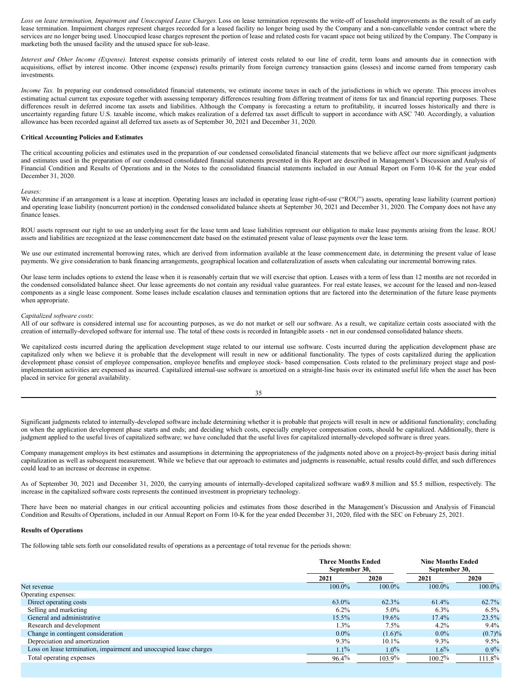Loss on lease termination, Impairment and Unoccupied Lease Charges. Loss on lease termination represents the write-off of leasehold improvements as the result of an early lease termination. Impairment charges represent charges recorded for a leased facility no longer being used by the Company and a non-cancellable vendor contract where the services are no longer being used. Unoccupied lease charges represent the portion of lease and related costs for vacant space not being utilized by the Company. The Company is marketing both the unused facility and the unused space for sub-lease.

*Interest and Other Income (Expense).* Interest expense consists primarily of interest costs related to our line of credit, term loans and amounts due in connection with acquisitions, offset by interest income. Other income (expense) results primarily from foreign currency transaction gains (losses) and income earned from temporary cash investments.

*Income Tax.* In preparing our condensed consolidated financial statements, we estimate income taxes in each of the jurisdictions in which we operate. This process involves estimating actual current tax exposure together with assessing temporary differences resulting from differing treatment of items for tax and financial reporting purposes. These differences result in deferred income tax assets and liabilities. Although the Company is forecasting a return to profitability, it incurred losses historically and there is uncertainty regarding future U.S. taxable income, which makes realization of a deferred tax asset difficult to support in accordance with ASC 740. Accordingly, a valuation allowance has been recorded against all deferred tax assets as of September 30, 2021 and December 31, 2020.

#### **Critical Accounting Policies and Estimates**

The critical accounting policies and estimates used in the preparation of our condensed consolidated financial statements that we believe affect our more significant judgments and estimates used in the preparation of our condensed consolidated financial statements presented in this Report are described in Management's Discussion and Analysis of Financial Condition and Results of Operations and in the Notes to the consolidated financial statements included in our Annual Report on Form 10-K for the year ended December 31, 2020.

#### *Leases:*

We determine if an arrangement is a lease at inception. Operating leases are included in operating lease right-of-use ("ROU") assets, operating lease liability (current portion) and operating lease liability (noncurrent portion) in the condensed consolidated balance sheets at September 30, 2021 and December 31, 2020. The Company does not have any finance leases.

ROU assets represent our right to use an underlying asset for the lease term and lease liabilities represent our obligation to make lease payments arising from the lease. ROU assets and liabilities are recognized at the lease commencement date based on the estimated present value of lease payments over the lease term.

We use our estimated incremental borrowing rates, which are derived from information available at the lease commencement date, in determining the present value of lease payments. We give consideration to bank financing arrangements, geographical location and collateralization of assets when calculating our incremental borrowing rates.

Our lease term includes options to extend the lease when it is reasonably certain that we will exercise that option. Leases with a term of less than 12 months are not recorded in the condensed consolidated balance sheet. Our lease agreements do not contain any residual value guarantees. For real estate leases, we account for the leased and non-leased components as a single lease component. Some leases include escalation clauses and termination options that are factored into the determination of the future lease payments when appropriate.

#### *Capitalized software costs*:

All of our software is considered internal use for accounting purposes, as we do not market or sell our software. As a result, we capitalize certain costs associated with the creation of internally-developed software for internal use. The total of these costs is recorded in Intangible assets - net in our condensed consolidated balance sheets.

We capitalized costs incurred during the application development stage related to our internal use software. Costs incurred during the application development phase are capitalized only when we believe it is probable that the development will result in new or additional functionality. The types of costs capitalized during the application development phase consist of employee compensation, employee benefits and employee stock- based compensation. Costs related to the preliminary project stage and postimplementation activities are expensed as incurred. Capitalized internal-use software is amortized on a straight-line basis over its estimated useful life when the asset has been placed in service for general availability.

35

Significant judgments related to internally-developed software include determining whether it is probable that projects will result in new or additional functionality; concluding on when the application development phase starts and ends; and deciding which costs, especially employee compensation costs, should be capitalized. Additionally, there is judgment applied to the useful lives of capitalized software; we have concluded that the useful lives for capitalized internally-developed software is three years.

Company management employs its best estimates and assumptions in determining the appropriateness of the judgments noted above on a project-by-project basis during initial capitalization as well as subsequent measurement. While we believe that our approach to estimates and judgments is reasonable, actual results could differ, and such differences could lead to an increase or decrease in expense.

As of September 30, 2021 and December 31, 2020, the carrying amounts of internally-developed capitalized software was\$9.8 million and \$5.5 million, respectively. The increase in the capitalized software costs represents the continued investment in proprietary technology.

There have been no material changes in our critical accounting policies and estimates from those described in the Management's Discussion and Analysis of Financial Condition and Results of Operations, included in our Annual Report on Form 10-K for the year ended December 31, 2020, filed with the SEC on February 25, 2021.

### **Results of Operations**

The following table sets forth our consolidated results of operations as a percentage of total revenue for the periods shown:

|                                                                    | <b>Three Months Ended</b><br>September 30. |           | <b>Nine Months Ended</b><br>September 30. |           |  |
|--------------------------------------------------------------------|--------------------------------------------|-----------|-------------------------------------------|-----------|--|
|                                                                    | 2021                                       | 2020      | 2021                                      | 2020      |  |
| Net revenue                                                        | 100.0%                                     | 100.0%    | 100.0%                                    | 100.0%    |  |
| Operating expenses:                                                |                                            |           |                                           |           |  |
| Direct operating costs                                             | 63.0%                                      | 62.3%     | 61.4%                                     | 62.7%     |  |
| Selling and marketing                                              | 6.2%                                       | $5.0\%$   | $6.3\%$                                   | 6.5%      |  |
| General and administrative                                         | 15.5%                                      | 19.6%     | 17.4%                                     | 23.5%     |  |
| Research and development                                           | 1.3%                                       | $7.5\%$   | $4.2\%$                                   | $9.4\%$   |  |
| Change in contingent consideration                                 | $0.0\%$                                    | $(1.6)\%$ | $0.0\%$                                   | (0.7)%    |  |
| Depreciation and amortization                                      | 9.3%                                       | $10.1\%$  | $9.3\%$                                   | 9.5%      |  |
| Loss on lease termination, impairment and unoccupied lease charges | $1.1\%$                                    | $1.0\%$   | $1.6\%$                                   | $0.9\%$   |  |
| Total operating expenses                                           | $96.4\%$                                   | 103.9%    | $100.2\%$                                 | $111.8\%$ |  |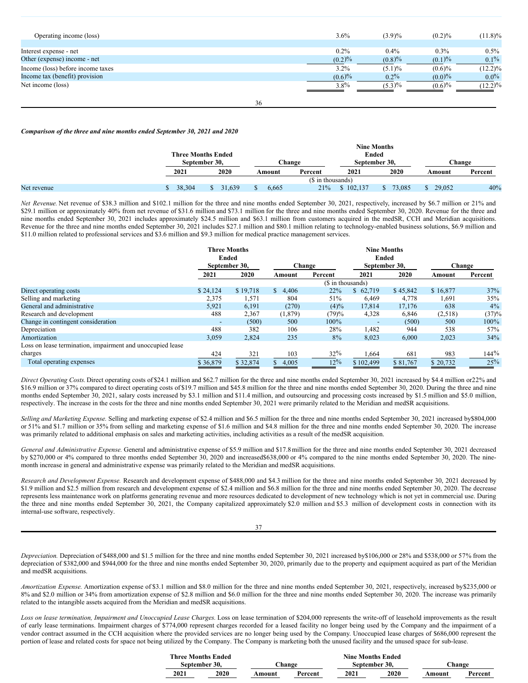| Operating income (loss)           | 3.6%      | $(3.9)\%$ | $(0.2)\%$ | $(11.8)\%$ |
|-----------------------------------|-----------|-----------|-----------|------------|
|                                   |           |           |           |            |
| Interest expense - net            | $0.2\%$   | 0.4%      | $0.3\%$   | 0.5%       |
| Other (expense) income - net      | $(0.2)\%$ | $(0.8)\%$ | $(0.1)$ % | $0.1\%$    |
| Income (loss) before income taxes | $3.2\%$   | $(5.1)\%$ | $(0.6)\%$ | $(12.2)\%$ |
| Income tax (benefit) provision    | $(0.6)\%$ | $0.2\%$   | $(0.0)$ % | $0.0\%$    |
| Net income (loss)                 | $3.8\%$   | $(5.3)\%$ | $(0.6)\%$ | $(12.2)\%$ |
|                                   |           |           |           |            |
|                                   | 36        |           |           |            |

### *Comparison of the three and nine months ended September 30, 2021 and 2020*

|             | <b>Three Months Ended</b> |               |        |                   | <b>Nine Months</b><br><b>Ended</b> |               |        |         |
|-------------|---------------------------|---------------|--------|-------------------|------------------------------------|---------------|--------|---------|
|             |                           | September 30. |        | Change            |                                    | September 30. |        | Change  |
|             | 2021                      | 2020          | Amount | Percent           | 2021                               | 2020          | Amount | Percent |
|             |                           |               |        | (\$ in thousands) |                                    |               |        |         |
| Net revenue | 38,304                    | 31.639        | 6,665  | 21%               | 102,137                            | 73,085        | 29,052 | 40%     |

*Net Revenue.* Net revenue of \$38.3 million and \$102.1 million for the three and nine months ended September 30, 2021, respectively, increased by \$6.7 million or 21% and \$29.1 million or approximately 40% from net revenue of \$31.6 million and \$73.1 million for the three and nine months ended September 30, 2020. Revenue for the three and nine months ended September 30, 2021 includes approximately \$24.5 million and \$63.1 million from customers acquired in the medSR, CCH and Meridian acquisitions. Revenue for the three and nine months ended September 30, 2021 includes \$27.1 million and \$80.1 million relating to technology-enabled business solutions, \$6.9 million and \$11.0 million related to professional services and \$3.6 million and \$9.3 million for medical practice management services.

|                                                            |                         | <b>Three Months</b><br>Ended |             |                   | <b>Nine Months</b><br><b>Ended</b> |          |          |         |  |
|------------------------------------------------------------|-------------------------|------------------------------|-------------|-------------------|------------------------------------|----------|----------|---------|--|
|                                                            | September 30,<br>Change |                              |             |                   | September 30,                      |          | Change   |         |  |
|                                                            | 2021                    | 2020                         | Amount      | Percent           | 2021                               | 2020     | Amount   | Percent |  |
|                                                            |                         |                              |             | (\$ in thousands) |                                    |          |          |         |  |
| Direct operating costs                                     | \$24,124                | \$19,718                     | 4,406<br>S. | 22%               | 62.719                             | \$45,842 | \$16,877 | 37%     |  |
| Selling and marketing                                      | 2,375                   | 1,571                        | 804         | 51%               | 6,469                              | 4,778    | 1,691    | 35%     |  |
| General and administrative                                 | 5,921                   | 6,191                        | (270)       | $(4)\%$           | 17,814                             | 17,176   | 638      | $4\%$   |  |
| Research and development                                   | 488                     | 2,367                        | (1, 879)    | (79)%             | 4,328                              | 6,846    | (2,518)  | (37)%   |  |
| Change in contingent consideration                         |                         | (500)                        | 500         | 100%              | $\overline{\phantom{0}}$           | (500)    | 500      | 100%    |  |
| Depreciation                                               | 488                     | 382                          | 106         | 28%               | 1,482                              | 944      | 538      | 57%     |  |
| Amortization                                               | 3,059                   | 2,824                        | 235         | 8%                | 8,023                              | 6,000    | 2,023    | 34%     |  |
| Loss on lease termination, impairment and unoccupied lease |                         |                              |             |                   |                                    |          |          |         |  |
| charges                                                    | 424                     | 321                          | 103         | $32\%$            | 1,664                              | 681      | 983      | 144%    |  |
| Total operating expenses                                   | \$36,879                | \$32,874                     | 4,005       | $12\%$            | \$102.499                          | \$81,767 | \$20,732 | $25\%$  |  |

*Direct Operating Costs.*Direct operating costs of \$24.1 million and \$62.7 million for the three and nine months ended September 30, 2021 increased by \$4.4 million or22% and \$16.9 million or 37% compared to direct operating costs of \$19.7 million and \$45.8 million for the three and nine months ended September 30, 2020. During the three and nine months ended September 30, 2021, salary costs increased by \$3.1 million and \$11.4 million, and outsourcing and processing costs increased by \$1.5 million and \$5.0 million, respectively. The increase in the costs for the three and nine months ended September 30, 2021 were primarily related to the Meridian and medSR acquisitions.

*Selling and Marketing Expense.* Selling and marketing expense of \$2.4 million and \$6.5 million for the three and nine months ended September 30, 2021 increased by\$804,000 or 51% and \$1.7 million or 35% from selling and marketing expense of \$1.6 million and \$4.8 million for the three and nine months ended September 30, 2020. The increase was primarily related to additional emphasis on sales and marketing activities, including activities as a result of the medSR acquisition.

*General and Administrative Expense.* General and administrative expense of \$5.9 million and \$17.8million for the three and nine months ended September 30, 2021 decreased by \$270,000 or 4% compared to three months ended September 30, 2020 and increased\$638,000 or 4% compared to the nine months ended September 30, 2020. The ninemonth increase in general and administrative expense was primarily related to the Meridian and medSR acquisitions.

*Research and Development Expense.* Research and development expense of \$488,000 and \$4.3 million for the three and nine months ended September 30, 2021 decreased by \$1.9 million and \$2.5 million from research and development expense of \$2.4 million and \$6.8 million for the three and nine months ended September 30, 2020. The decrease represents less maintenance work on platforms generating revenue and more resources dedicated to development of new technology which is not yet in commercial use. During the three and nine months ended September 30, 2021, the Company capitalized approximately \$2.0 million and \$5.3 million of development costs in connection with its internal-use software, respectively.

37

*Depreciation.* Depreciation of \$488,000 and \$1.5 million for the three and nine months ended September 30, 2021 increased by\$106,000 or 28% and \$538,000 or 57% from the depreciation of \$382,000 and \$944,000 for the three and nine months ended September 30, 2020, primarily due to the property and equipment acquired as part of the Meridian and medSR acquisitions.

*Amortization Expense.* Amortization expense of \$3.1 million and \$8.0 million for the three and nine months ended September 30, 2021, respectively, increased by\$235,000 or 8% and \$2.0 million or 34% from amortization expense of \$2.8 million and \$6.0 million for the three and nine months ended September 30, 2020. The increase was primarily related to the intangible assets acquired from the Meridian and medSR acquisitions.

Loss on lease termination, Impairment and Unoccupied Lease Charges. Loss on lease termination of \$204,000 represents the write-off of leasehold improvements as the result of early lease terminations. Impairment charges of \$774,000 represent charges recorded for a leased facility no longer being used by the Company and the impairment of a vendor contract assumed in the CCH acquisition where the provided services are no longer being used by the Company. Unoccupied lease charges of \$686,000 represent the portion of lease and related costs for space not being utilized by the Company. The Company is marketing both the unused facility and the unused space for sub-lease.

| Three Months Ended |                         | <b>Nine Months Ended</b> |         |      |               |        |         |  |  |  |  |
|--------------------|-------------------------|--------------------------|---------|------|---------------|--------|---------|--|--|--|--|
|                    | September 30.<br>∑hange |                          |         |      | September 30. | `hange |         |  |  |  |  |
| 2021               | 2020                    | Amount                   | Percent | 2021 | 2020          | Amount | Percent |  |  |  |  |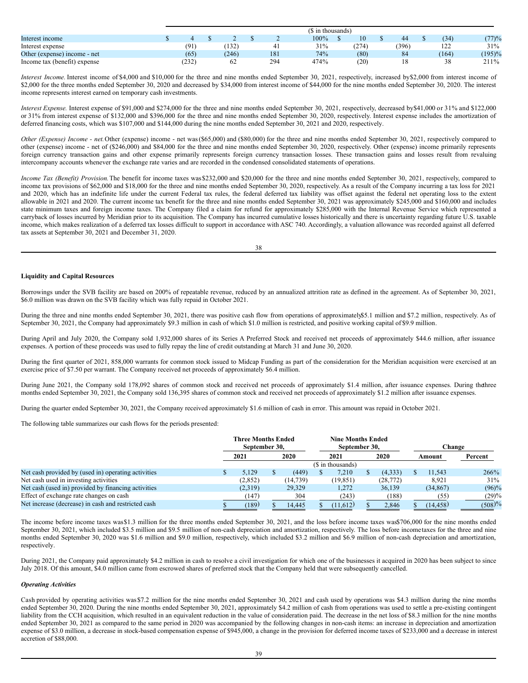|                              |      |       |     | <sup>(s in thousands)</sup> |  |       |  |       |  |             |           |
|------------------------------|------|-------|-----|-----------------------------|--|-------|--|-------|--|-------------|-----------|
| Interest income              |      |       |     | $100\%$                     |  | 10    |  | 44    |  | (34)        | (77)%     |
| Interest expense             | (91) | 152   |     | 31%                         |  | (274) |  | (396) |  | ר ר<br>- 22 | 31%       |
| Other (expense) income - net | (65) | (246) | 181 | 74%                         |  | (80)  |  | 84    |  | (164)       | $(195)\%$ |
| Income tax (benefit) expense | (232 | ωZ    | 294 | 474%                        |  | (20)  |  |       |  | 38          | 211%      |

*Interest Income.* Interest income of \$4,000 and \$10,000 for the three and nine months ended September 30, 2021, respectively, increased by\$2,000 from interest income of \$2,000 for the three months ended September 30, 2020 and decreased by \$34,000 from interest income of \$44,000 for the nine months ended September 30, 2020. The interest income represents interest earned on temporary cash investments.

*Interest Expense.* Interest expense of \$91,000 and \$274,000 for the three and nine months ended September 30, 2021, respectively, decreased by\$41,000 or 31% and \$122,000 or 31% from interest expense of \$132,000 and \$396,000 for the three and nine months ended September 30, 2020, respectively. Interest expense includes the amortization of deferred financing costs, which was \$107,000 and \$144,000 during the nine months ended September 30, 2021 and 2020, respectively.

*Other (Expense) Income - net.* Other (expense) income - net was (\$65,000) and (\$80,000) for the three and nine months ended September 30, 2021, respectively compared to other (expense) income - net of (\$246,000) and \$84,000 for the three and nine months ended September 30, 2020, respectively. Other (expense) income primarily represents foreign currency transaction gains and other expense primarily represents foreign currency transaction losses. These transaction gains and losses result from revaluing intercompany accounts whenever the exchange rate varies and are recorded in the condensed consolidated statements of operations.

*Income Tax (Benefit) Provision.*The benefit for income taxes was\$232,000 and \$20,000 for the three and nine months ended September 30, 2021, respectively, compared to income tax provisions of \$62,000 and \$18,000 for the three and nine months ended September 30, 2020, respectively. As a result of the Company incurring a tax loss for 2021 and 2020, which has an indefinite life under the current Federal tax rules, the federal deferred tax liability was offset against the federal net operating loss to the extent allowable in 2021 and 2020. The current income tax benefit for the three and nine months ended September 30, 2021 was approximately \$245,000 and \$160,000 and includes state minimum taxes and foreign income taxes. The Company filed a claim for refund for approximately \$285,000 with the Internal Revenue Service which represented a carryback of losses incurred by Meridian prior to its acquisition. The Company has incurred cumulative losses historically and there is uncertainty regarding future U.S. taxable income, which makes realization of a deferred tax losses difficult to support in accordance with ASC 740. Accordingly, a valuation allowance was recorded against all deferred tax assets at September 30, 2021 and December 31, 2020.

### **Liquidity and Capital Resources**

Borrowings under the SVB facility are based on 200% of repeatable revenue, reduced by an annualized attrition rate as defined in the agreement. As of September 30, 2021, \$6.0 million was drawn on the SVB facility which was fully repaid in October 2021.

During the three and nine months ended September 30, 2021, there was positive cash flow from operations of approximately\$5.1 million and \$7.2 million, respectively. As of September 30, 2021, the Company had approximately \$9.3 million in cash of which \$1.0 million is restricted, and positive working capital of \$9.9 million.

During April and July 2020, the Company sold 1,932,000 shares of its Series A Preferred Stock and received net proceeds of approximately \$44.6 million, after issuance expenses. A portion of these proceeds was used to fully repay the line of credit outstanding at March 31 and June 30, 2020.

During the first quarter of 2021, 858,000 warrants for common stock issued to Midcap Funding as part of the consideration for the Meridian acquisition were exercised at an exercise price of \$7.50 per warrant. The Company received net proceeds of approximately \$6.4 million.

During June 2021, the Company sold 178,092 shares of common stock and received net proceeds of approximately \$1.4 million, after issuance expenses. During thethree months ended September 30, 2021, the Company sold 136,395 shares of common stock and received net proceeds of approximately \$1.2 million after issuance expenses.

During the quarter ended September 30, 2021, the Company received approximately \$1.6 million of cash in error. This amount was repaid in October 2021.

The following table summarizes our cash flows for the periods presented:

|                                                     |      | <b>Three Months Ended</b><br>September 30. |      |           |      | <b>Nine Months Ended</b><br>September 30. |      |           |        | Change    |          |
|-----------------------------------------------------|------|--------------------------------------------|------|-----------|------|-------------------------------------------|------|-----------|--------|-----------|----------|
|                                                     | 2021 |                                            | 2020 |           | 2021 |                                           | 2020 |           | Amount |           | Percent  |
|                                                     |      |                                            |      |           |      | (\$ in thousands)                         |      |           |        |           |          |
| Net cash provided by (used in) operating activities |      | 5.129                                      |      | (449)     |      | 7,210                                     |      | (4,333)   |        | 11.543    | 266%     |
| Net cash used in investing activities               |      | (2,852)                                    |      | (14, 739) |      | (19, 851)                                 |      | (28, 772) |        | 8.921     | 31%      |
| Net cash (used in) provided by financing activities |      | (2,319)                                    |      | 29.329    |      | 1.272                                     |      | 36,139    |        | (34, 867) | $(96)\%$ |
| Effect of exchange rate changes on cash             |      | (147)                                      |      | 304       |      | (243)                                     |      | (188)     |        | (55)      | (29)%    |
| Net increase (decrease) in cash and restricted cash |      | (189)                                      |      | 14.445    |      | (11,612)                                  |      | 2,846     |        | (14, 458) | (508)%   |

The income before income taxes was\$1.3 million for the three months ended September 30, 2021, and the loss before income taxes was\$706,000 for the nine months ended September 30, 2021, which included \$3.5 million and \$9.5 million of non-cash depreciation and amortization, respectively. The loss before incometaxes for the three and nine months ended September 30, 2020 was \$1.6 million and \$9.0 million, respectively, which included \$3.2 million and \$6.9 million of non-cash depreciation and amortization, respectively.

During 2021, the Company paid approximately \$4.2 million in cash to resolve a civil investigation for which one of the businesses it acquired in 2020 has been subject to since July 2018. Of this amount, \$4.0 million came from escrowed shares of preferred stock that the Company held that were subsequently cancelled.

#### *Operating Activities*

Cash provided by operating activities was \$7.2 million for the nine months ended September 30, 2021 and cash used by operations was \$4.3 million during the nine months ended September 30, 2020. During the nine months ended September 30, 2021, approximately \$4.2 million of cash from operations was used to settle a pre-existing contingent liability from the CCH acquisition, which resulted in an equivalent reduction in the value of consideration paid. The decrease in the net loss of \$8.3 million for the nine months ended September 30, 2021 as compared to the same period in 2020 was accompanied by the following changes in non-cash items: an increase in depreciation and amortization expense of \$3.0 million, a decrease in stock-based compensation expense of \$945,000, a change in the provision for deferred income taxes of \$233,000 and a decrease in interest accretion of \$88,000.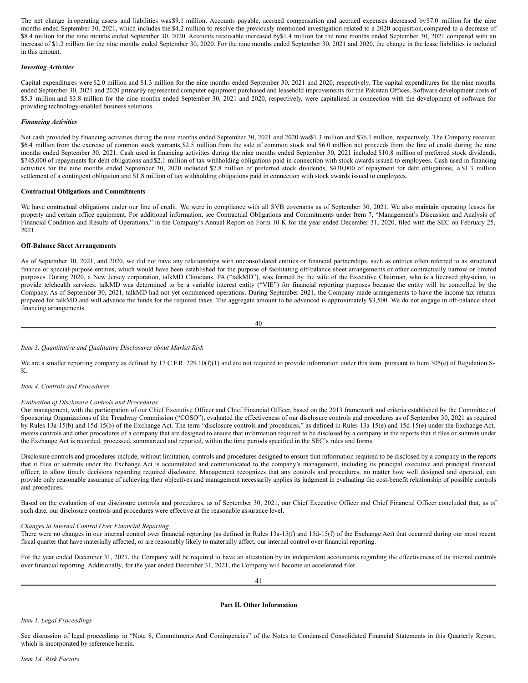The net change in operating assets and liabilities was\$9.1 million. Accounts payable, accrued compensation and accrued expenses decreased by\$7.0 million for the nine months ended September 30, 2021, which includes the \$4.2 million to resolve the previously mentioned investigation related to a 2020 acquisition,compared to a decrease of \$8.4 million for the nine months ended September 30, 2020. Accounts receivable increased by\$1.4 million for the nine months ended September 30, 2021 compared with an increase of \$1.2 million for the nine months ended September 30, 2020. For the nine months ended September 30, 2021 and 2020, the change in the lease liabilities is included in this amount.

### *Investing Activities*

Capital expenditures were \$2.0 million and \$1.3 million for the nine months ended September 30, 2021 and 2020, respectively. The capital expenditures for the nine months ended September 30, 2021 and 2020 primarily represented computer equipment purchased and leasehold improvements for the Pakistan Offices. Software development costs of \$5.3 million and \$3.8 million for the nine months ended September 30, 2021 and 2020, respectively, were capitalized in connection with the development of software for providing technology-enabled business solutions.

### *Financing Activities*

Net cash provided by financing activities during the nine months ended September 30, 2021 and 2020 was\$1.3 million and \$36.1 million, respectively. The Company received \$6.4 million from the exercise of common stock warrants,\$2.5 million from the sale of common stock and \$6.0 million net proceeds from the line of credit during the nine months ended September 30, 2021. Cash used in financing activities during the nine months ended September 30, 2021 included \$10.8 million of preferred stock dividends, \$745,000 of repayments for debt obligations and \$2.1 million of tax withholding obligations paid in connection with stock awards issued to employees. Cash used in financing activities for the nine months ended September 30, 2020 included \$7.8 million of preferred stock dividends, \$430,000 of repayment for debt obligations, a \$1.3 million settlement of a contingent obligation and \$1.8 million of tax withholding obligations paid in connection with stock awards issued to employees.

#### **Contractual Obligations and Commitments**

We have contractual obligations under our line of credit. We were in compliance with all SVB covenants as of September 30, 2021. We also maintain operating leases for property and certain office equipment. For additional information, see Contractual Obligations and Commitments under Item 7, "Management's Discussion and Analysis of Financial Condition and Results of Operations," in the Company's Annual Report on Form 10-K for the year ended December 31, 2020, filed with the SEC on February 25, 2021.

### **Off-Balance Sheet Arrangements**

As of September 30, 2021, and 2020, we did not have any relationships with unconsolidated entities or financial partnerships, such as entities often referred to as structured finance or special-purpose entities, which would have been established for the purpose of facilitating off-balance sheet arrangements or other contractually narrow or limited purposes. During 2020, a New Jersey corporation, talkMD Clinicians, PA ("talkMD"), was formed by the wife of the Executive Chairman, who is a licensed physician, to provide telehealth services. talkMD was determined to be a variable interest entity ("VIE") for financial reporting purposes because the entity will be controlled by the Company. As of September 30, 2021, talkMD had not yet commenced operations. During September 2021, the Company made arrangements to have the income tax returns prepared for talkMD and will advance the funds for the required taxes. The aggregate amount to be advanced is approximately \$3,500. We do not engage in off-balance sheet financing arrangements.

$$
^{40}
$$

### *Item 3. Quantitative and Qualitative Disclosures about Market Risk*

We are a smaller reporting company as defined by 17 C.F.R. 229.10(f)(1) and are not required to provide information under this item, pursuant to Item 305(e) of Regulation S-K.

#### *Item 4. Controls and Procedures*

#### *Evaluation of Disclosure Controls and Procedures*

Our management, with the participation of our Chief Executive Officer and Chief Financial Officer, based on the 2013 framework and criteria established by the Committee of Sponsoring Organizations of the Treadway Commission ("COSO"), evaluated the effectiveness of our disclosure controls and procedures as of September 30, 2021 as required by Rules 13a-15(b) and 15d-15(b) of the Exchange Act. The term "disclosure controls and procedures," as defined in Rules 13a-15(e) and 15d-15(e) under the Exchange Act, means controls and other procedures of a company that are designed to ensure that information required to be disclosed by a company in the reports that it files or submits under the Exchange Act is recorded, processed, summarized and reported, within the time periods specified in the SEC's rules and forms.

Disclosure controls and procedures include, without limitation, controls and procedures designed to ensure that information required to be disclosed by a company in the reports that it files or submits under the Exchange Act is accumulated and communicated to the company's management, including its principal executive and principal financial officer, to allow timely decisions regarding required disclosure. Management recognizes that any controls and procedures, no matter how well designed and operated, can provide only reasonable assurance of achieving their objectives and management necessarily applies its judgment in evaluating the cost-benefit relationship of possible controls and procedures.

Based on the evaluation of our disclosure controls and procedures, as of September 30, 2021, our Chief Executive Officer and Chief Financial Officer concluded that, as of such date, our disclosure controls and procedures were effective at the reasonable assurance level.

### *Changes in Internal Control Over Financial Reporting*

There were no changes in our internal control over financial reporting (as defined in Rules 13a-15(f) and 15d-15(f) of the Exchange Act) that occurred during our most recent fiscal quarter that have materially affected, or are reasonably likely to materially affect, our internal control over financial reporting.

For the year ended December 31, 2021, the Company will be required to have an attestation by its independent accountants regarding the effectiveness of its internal controls over financial reporting. Additionally, for the year ended December 31, 2021, the Company will become an accelerated filer.

41

#### **Part II. Other Information**

#### *Item 1. Legal Proceedings*

See discussion of legal proceedings in "Note 8, Commitments And Contingencies" of the Notes to Condensed Consolidated Financial Statements in this Quarterly Report, which is incorporated by reference herein.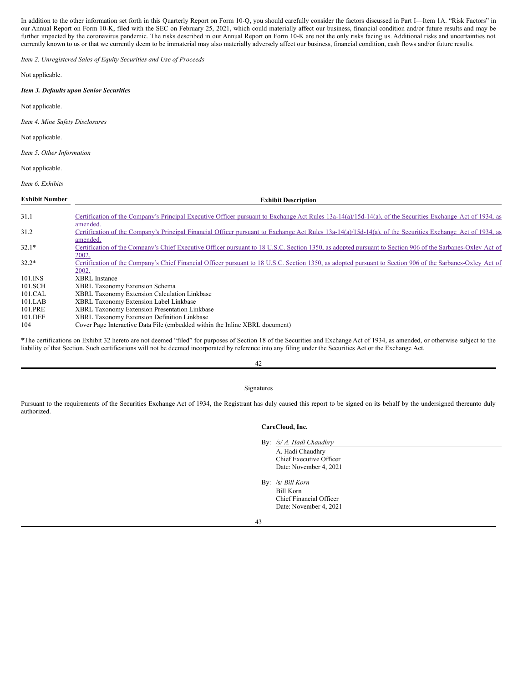In addition to the other information set forth in this Quarterly Report on Form 10-Q, you should carefully consider the factors discussed in Part I—Item 1A. "Risk Factors" in our Annual Report on Form 10-K, filed with the SEC on February 25, 2021, which could materially affect our business, financial condition and/or future results and may be further impacted by the coronavirus pandemic. The risks described in our Annual Report on Form 10-K are not the only risks facing us. Additional risks and uncertainties not currently known to us or that we currently deem to be immaterial may also materially adversely affect our business, financial condition, cash flows and/or future results.

*Item 2. Unregistered Sales of Equity Securities and Use of Proceeds*

Not applicable.

### *Item 3. Defaults upon Senior Securities*

Not applicable.

*Item 4. Mine Safety Disclosures*

Not applicable.

*Item 5. Other Information*

Not applicable.

*Item 6. Exhibits*

| <b>Exhibit Number</b> | <b>Exhibit Description</b>                                                                                                                                            |
|-----------------------|-----------------------------------------------------------------------------------------------------------------------------------------------------------------------|
| 31.1                  | Certification of the Company's Principal Executive Officer pursuant to Exchange Act Rules 13a-14(a)/15d-14(a), of the Securities Exchange Act of 1934, as<br>amended. |
| 31.2                  | Certification of the Company's Principal Financial Officer pursuant to Exchange Act Rules 13a-14(a)/15d-14(a), of the Securities Exchange Act of 1934, as<br>amended. |
| $32.1*$               | Certification of the Company's Chief Executive Officer pursuant to 18 U.S.C. Section 1350, as adopted pursuant to Section 906 of the Sarbanes-Oxley Act of<br>2002.   |
| $32.2*$               | Certification of the Company's Chief Financial Officer pursuant to 18 U.S.C. Section 1350, as adopted pursuant to Section 906 of the Sarbanes-Oxley Act of<br>2002.   |
| 101.INS               | XBRL Instance                                                                                                                                                         |
| 101.SCH               | XBRL Taxonomy Extension Schema                                                                                                                                        |
| 101.CAL               | XBRL Taxonomy Extension Calculation Linkbase                                                                                                                          |
| 101.LAB               | XBRL Taxonomy Extension Label Linkbase                                                                                                                                |
| 101.PRE               | XBRL Taxonomy Extension Presentation Linkbase                                                                                                                         |
| 101.DEF               | XBRL Taxonomy Extension Definition Linkbase                                                                                                                           |
| 104                   | Cover Page Interactive Data File (embedded within the Inline XBRL document)                                                                                           |

\*The certifications on Exhibit 32 hereto are not deemed "filed" for purposes of Section 18 of the Securities and Exchange Act of 1934, as amended, or otherwise subject to the liability of that Section. Such certifications will not be deemed incorporated by reference into any filing under the Securities Act or the Exchange Act.

### 42

### Signatures

Pursuant to the requirements of the Securities Exchange Act of 1934, the Registrant has duly caused this report to be signed on its behalf by the undersigned thereunto duly authorized.

### **CareCloud, Inc.**

| By: /s/ A. Hadi Chaudhry |
|--------------------------|
| A. Hadi Chaudhry         |
| Chief Executive Officer  |
| Date: November 4, 2021   |

By: /s/ *Bill Korn*

Bill Korn Chief Financial Officer Date: November 4, 2021

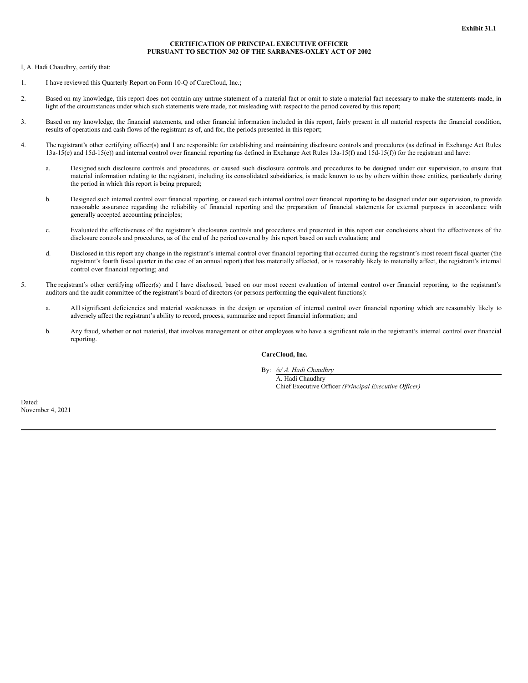### **CERTIFICATION OF PRINCIPAL EXECUTIVE OFFICER PURSUANT TO SECTION 302 OF THE SARBANES-OXLEY ACT OF 2002**

<span id="page-26-0"></span>I, A. Hadi Chaudhry, certify that:

- 1. I have reviewed this Quarterly Report on Form 10-Q of CareCloud, Inc.;
- 2. Based on my knowledge, this report does not contain any untrue statement of a material fact or omit to state a material fact necessary to make the statements made, in light of the circumstances under which such statements were made, not misleading with respect to the period covered by this report;
- 3. Based on my knowledge, the financial statements, and other financial information included in this report, fairly present in all material respects the financial condition, results of operations and cash flows of the registrant as of, and for, the periods presented in this report;
- 4. The registrant's other certifying officer(s) and I are responsible for establishing and maintaining disclosure controls and procedures (as defined in Exchange Act Rules 13a-15(e) and 15d-15(e)) and internal control over financial reporting (as defined in Exchange Act Rules 13a-15(f) and 15d-15(f)) for the registrant and have:
	- a. Designed such disclosure controls and procedures, or caused such disclosure controls and procedures to be designed under our supervision, to ensure that material information relating to the registrant, including its consolidated subsidiaries, is made known to us by others within those entities, particularly during the period in which this report is being prepared;
	- b. Designed such internal control over financial reporting, or caused such internal control over financial reporting to be designed under our supervision, to provide reasonable assurance regarding the reliability of financial reporting and the preparation of financial statements for external purposes in accordance with generally accepted accounting principles;
	- c. Evaluated the effectiveness of the registrant's disclosures controls and procedures and presented in this report our conclusions about the effectiveness of the disclosure controls and procedures, as of the end of the period covered by this report based on such evaluation; and
	- d. Disclosed in this report any change in the registrant's internal control over financial reporting that occurred during the registrant's most recent fiscal quarter (the registrant's fourth fiscal quarter in the case of an annual report) that has materially affected, or is reasonably likely to materially affect, the registrant's internal control over financial reporting; and
- 5. The registrant's other certifying officer(s) and I have disclosed, based on our most recent evaluation of internal control over financial reporting, to the registrant's auditors and the audit committee of the registrant's board of directors (or persons performing the equivalent functions):
	- a. All significant deficiencies and material weaknesses in the design or operation of internal control over financial reporting which are reasonably likely to adversely affect the registrant's ability to record, process, summarize and report financial information; and
	- b. Any fraud, whether or not material, that involves management or other employees who have a significant role in the registrant's internal control over financial reporting.

**CareCloud, Inc.**

By: */s/ A. Hadi Chaudhry*

A. Hadi Chaudhry Chief Executive Officer *(Principal Executive Of icer)*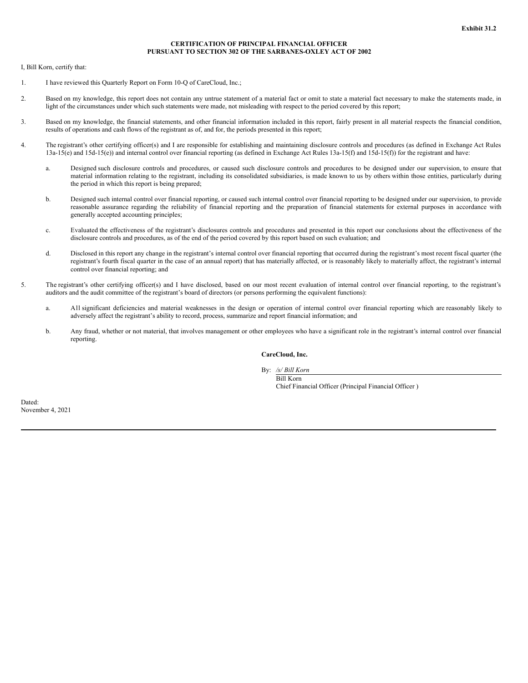### **CERTIFICATION OF PRINCIPAL FINANCIAL OFFICER PURSUANT TO SECTION 302 OF THE SARBANES-OXLEY ACT OF 2002**

<span id="page-27-0"></span>I, Bill Korn, certify that:

- 1. I have reviewed this Quarterly Report on Form 10-Q of CareCloud, Inc.;
- 2. Based on my knowledge, this report does not contain any untrue statement of a material fact or omit to state a material fact necessary to make the statements made, in light of the circumstances under which such statements were made, not misleading with respect to the period covered by this report;
- 3. Based on my knowledge, the financial statements, and other financial information included in this report, fairly present in all material respects the financial condition, results of operations and cash flows of the registrant as of, and for, the periods presented in this report;
- 4. The registrant's other certifying officer(s) and I are responsible for establishing and maintaining disclosure controls and procedures (as defined in Exchange Act Rules 13a-15(e) and 15d-15(e)) and internal control over financial reporting (as defined in Exchange Act Rules 13a-15(f) and 15d-15(f)) for the registrant and have:
	- a. Designed such disclosure controls and procedures, or caused such disclosure controls and procedures to be designed under our supervision, to ensure that material information relating to the registrant, including its consolidated subsidiaries, is made known to us by others within those entities, particularly during the period in which this report is being prepared;
	- b. Designed such internal control over financial reporting, or caused such internal control over financial reporting to be designed under our supervision, to provide reasonable assurance regarding the reliability of financial reporting and the preparation of financial statements for external purposes in accordance with generally accepted accounting principles;
	- c. Evaluated the effectiveness of the registrant's disclosures controls and procedures and presented in this report our conclusions about the effectiveness of the disclosure controls and procedures, as of the end of the period covered by this report based on such evaluation; and
	- d. Disclosed in this report any change in the registrant's internal control over financial reporting that occurred during the registrant's most recent fiscal quarter (the registrant's fourth fiscal quarter in the case of an annual report) that has materially affected, or is reasonably likely to materially affect, the registrant's internal control over financial reporting; and
- 5. The registrant's other certifying officer(s) and I have disclosed, based on our most recent evaluation of internal control over financial reporting, to the registrant's auditors and the audit committee of the registrant's board of directors (or persons performing the equivalent functions):
	- a. All significant deficiencies and material weaknesses in the design or operation of internal control over financial reporting which are reasonably likely to adversely affect the registrant's ability to record, process, summarize and report financial information; and
	- b. Any fraud, whether or not material, that involves management or other employees who have a significant role in the registrant's internal control over financial reporting.

**CareCloud, Inc.**

By: */s/ Bill Korn* Bill Korn

Chief Financial Officer (Principal Financial Officer )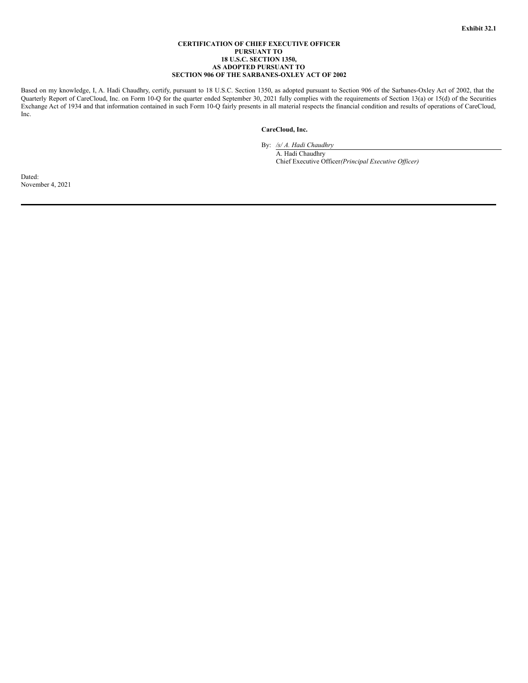### **CERTIFICATION OF CHIEF EXECUTIVE OFFICER PURSUANT TO 18 U.S.C. SECTION 1350, AS ADOPTED PURSUANT TO SECTION 906 OF THE SARBANES-OXLEY ACT OF 2002**

<span id="page-28-0"></span>Based on my knowledge, I, A. Hadi Chaudhry, certify, pursuant to 18 U.S.C. Section 1350, as adopted pursuant to Section 906 of the Sarbanes-Oxley Act of 2002, that the Quarterly Report of CareCloud, Inc. on Form 10-Q for the quarter ended September 30, 2021 fully complies with the requirements of Section 13(a) or 15(d) of the Securities Exchange Act of 1934 and that information contained in such Form 10-Q fairly presents in all material respects the financial condition and results of operations of CareCloud, Inc.

**CareCloud, Inc.**

By: */s/ A. Hadi Chaudhry*

A. Hadi Chaudhry Chief Executive Officer*(Principal Executive Of icer)*